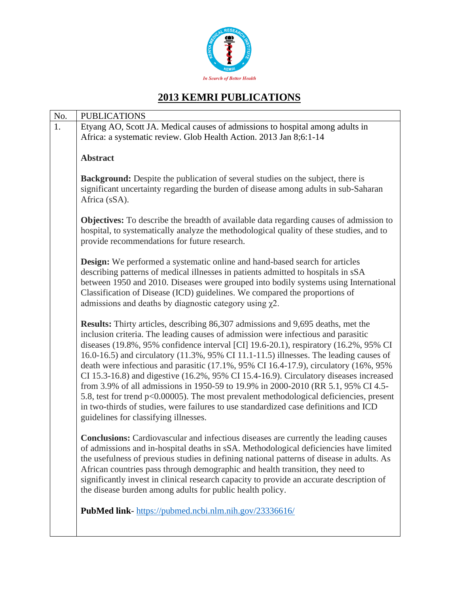

# **2013 KEMRI PUBLICATIONS**

| No. | <b>PUBLICATIONS</b>                                                                                                                                                                                                                                                                                                                                                                                                                                                                                                                                                                                                                                                                                                                                                                                                                                                           |
|-----|-------------------------------------------------------------------------------------------------------------------------------------------------------------------------------------------------------------------------------------------------------------------------------------------------------------------------------------------------------------------------------------------------------------------------------------------------------------------------------------------------------------------------------------------------------------------------------------------------------------------------------------------------------------------------------------------------------------------------------------------------------------------------------------------------------------------------------------------------------------------------------|
| 1.  | Etyang AO, Scott JA. Medical causes of admissions to hospital among adults in<br>Africa: a systematic review. Glob Health Action. 2013 Jan 8;6:1-14                                                                                                                                                                                                                                                                                                                                                                                                                                                                                                                                                                                                                                                                                                                           |
|     | <b>Abstract</b>                                                                                                                                                                                                                                                                                                                                                                                                                                                                                                                                                                                                                                                                                                                                                                                                                                                               |
|     | <b>Background:</b> Despite the publication of several studies on the subject, there is<br>significant uncertainty regarding the burden of disease among adults in sub-Saharan<br>Africa (sSA).                                                                                                                                                                                                                                                                                                                                                                                                                                                                                                                                                                                                                                                                                |
|     | <b>Objectives:</b> To describe the breadth of available data regarding causes of admission to<br>hospital, to systematically analyze the methodological quality of these studies, and to<br>provide recommendations for future research.                                                                                                                                                                                                                                                                                                                                                                                                                                                                                                                                                                                                                                      |
|     | <b>Design:</b> We performed a systematic online and hand-based search for articles<br>describing patterns of medical illnesses in patients admitted to hospitals in sSA<br>between 1950 and 2010. Diseases were grouped into bodily systems using International<br>Classification of Disease (ICD) guidelines. We compared the proportions of<br>admissions and deaths by diagnostic category using $\chi$ 2.                                                                                                                                                                                                                                                                                                                                                                                                                                                                 |
|     | <b>Results:</b> Thirty articles, describing 86,307 admissions and 9,695 deaths, met the<br>inclusion criteria. The leading causes of admission were infectious and parasitic<br>diseases (19.8%, 95% confidence interval [CI] 19.6-20.1), respiratory (16.2%, 95% CI<br>16.0-16.5) and circulatory (11.3%, 95% CI 11.1-11.5) illnesses. The leading causes of<br>death were infectious and parasitic (17.1%, 95% CI 16.4-17.9), circulatory (16%, 95%<br>CI 15.3-16.8) and digestive $(16.2\%, 95\% \text{ CI } 15.4$ -16.9). Circulatory diseases increased<br>from 3.9% of all admissions in 1950-59 to 19.9% in 2000-2010 (RR 5.1, 95% CI 4.5-<br>5.8, test for trend p<0.00005). The most prevalent methodological deficiencies, present<br>in two-thirds of studies, were failures to use standardized case definitions and ICD<br>guidelines for classifying illnesses. |
|     | <b>Conclusions:</b> Cardiovascular and infectious diseases are currently the leading causes<br>of admissions and in-hospital deaths in sSA. Methodological deficiencies have limited<br>the usefulness of previous studies in defining national patterns of disease in adults. As<br>African countries pass through demographic and health transition, they need to<br>significantly invest in clinical research capacity to provide an accurate description of<br>the disease burden among adults for public health policy.                                                                                                                                                                                                                                                                                                                                                  |
|     | <b>PubMed link-</b> https://pubmed.ncbi.nlm.nih.gov/23336616/                                                                                                                                                                                                                                                                                                                                                                                                                                                                                                                                                                                                                                                                                                                                                                                                                 |
|     |                                                                                                                                                                                                                                                                                                                                                                                                                                                                                                                                                                                                                                                                                                                                                                                                                                                                               |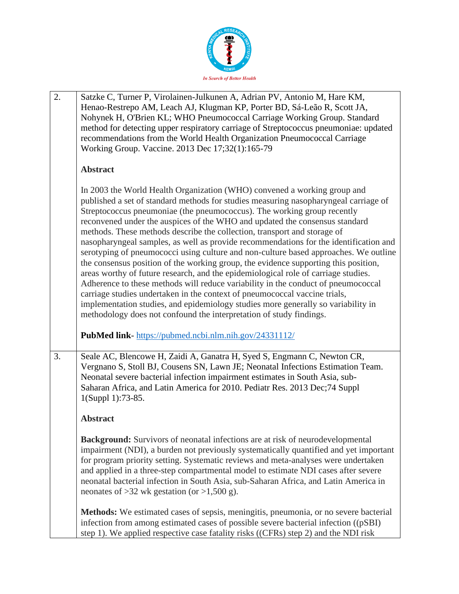

2. Satzke C, Turner P, Virolainen-Julkunen A, Adrian PV, Antonio M, Hare KM, Henao-Restrepo AM, Leach AJ, Klugman KP, Porter BD, Sá-Leão R, Scott JA, Nohynek H, O'Brien KL; WHO Pneumococcal Carriage Working Group. Standard method for detecting upper respiratory carriage of Streptococcus pneumoniae: updated recommendations from the World Health Organization Pneumococcal Carriage Working Group. Vaccine. 2013 Dec 17;32(1):165-79 **Abstract** In 2003 the World Health Organization (WHO) convened a working group and published a set of standard methods for studies measuring nasopharyngeal carriage of Streptococcus pneumoniae (the pneumococcus). The working group recently reconvened under the auspices of the WHO and updated the consensus standard methods. These methods describe the collection, transport and storage of nasopharyngeal samples, as well as provide recommendations for the identification and serotyping of pneumococci using culture and non-culture based approaches. We outline the consensus position of the working group, the evidence supporting this position, areas worthy of future research, and the epidemiological role of carriage studies. Adherence to these methods will reduce variability in the conduct of pneumococcal carriage studies undertaken in the context of pneumococcal vaccine trials, implementation studies, and epidemiology studies more generally so variability in methodology does not confound the interpretation of study findings. **PubMed link**- <https://pubmed.ncbi.nlm.nih.gov/24331112/> 3. Seale AC, Blencowe H, Zaidi A, Ganatra H, Syed S, Engmann C, Newton CR, Vergnano S, Stoll BJ, Cousens SN, Lawn JE; Neonatal Infections Estimation Team. Neonatal severe bacterial infection impairment estimates in South Asia, sub-Saharan Africa, and Latin America for 2010. Pediatr Res. 2013 Dec;74 Suppl 1(Suppl 1):73-85. **Abstract Background:** Survivors of neonatal infections are at risk of neurodevelopmental impairment (NDI), a burden not previously systematically quantified and yet important for program priority setting. Systematic reviews and meta-analyses were undertaken and applied in a three-step compartmental model to estimate NDI cases after severe neonatal bacterial infection in South Asia, sub-Saharan Africa, and Latin America in neonates of  $>32$  wk gestation (or  $>1,500$  g). **Methods:** We estimated cases of sepsis, meningitis, pneumonia, or no severe bacterial infection from among estimated cases of possible severe bacterial infection ((pSBI) step 1). We applied respective case fatality risks ((CFRs) step 2) and the NDI risk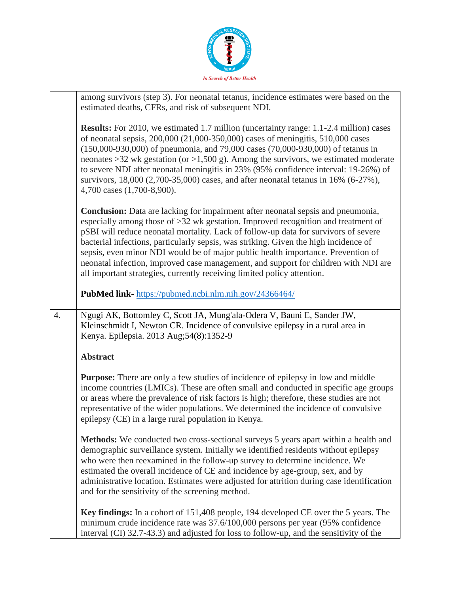

|                  | among survivors (step 3). For neonatal tetanus, incidence estimates were based on the<br>estimated deaths, CFRs, and risk of subsequent NDI.                                                                                                                                                                                                                                                                                                                                                                                                                                                               |
|------------------|------------------------------------------------------------------------------------------------------------------------------------------------------------------------------------------------------------------------------------------------------------------------------------------------------------------------------------------------------------------------------------------------------------------------------------------------------------------------------------------------------------------------------------------------------------------------------------------------------------|
|                  | <b>Results:</b> For 2010, we estimated 1.7 million (uncertainty range: 1.1-2.4 million) cases<br>of neonatal sepsis, 200,000 (21,000-350,000) cases of meningitis, 510,000 cases<br>$(150,000-930,000)$ of pneumonia, and 79,000 cases $(70,000-930,000)$ of tetanus in<br>neonates >32 wk gestation (or >1,500 g). Among the survivors, we estimated moderate<br>to severe NDI after neonatal meningitis in 23% (95% confidence interval: 19-26%) of<br>survivors, 18,000 (2,700-35,000) cases, and after neonatal tetanus in 16% (6-27%),<br>4,700 cases (1,700-8,900).                                  |
|                  | Conclusion: Data are lacking for impairment after neonatal sepsis and pneumonia,<br>especially among those of >32 wk gestation. Improved recognition and treatment of<br>pSBI will reduce neonatal mortality. Lack of follow-up data for survivors of severe<br>bacterial infections, particularly sepsis, was striking. Given the high incidence of<br>sepsis, even minor NDI would be of major public health importance. Prevention of<br>neonatal infection, improved case management, and support for children with NDI are<br>all important strategies, currently receiving limited policy attention. |
|                  | <b>PubMed link-</b> https://pubmed.ncbi.nlm.nih.gov/24366464/                                                                                                                                                                                                                                                                                                                                                                                                                                                                                                                                              |
| $\overline{4}$ . | Ngugi AK, Bottomley C, Scott JA, Mung'ala-Odera V, Bauni E, Sander JW,<br>Kleinschmidt I, Newton CR. Incidence of convulsive epilepsy in a rural area in<br>Kenya. Epilepsia. 2013 Aug; 54(8): 1352-9                                                                                                                                                                                                                                                                                                                                                                                                      |
|                  | <b>Abstract</b>                                                                                                                                                                                                                                                                                                                                                                                                                                                                                                                                                                                            |
|                  | <b>Purpose:</b> There are only a few studies of incidence of epilepsy in low and middle<br>income countries (LMICs). These are often small and conducted in specific age groups<br>or areas where the prevalence of risk factors is high; therefore, these studies are not<br>representative of the wider populations. We determined the incidence of convulsive<br>epilepsy (CE) in a large rural population in Kenya.                                                                                                                                                                                    |
|                  | <b>Methods:</b> We conducted two cross-sectional surveys 5 years apart within a health and<br>demographic surveillance system. Initially we identified residents without epilepsy<br>who were then reexamined in the follow-up survey to determine incidence. We<br>estimated the overall incidence of CE and incidence by age-group, sex, and by<br>administrative location. Estimates were adjusted for attrition during case identification<br>and for the sensitivity of the screening method.                                                                                                         |
|                  | Key findings: In a cohort of 151,408 people, 194 developed CE over the 5 years. The<br>minimum crude incidence rate was 37.6/100,000 persons per year (95% confidence<br>interval (CI) 32.7-43.3) and adjusted for loss to follow-up, and the sensitivity of the                                                                                                                                                                                                                                                                                                                                           |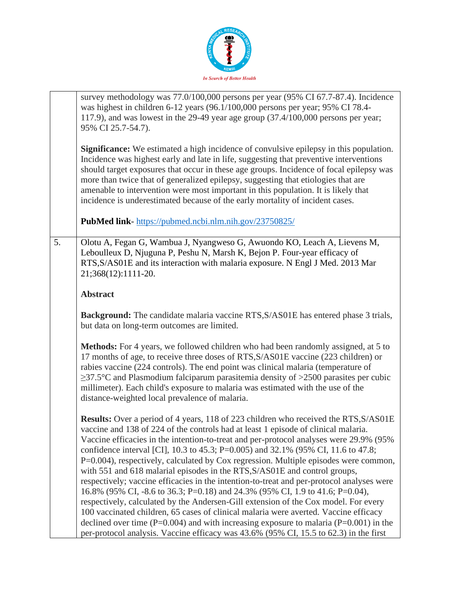

|    | survey methodology was 77.0/100,000 persons per year (95% CI 67.7-87.4). Incidence<br>was highest in children 6-12 years (96.1/100,000 persons per year; 95% CI 78.4-<br>117.9), and was lowest in the 29-49 year age group $(37.4/100,000)$ persons per year;<br>95% CI 25.7-54.7).                                                                                                                                                                                                                                                                                                                                                                                                                                                                                                                                                                                                                                                                                                                                                                                                           |
|----|------------------------------------------------------------------------------------------------------------------------------------------------------------------------------------------------------------------------------------------------------------------------------------------------------------------------------------------------------------------------------------------------------------------------------------------------------------------------------------------------------------------------------------------------------------------------------------------------------------------------------------------------------------------------------------------------------------------------------------------------------------------------------------------------------------------------------------------------------------------------------------------------------------------------------------------------------------------------------------------------------------------------------------------------------------------------------------------------|
|    | <b>Significance:</b> We estimated a high incidence of convulsive epilepsy in this population.<br>Incidence was highest early and late in life, suggesting that preventive interventions<br>should target exposures that occur in these age groups. Incidence of focal epilepsy was<br>more than twice that of generalized epilepsy, suggesting that etiologies that are<br>amenable to intervention were most important in this population. It is likely that<br>incidence is underestimated because of the early mortality of incident cases.                                                                                                                                                                                                                                                                                                                                                                                                                                                                                                                                                 |
|    | PubMed link-https://pubmed.ncbi.nlm.nih.gov/23750825/                                                                                                                                                                                                                                                                                                                                                                                                                                                                                                                                                                                                                                                                                                                                                                                                                                                                                                                                                                                                                                          |
| 5. | Olotu A, Fegan G, Wambua J, Nyangweso G, Awuondo KO, Leach A, Lievens M,<br>Leboulleux D, Njuguna P, Peshu N, Marsh K, Bejon P. Four-year efficacy of<br>RTS, S/AS01E and its interaction with malaria exposure. N Engl J Med. 2013 Mar<br>21;368(12):1111-20.                                                                                                                                                                                                                                                                                                                                                                                                                                                                                                                                                                                                                                                                                                                                                                                                                                 |
|    | <b>Abstract</b>                                                                                                                                                                                                                                                                                                                                                                                                                                                                                                                                                                                                                                                                                                                                                                                                                                                                                                                                                                                                                                                                                |
|    | <b>Background:</b> The candidate malaria vaccine RTS, S/AS01E has entered phase 3 trials,<br>but data on long-term outcomes are limited.                                                                                                                                                                                                                                                                                                                                                                                                                                                                                                                                                                                                                                                                                                                                                                                                                                                                                                                                                       |
|    | <b>Methods:</b> For 4 years, we followed children who had been randomly assigned, at 5 to<br>17 months of age, to receive three doses of RTS, S/AS01E vaccine (223 children) or<br>rabies vaccine (224 controls). The end point was clinical malaria (temperature of<br>$\geq$ 37.5°C and Plasmodium falciparum parasitemia density of >2500 parasites per cubic<br>millimeter). Each child's exposure to malaria was estimated with the use of the<br>distance-weighted local prevalence of malaria.                                                                                                                                                                                                                                                                                                                                                                                                                                                                                                                                                                                          |
|    | <b>Results:</b> Over a period of 4 years, 118 of 223 children who received the RTS, S/AS01E<br>vaccine and 138 of 224 of the controls had at least 1 episode of clinical malaria.<br>Vaccine efficacies in the intention-to-treat and per-protocol analyses were 29.9% (95%)<br>confidence interval [CI], 10.3 to 45.3; P=0.005) and 32.1% (95% CI, 11.6 to 47.8;<br>P=0.004), respectively, calculated by Cox regression. Multiple episodes were common,<br>with 551 and 618 malarial episodes in the RTS, S/AS01E and control groups,<br>respectively; vaccine efficacies in the intention-to-treat and per-protocol analyses were<br>16.8% (95% CI, -8.6 to 36.3; P=0.18) and 24.3% (95% CI, 1.9 to 41.6; P=0.04),<br>respectively, calculated by the Andersen-Gill extension of the Cox model. For every<br>100 vaccinated children, 65 cases of clinical malaria were averted. Vaccine efficacy<br>declined over time ( $P=0.004$ ) and with increasing exposure to malaria ( $P=0.001$ ) in the<br>per-protocol analysis. Vaccine efficacy was 43.6% (95% CI, 15.5 to 62.3) in the first |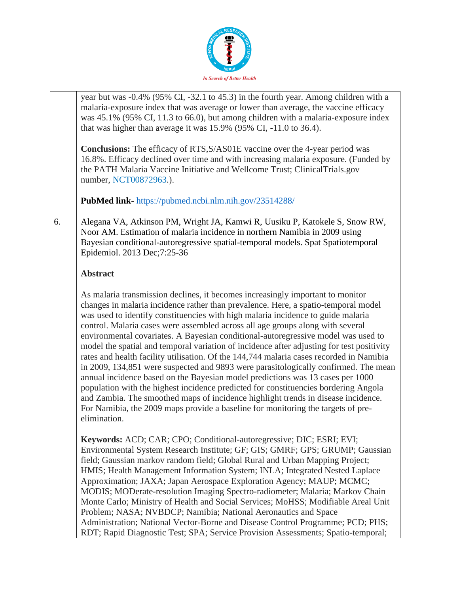

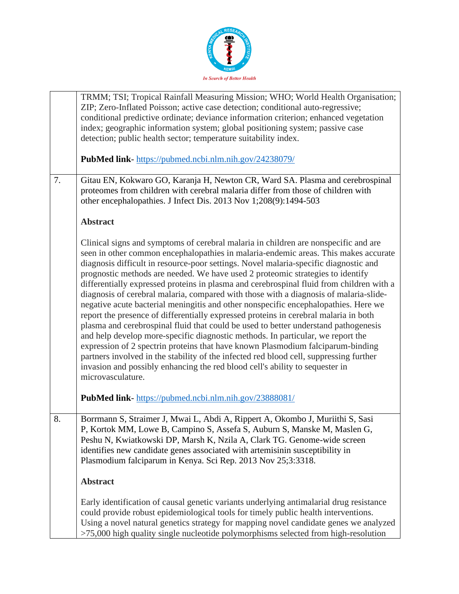

|    | TRMM; TSI; Tropical Rainfall Measuring Mission; WHO; World Health Organisation;<br>ZIP; Zero-Inflated Poisson; active case detection; conditional auto-regressive;<br>conditional predictive ordinate; deviance information criterion; enhanced vegetation<br>index; geographic information system; global positioning system; passive case<br>detection; public health sector; temperature suitability index.<br><b>PubMed link-</b> https://pubmed.ncbi.nlm.nih.gov/24238079/                                                                                                                                                                                                                                                                                                                                                                                                                                                                                                                                                                                                                                                                                                      |
|----|--------------------------------------------------------------------------------------------------------------------------------------------------------------------------------------------------------------------------------------------------------------------------------------------------------------------------------------------------------------------------------------------------------------------------------------------------------------------------------------------------------------------------------------------------------------------------------------------------------------------------------------------------------------------------------------------------------------------------------------------------------------------------------------------------------------------------------------------------------------------------------------------------------------------------------------------------------------------------------------------------------------------------------------------------------------------------------------------------------------------------------------------------------------------------------------|
|    |                                                                                                                                                                                                                                                                                                                                                                                                                                                                                                                                                                                                                                                                                                                                                                                                                                                                                                                                                                                                                                                                                                                                                                                      |
| 7. | Gitau EN, Kokwaro GO, Karanja H, Newton CR, Ward SA. Plasma and cerebrospinal<br>proteomes from children with cerebral malaria differ from those of children with<br>other encephalopathies. J Infect Dis. 2013 Nov 1;208(9):1494-503                                                                                                                                                                                                                                                                                                                                                                                                                                                                                                                                                                                                                                                                                                                                                                                                                                                                                                                                                |
|    | <b>Abstract</b>                                                                                                                                                                                                                                                                                                                                                                                                                                                                                                                                                                                                                                                                                                                                                                                                                                                                                                                                                                                                                                                                                                                                                                      |
|    | Clinical signs and symptoms of cerebral malaria in children are nonspecific and are<br>seen in other common encephalopathies in malaria-endemic areas. This makes accurate<br>diagnosis difficult in resource-poor settings. Novel malaria-specific diagnostic and<br>prognostic methods are needed. We have used 2 proteomic strategies to identify<br>differentially expressed proteins in plasma and cerebrospinal fluid from children with a<br>diagnosis of cerebral malaria, compared with those with a diagnosis of malaria-slide-<br>negative acute bacterial meningitis and other nonspecific encephalopathies. Here we<br>report the presence of differentially expressed proteins in cerebral malaria in both<br>plasma and cerebrospinal fluid that could be used to better understand pathogenesis<br>and help develop more-specific diagnostic methods. In particular, we report the<br>expression of 2 spectrin proteins that have known Plasmodium falciparum-binding<br>partners involved in the stability of the infected red blood cell, suppressing further<br>invasion and possibly enhancing the red blood cell's ability to sequester in<br>microvasculature. |
|    | PubMed link- https://pubmed.ncbi.nlm.nih.gov/23888081/                                                                                                                                                                                                                                                                                                                                                                                                                                                                                                                                                                                                                                                                                                                                                                                                                                                                                                                                                                                                                                                                                                                               |
| 8. | Borrmann S, Straimer J, Mwai L, Abdi A, Rippert A, Okombo J, Muriithi S, Sasi<br>P, Kortok MM, Lowe B, Campino S, Assefa S, Auburn S, Manske M, Maslen G,<br>Peshu N, Kwiatkowski DP, Marsh K, Nzila A, Clark TG. Genome-wide screen<br>identifies new candidate genes associated with artemisinin susceptibility in<br>Plasmodium falciparum in Kenya. Sci Rep. 2013 Nov 25;3:3318.                                                                                                                                                                                                                                                                                                                                                                                                                                                                                                                                                                                                                                                                                                                                                                                                 |
|    | <b>Abstract</b>                                                                                                                                                                                                                                                                                                                                                                                                                                                                                                                                                                                                                                                                                                                                                                                                                                                                                                                                                                                                                                                                                                                                                                      |
|    | Early identification of causal genetic variants underlying antimalarial drug resistance<br>could provide robust epidemiological tools for timely public health interventions.<br>Using a novel natural genetics strategy for mapping novel candidate genes we analyzed<br>$>75,000$ high quality single nucleotide polymorphisms selected from high-resolution                                                                                                                                                                                                                                                                                                                                                                                                                                                                                                                                                                                                                                                                                                                                                                                                                       |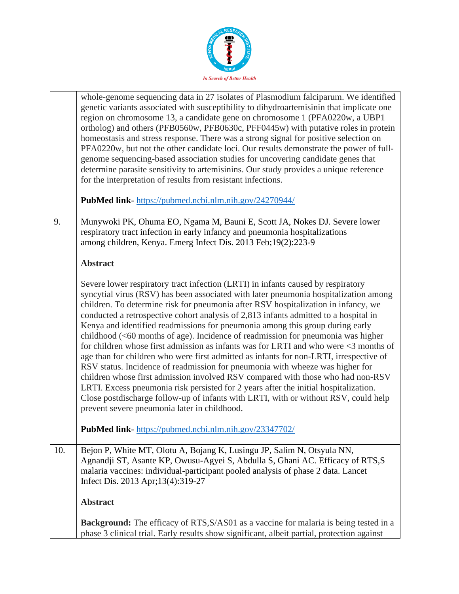

|     | whole-genome sequencing data in 27 isolates of Plasmodium falciparum. We identified<br>genetic variants associated with susceptibility to dihydroartemisinin that implicate one<br>region on chromosome 13, a candidate gene on chromosome 1 (PFA0220w, a UBP1<br>ortholog) and others (PFB0560w, PFB0630c, PFF0445w) with putative roles in protein<br>homeostasis and stress response. There was a strong signal for positive selection on<br>PFA0220w, but not the other candidate loci. Our results demonstrate the power of full-<br>genome sequencing-based association studies for uncovering candidate genes that<br>determine parasite sensitivity to artemisinins. Our study provides a unique reference<br>for the interpretation of results from resistant infections.                                                                                                                                                                                                                                                                                                                                     |
|-----|------------------------------------------------------------------------------------------------------------------------------------------------------------------------------------------------------------------------------------------------------------------------------------------------------------------------------------------------------------------------------------------------------------------------------------------------------------------------------------------------------------------------------------------------------------------------------------------------------------------------------------------------------------------------------------------------------------------------------------------------------------------------------------------------------------------------------------------------------------------------------------------------------------------------------------------------------------------------------------------------------------------------------------------------------------------------------------------------------------------------|
|     | PubMed link-https://pubmed.ncbi.nlm.nih.gov/24270944/                                                                                                                                                                                                                                                                                                                                                                                                                                                                                                                                                                                                                                                                                                                                                                                                                                                                                                                                                                                                                                                                  |
| 9.  | Munywoki PK, Ohuma EO, Ngama M, Bauni E, Scott JA, Nokes DJ. Severe lower<br>respiratory tract infection in early infancy and pneumonia hospitalizations<br>among children, Kenya. Emerg Infect Dis. 2013 Feb;19(2):223-9                                                                                                                                                                                                                                                                                                                                                                                                                                                                                                                                                                                                                                                                                                                                                                                                                                                                                              |
|     | <b>Abstract</b>                                                                                                                                                                                                                                                                                                                                                                                                                                                                                                                                                                                                                                                                                                                                                                                                                                                                                                                                                                                                                                                                                                        |
|     | Severe lower respiratory tract infection (LRTI) in infants caused by respiratory<br>syncytial virus (RSV) has been associated with later pneumonia hospitalization among<br>children. To determine risk for pneumonia after RSV hospitalization in infancy, we<br>conducted a retrospective cohort analysis of 2,813 infants admitted to a hospital in<br>Kenya and identified readmissions for pneumonia among this group during early<br>childhood (<60 months of age). Incidence of readmission for pneumonia was higher<br>for children whose first admission as infants was for LRTI and who were $\leq$ 3 months of<br>age than for children who were first admitted as infants for non-LRTI, irrespective of<br>RSV status. Incidence of readmission for pneumonia with wheeze was higher for<br>children whose first admission involved RSV compared with those who had non-RSV<br>LRTI. Excess pneumonia risk persisted for 2 years after the initial hospitalization.<br>Close postdischarge follow-up of infants with LRTI, with or without RSV, could help<br>prevent severe pneumonia later in childhood. |
|     | PubMed link- https://pubmed.ncbi.nlm.nih.gov/23347702/                                                                                                                                                                                                                                                                                                                                                                                                                                                                                                                                                                                                                                                                                                                                                                                                                                                                                                                                                                                                                                                                 |
| 10. | Bejon P, White MT, Olotu A, Bojang K, Lusingu JP, Salim N, Otsyula NN,<br>Agnandji ST, Asante KP, Owusu-Agyei S, Abdulla S, Ghani AC. Efficacy of RTS, S<br>malaria vaccines: individual-participant pooled analysis of phase 2 data. Lancet<br>Infect Dis. 2013 Apr;13(4):319-27                                                                                                                                                                                                                                                                                                                                                                                                                                                                                                                                                                                                                                                                                                                                                                                                                                      |
|     | <b>Abstract</b>                                                                                                                                                                                                                                                                                                                                                                                                                                                                                                                                                                                                                                                                                                                                                                                                                                                                                                                                                                                                                                                                                                        |
|     | <b>Background:</b> The efficacy of RTS, S/AS01 as a vaccine for malaria is being tested in a<br>phase 3 clinical trial. Early results show significant, albeit partial, protection against                                                                                                                                                                                                                                                                                                                                                                                                                                                                                                                                                                                                                                                                                                                                                                                                                                                                                                                             |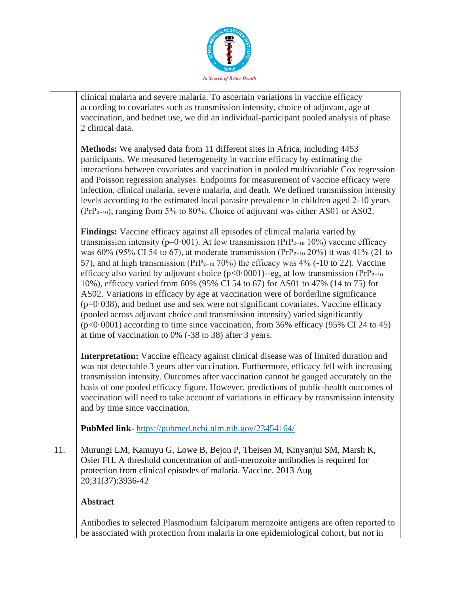

clinical malaria and severe malaria. To ascertain variations in vaccine efficacy according to covariates such as transmission intensity, choice of adjuvant, age at vaccination, and bednet use, we did an individual-participant pooled analysis of phase 2 clinical data.

**Methods:** We analysed data from 11 different sites in Africa, including 4453 participants. We measured heterogeneity in vaccine efficacy by estimating the interactions between covariates and vaccination in pooled multivariable Cox regression and Poisson regression analyses. Endpoints for measurement of vaccine efficacy were infection, clinical malaria, severe malaria, and death. We defined transmission intensity levels according to the estimated local parasite prevalence in children aged 2-10 years (PrP<sub>2-10</sub>), ranging from 5% to 80%. Choice of adjuvant was either AS01 or AS02.

**Findings:** Vaccine efficacy against all episodes of clinical malaria varied by transmission intensity ( $p=0.001$ ). At low transmission (PrP<sub>2-10</sub> 10%) vaccine efficacy was  $60\%$  (95% CI 54 to 67), at moderate transmission (PrP<sub>2-10</sub> 20%) it was  $41\%$  (21 to 57), and at high transmission (PrP<sub>2-10</sub> 70%) the efficacy was  $4\%$  (-10 to 22). Vaccine efficacy also varied by adjuvant choice  $(p<0.0001)$ --eg, at low transmission (PrP<sub>2-10</sub>) 10%), efficacy varied from 60% (95% CI 54 to 67) for AS01 to 47% (14 to 75) for AS02. Variations in efficacy by age at vaccination were of borderline significance  $(p=0.038)$ , and bednet use and sex were not significant covariates. Vaccine efficacy (pooled across adjuvant choice and transmission intensity) varied significantly (p<0·0001) according to time since vaccination, from 36% efficacy (95% CI 24 to 45) at time of vaccination to 0% (-38 to 38) after 3 years.

**Interpretation:** Vaccine efficacy against clinical disease was of limited duration and was not detectable 3 years after vaccination. Furthermore, efficacy fell with increasing transmission intensity. Outcomes after vaccination cannot be gauged accurately on the basis of one pooled efficacy figure. However, predictions of public-health outcomes of vaccination will need to take account of variations in efficacy by transmission intensity and by time since vaccination.

**PubMed link**- <https://pubmed.ncbi.nlm.nih.gov/23454164/>

11. Murungi LM, Kamuyu G, Lowe B, Bejon P, Theisen M, Kinyanjui SM, Marsh K, Osier FH. A threshold concentration of anti-merozoite antibodies is required for protection from clinical episodes of malaria. Vaccine. 2013 Aug 20;31(37):3936-42

### **Abstract**

Antibodies to selected Plasmodium falciparum merozoite antigens are often reported to be associated with protection from malaria in one epidemiological cohort, but not in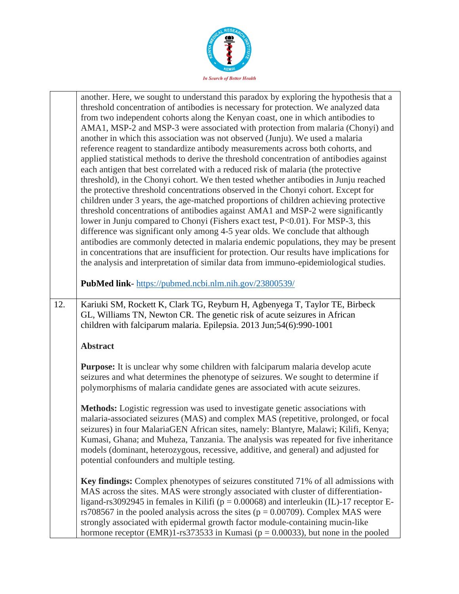

|     | another. Here, we sought to understand this paradox by exploring the hypothesis that a<br>threshold concentration of antibodies is necessary for protection. We analyzed data<br>from two independent cohorts along the Kenyan coast, one in which antibodies to<br>AMA1, MSP-2 and MSP-3 were associated with protection from malaria (Chonyi) and<br>another in which this association was not observed (Junju). We used a malaria<br>reference reagent to standardize antibody measurements across both cohorts, and<br>applied statistical methods to derive the threshold concentration of antibodies against<br>each antigen that best correlated with a reduced risk of malaria (the protective<br>threshold), in the Chonyi cohort. We then tested whether antibodies in Junju reached<br>the protective threshold concentrations observed in the Chonyi cohort. Except for<br>children under 3 years, the age-matched proportions of children achieving protective<br>threshold concentrations of antibodies against AMA1 and MSP-2 were significantly<br>lower in Junju compared to Chonyi (Fishers exact test, P<0.01). For MSP-3, this<br>difference was significant only among 4-5 year olds. We conclude that although<br>antibodies are commonly detected in malaria endemic populations, they may be present<br>in concentrations that are insufficient for protection. Our results have implications for<br>the analysis and interpretation of similar data from immuno-epidemiological studies. |
|-----|-------------------------------------------------------------------------------------------------------------------------------------------------------------------------------------------------------------------------------------------------------------------------------------------------------------------------------------------------------------------------------------------------------------------------------------------------------------------------------------------------------------------------------------------------------------------------------------------------------------------------------------------------------------------------------------------------------------------------------------------------------------------------------------------------------------------------------------------------------------------------------------------------------------------------------------------------------------------------------------------------------------------------------------------------------------------------------------------------------------------------------------------------------------------------------------------------------------------------------------------------------------------------------------------------------------------------------------------------------------------------------------------------------------------------------------------------------------------------------------------------------------------|
|     | PubMed link- https://pubmed.ncbi.nlm.nih.gov/23800539/                                                                                                                                                                                                                                                                                                                                                                                                                                                                                                                                                                                                                                                                                                                                                                                                                                                                                                                                                                                                                                                                                                                                                                                                                                                                                                                                                                                                                                                            |
| 12. | Kariuki SM, Rockett K, Clark TG, Reyburn H, Agbenyega T, Taylor TE, Birbeck<br>GL, Williams TN, Newton CR. The genetic risk of acute seizures in African<br>children with falciparum malaria. Epilepsia. 2013 Jun;54(6):990-1001                                                                                                                                                                                                                                                                                                                                                                                                                                                                                                                                                                                                                                                                                                                                                                                                                                                                                                                                                                                                                                                                                                                                                                                                                                                                                  |
|     | <b>Abstract</b>                                                                                                                                                                                                                                                                                                                                                                                                                                                                                                                                                                                                                                                                                                                                                                                                                                                                                                                                                                                                                                                                                                                                                                                                                                                                                                                                                                                                                                                                                                   |
|     | <b>Purpose:</b> It is unclear why some children with falciparum malaria develop acute<br>seizures and what determines the phenotype of seizures. We sought to determine if<br>polymorphisms of malaria candidate genes are associated with acute seizures.                                                                                                                                                                                                                                                                                                                                                                                                                                                                                                                                                                                                                                                                                                                                                                                                                                                                                                                                                                                                                                                                                                                                                                                                                                                        |
|     | Methods: Logistic regression was used to investigate genetic associations with<br>malaria-associated seizures (MAS) and complex MAS (repetitive, prolonged, or focal<br>seizures) in four MalariaGEN African sites, namely: Blantyre, Malawi; Kilifi, Kenya;<br>Kumasi, Ghana; and Muheza, Tanzania. The analysis was repeated for five inheritance<br>models (dominant, heterozygous, recessive, additive, and general) and adjusted for<br>potential confounders and multiple testing.                                                                                                                                                                                                                                                                                                                                                                                                                                                                                                                                                                                                                                                                                                                                                                                                                                                                                                                                                                                                                          |
|     | Key findings: Complex phenotypes of seizures constituted 71% of all admissions with<br>MAS across the sites. MAS were strongly associated with cluster of differentiation-<br>ligand-rs3092945 in females in Kilifi ( $p = 0.00068$ ) and interleukin (IL)-17 receptor E-<br>rs708567 in the pooled analysis across the sites ( $p = 0.00709$ ). Complex MAS were<br>strongly associated with epidermal growth factor module-containing mucin-like<br>hormone receptor (EMR)1-rs373533 in Kumasi ( $p = 0.00033$ ), but none in the pooled                                                                                                                                                                                                                                                                                                                                                                                                                                                                                                                                                                                                                                                                                                                                                                                                                                                                                                                                                                        |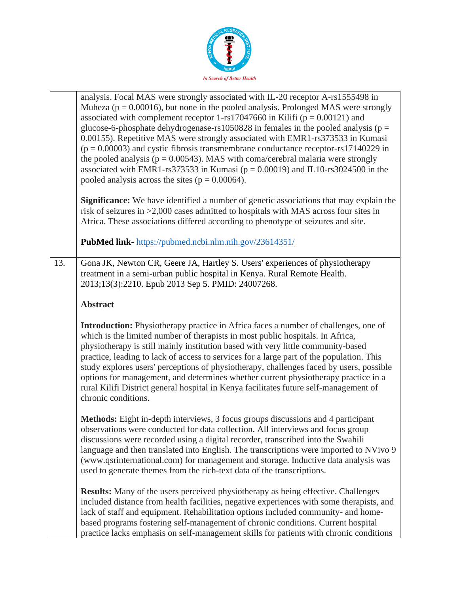

|     | analysis. Focal MAS were strongly associated with IL-20 receptor A-rs1555498 in<br>Muheza ( $p = 0.00016$ ), but none in the pooled analysis. Prolonged MAS were strongly<br>associated with complement receptor 1-rs17047660 in Kilifi ( $p = 0.00121$ ) and<br>glucose-6-phosphate dehydrogenase-rs1050828 in females in the pooled analysis ( $p =$<br>0.00155). Repetitive MAS were strongly associated with EMR1-rs373533 in Kumasi<br>$(p = 0.00003)$ and cystic fibrosis transmembrane conductance receptor-rs17140229 in<br>the pooled analysis ( $p = 0.00543$ ). MAS with coma/cerebral malaria were strongly<br>associated with EMR1-rs373533 in Kumasi ( $p = 0.00019$ ) and IL10-rs3024500 in the<br>pooled analysis across the sites ( $p = 0.00064$ ). |
|-----|-----------------------------------------------------------------------------------------------------------------------------------------------------------------------------------------------------------------------------------------------------------------------------------------------------------------------------------------------------------------------------------------------------------------------------------------------------------------------------------------------------------------------------------------------------------------------------------------------------------------------------------------------------------------------------------------------------------------------------------------------------------------------|
|     | <b>Significance:</b> We have identified a number of genetic associations that may explain the<br>risk of seizures in >2,000 cases admitted to hospitals with MAS across four sites in<br>Africa. These associations differed according to phenotype of seizures and site.                                                                                                                                                                                                                                                                                                                                                                                                                                                                                             |
|     | PubMed link-https://pubmed.ncbi.nlm.nih.gov/23614351/                                                                                                                                                                                                                                                                                                                                                                                                                                                                                                                                                                                                                                                                                                                 |
| 13. | Gona JK, Newton CR, Geere JA, Hartley S. Users' experiences of physiotherapy<br>treatment in a semi-urban public hospital in Kenya. Rural Remote Health.<br>2013;13(3):2210. Epub 2013 Sep 5. PMID: 24007268.                                                                                                                                                                                                                                                                                                                                                                                                                                                                                                                                                         |
|     | <b>Abstract</b>                                                                                                                                                                                                                                                                                                                                                                                                                                                                                                                                                                                                                                                                                                                                                       |
|     | <b>Introduction:</b> Physiotherapy practice in Africa faces a number of challenges, one of<br>which is the limited number of therapists in most public hospitals. In Africa,<br>physiotherapy is still mainly institution based with very little community-based<br>practice, leading to lack of access to services for a large part of the population. This<br>study explores users' perceptions of physiotherapy, challenges faced by users, possible<br>options for management, and determines whether current physiotherapy practice in a<br>rural Kilifi District general hospital in Kenya facilitates future self-management of<br>chronic conditions.                                                                                                         |
|     | Methods: Eight in-depth interviews, 3 focus groups discussions and 4 participant<br>observations were conducted for data collection. All interviews and focus group<br>discussions were recorded using a digital recorder, transcribed into the Swahili<br>language and then translated into English. The transcriptions were imported to NVivo 9<br>(www.qsrinternational.com) for management and storage. Inductive data analysis was<br>used to generate themes from the rich-text data of the transcriptions.                                                                                                                                                                                                                                                     |
|     | <b>Results:</b> Many of the users perceived physiotherapy as being effective. Challenges<br>included distance from health facilities, negative experiences with some therapists, and<br>lack of staff and equipment. Rehabilitation options included community- and home-<br>based programs fostering self-management of chronic conditions. Current hospital<br>practice lacks emphasis on self-management skills for patients with chronic conditions                                                                                                                                                                                                                                                                                                               |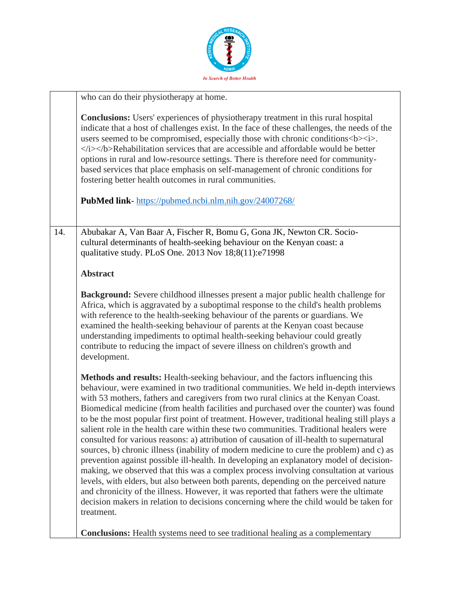

|     | who can do their physiotherapy at home.                                                                                                                                                                                                                                                                                                                                                                                                                                                                                                                                                                                                                                                                                                                                                                                                                                                                                                                                                                                                                                                                                                                                                                                 |
|-----|-------------------------------------------------------------------------------------------------------------------------------------------------------------------------------------------------------------------------------------------------------------------------------------------------------------------------------------------------------------------------------------------------------------------------------------------------------------------------------------------------------------------------------------------------------------------------------------------------------------------------------------------------------------------------------------------------------------------------------------------------------------------------------------------------------------------------------------------------------------------------------------------------------------------------------------------------------------------------------------------------------------------------------------------------------------------------------------------------------------------------------------------------------------------------------------------------------------------------|
|     | <b>Conclusions:</b> Users' experiences of physiotherapy treatment in this rural hospital<br>indicate that a host of challenges exist. In the face of these challenges, the needs of the<br>users seemed to be compromised, especially those with chronic conditions <b><i>&gt;&gt;&gt;&gt;.<br/><math>\langle</math>i&gt;<math>\langle</math>b&gt;Rehabilitation services that are accessible and affordable would be better<br/>options in rural and low-resource settings. There is therefore need for community-<br/>based services that place emphasis on self-management of chronic conditions for<br/>fostering better health outcomes in rural communities.</i></b>                                                                                                                                                                                                                                                                                                                                                                                                                                                                                                                                              |
|     | <b>PubMed link-</b> https://pubmed.ncbi.nlm.nih.gov/24007268/                                                                                                                                                                                                                                                                                                                                                                                                                                                                                                                                                                                                                                                                                                                                                                                                                                                                                                                                                                                                                                                                                                                                                           |
|     |                                                                                                                                                                                                                                                                                                                                                                                                                                                                                                                                                                                                                                                                                                                                                                                                                                                                                                                                                                                                                                                                                                                                                                                                                         |
| 14. | Abubakar A, Van Baar A, Fischer R, Bomu G, Gona JK, Newton CR. Socio-<br>cultural determinants of health-seeking behaviour on the Kenyan coast: a<br>qualitative study. PLoS One. 2013 Nov 18;8(11):e71998                                                                                                                                                                                                                                                                                                                                                                                                                                                                                                                                                                                                                                                                                                                                                                                                                                                                                                                                                                                                              |
|     | <b>Abstract</b>                                                                                                                                                                                                                                                                                                                                                                                                                                                                                                                                                                                                                                                                                                                                                                                                                                                                                                                                                                                                                                                                                                                                                                                                         |
|     | <b>Background:</b> Severe childhood illnesses present a major public health challenge for<br>Africa, which is aggravated by a suboptimal response to the child's health problems<br>with reference to the health-seeking behaviour of the parents or guardians. We<br>examined the health-seeking behaviour of parents at the Kenyan coast because<br>understanding impediments to optimal health-seeking behaviour could greatly<br>contribute to reducing the impact of severe illness on children's growth and<br>development.                                                                                                                                                                                                                                                                                                                                                                                                                                                                                                                                                                                                                                                                                       |
|     | Methods and results: Health-seeking behaviour, and the factors influencing this<br>behaviour, were examined in two traditional communities. We held in-depth interviews<br>with 53 mothers, fathers and caregivers from two rural clinics at the Kenyan Coast.<br>Biomedical medicine (from health facilities and purchased over the counter) was found<br>to be the most popular first point of treatment. However, traditional healing still plays a<br>salient role in the health care within these two communities. Traditional healers were<br>consulted for various reasons: a) attribution of causation of ill-health to supernatural<br>sources, b) chronic illness (inability of modern medicine to cure the problem) and c) as<br>prevention against possible ill-health. In developing an explanatory model of decision-<br>making, we observed that this was a complex process involving consultation at various<br>levels, with elders, but also between both parents, depending on the perceived nature<br>and chronicity of the illness. However, it was reported that fathers were the ultimate<br>decision makers in relation to decisions concerning where the child would be taken for<br>treatment. |
|     | <b>Conclusions:</b> Health systems need to see traditional healing as a complementary                                                                                                                                                                                                                                                                                                                                                                                                                                                                                                                                                                                                                                                                                                                                                                                                                                                                                                                                                                                                                                                                                                                                   |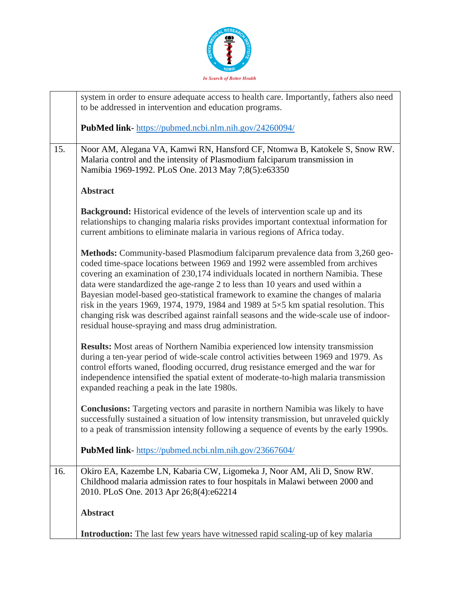

|     | system in order to ensure adequate access to health care. Importantly, fathers also need<br>to be addressed in intervention and education programs.                                                                                                                                                                                                                                                                                                                                                                                                                                                                                                                           |
|-----|-------------------------------------------------------------------------------------------------------------------------------------------------------------------------------------------------------------------------------------------------------------------------------------------------------------------------------------------------------------------------------------------------------------------------------------------------------------------------------------------------------------------------------------------------------------------------------------------------------------------------------------------------------------------------------|
|     | <b>PubMed link-</b> https://pubmed.ncbi.nlm.nih.gov/24260094/                                                                                                                                                                                                                                                                                                                                                                                                                                                                                                                                                                                                                 |
| 15. | Noor AM, Alegana VA, Kamwi RN, Hansford CF, Ntomwa B, Katokele S, Snow RW.<br>Malaria control and the intensity of Plasmodium falciparum transmission in<br>Namibia 1969-1992. PLoS One. 2013 May 7;8(5):e63350                                                                                                                                                                                                                                                                                                                                                                                                                                                               |
|     | <b>Abstract</b>                                                                                                                                                                                                                                                                                                                                                                                                                                                                                                                                                                                                                                                               |
|     | <b>Background:</b> Historical evidence of the levels of intervention scale up and its<br>relationships to changing malaria risks provides important contextual information for<br>current ambitions to eliminate malaria in various regions of Africa today.                                                                                                                                                                                                                                                                                                                                                                                                                  |
|     | Methods: Community-based Plasmodium falciparum prevalence data from 3,260 geo-<br>coded time-space locations between 1969 and 1992 were assembled from archives<br>covering an examination of 230,174 individuals located in northern Namibia. These<br>data were standardized the age-range 2 to less than 10 years and used within a<br>Bayesian model-based geo-statistical framework to examine the changes of malaria<br>risk in the years 1969, 1974, 1979, 1984 and 1989 at $5\times 5$ km spatial resolution. This<br>changing risk was described against rainfall seasons and the wide-scale use of indoor-<br>residual house-spraying and mass drug administration. |
|     | <b>Results:</b> Most areas of Northern Namibia experienced low intensity transmission<br>during a ten-year period of wide-scale control activities between 1969 and 1979. As<br>control efforts waned, flooding occurred, drug resistance emerged and the war for<br>independence intensified the spatial extent of moderate-to-high malaria transmission<br>expanded reaching a peak in the late 1980s.                                                                                                                                                                                                                                                                      |
|     | <b>Conclusions:</b> Targeting vectors and parasite in northern Namibia was likely to have<br>successfully sustained a situation of low intensity transmission, but unraveled quickly<br>to a peak of transmission intensity following a sequence of events by the early 1990s.                                                                                                                                                                                                                                                                                                                                                                                                |
|     | PubMed link- https://pubmed.ncbi.nlm.nih.gov/23667604/                                                                                                                                                                                                                                                                                                                                                                                                                                                                                                                                                                                                                        |
| 16. | Okiro EA, Kazembe LN, Kabaria CW, Ligomeka J, Noor AM, Ali D, Snow RW.<br>Childhood malaria admission rates to four hospitals in Malawi between 2000 and<br>2010. PLoS One. 2013 Apr 26;8(4):e62214                                                                                                                                                                                                                                                                                                                                                                                                                                                                           |
|     | <b>Abstract</b>                                                                                                                                                                                                                                                                                                                                                                                                                                                                                                                                                                                                                                                               |
|     | <b>Introduction:</b> The last few years have witnessed rapid scaling-up of key malaria                                                                                                                                                                                                                                                                                                                                                                                                                                                                                                                                                                                        |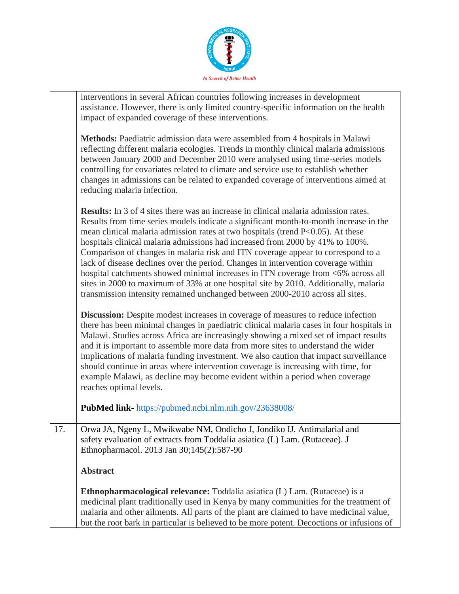

|     | Ethnopharmacological relevance: Toddalia asiatica (L) Lam. (Rutaceae) is a<br>medicinal plant traditionally used in Kenya by many communities for the treatment of<br>malaria and other ailments. All parts of the plant are claimed to have medicinal value,<br>but the root bark in particular is believed to be more potent. Decoctions or infusions of                                                                                                                                                                                                                                                                                                                                                                                                                                      |
|-----|-------------------------------------------------------------------------------------------------------------------------------------------------------------------------------------------------------------------------------------------------------------------------------------------------------------------------------------------------------------------------------------------------------------------------------------------------------------------------------------------------------------------------------------------------------------------------------------------------------------------------------------------------------------------------------------------------------------------------------------------------------------------------------------------------|
|     | <b>Abstract</b>                                                                                                                                                                                                                                                                                                                                                                                                                                                                                                                                                                                                                                                                                                                                                                                 |
| 17. | Orwa JA, Ngeny L, Mwikwabe NM, Ondicho J, Jondiko IJ. Antimalarial and<br>safety evaluation of extracts from Toddalia asiatica (L) Lam. (Rutaceae). J<br>Ethnopharmacol. 2013 Jan 30;145(2):587-90                                                                                                                                                                                                                                                                                                                                                                                                                                                                                                                                                                                              |
|     | PubMed link-https://pubmed.ncbi.nlm.nih.gov/23638008/                                                                                                                                                                                                                                                                                                                                                                                                                                                                                                                                                                                                                                                                                                                                           |
|     | <b>Discussion:</b> Despite modest increases in coverage of measures to reduce infection<br>there has been minimal changes in paediatric clinical malaria cases in four hospitals in<br>Malawi. Studies across Africa are increasingly showing a mixed set of impact results<br>and it is important to assemble more data from more sites to understand the wider<br>implications of malaria funding investment. We also caution that impact surveillance<br>should continue in areas where intervention coverage is increasing with time, for<br>example Malawi, as decline may become evident within a period when coverage<br>reaches optimal levels.                                                                                                                                         |
|     | <b>Results:</b> In 3 of 4 sites there was an increase in clinical malaria admission rates.<br>Results from time series models indicate a significant month-to-month increase in the<br>mean clinical malaria admission rates at two hospitals (trend $P<0.05$ ). At these<br>hospitals clinical malaria admissions had increased from 2000 by 41% to 100%.<br>Comparison of changes in malaria risk and ITN coverage appear to correspond to a<br>lack of disease declines over the period. Changes in intervention coverage within<br>hospital catchments showed minimal increases in ITN coverage from <6% across all<br>sites in 2000 to maximum of 33% at one hospital site by 2010. Additionally, malaria<br>transmission intensity remained unchanged between 2000-2010 across all sites. |
|     | Methods: Paediatric admission data were assembled from 4 hospitals in Malawi<br>reflecting different malaria ecologies. Trends in monthly clinical malaria admissions<br>between January 2000 and December 2010 were analysed using time-series models<br>controlling for covariates related to climate and service use to establish whether<br>changes in admissions can be related to expanded coverage of interventions aimed at<br>reducing malaria infection.                                                                                                                                                                                                                                                                                                                              |
|     | interventions in several African countries following increases in development<br>assistance. However, there is only limited country-specific information on the health<br>impact of expanded coverage of these interventions.                                                                                                                                                                                                                                                                                                                                                                                                                                                                                                                                                                   |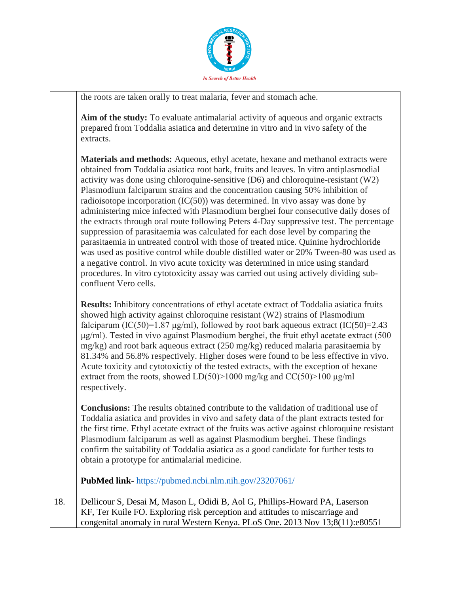

the roots are taken orally to treat malaria, fever and stomach ache.

**Aim of the study:** To evaluate antimalarial activity of aqueous and organic extracts prepared from Toddalia asiatica and determine in vitro and in vivo safety of the extracts.

**Materials and methods:** Aqueous, ethyl acetate, hexane and methanol extracts were obtained from Toddalia asiatica root bark, fruits and leaves. In vitro antiplasmodial activity was done using chloroquine-sensitive (D6) and chloroquine-resistant (W2) Plasmodium falciparum strains and the concentration causing 50% inhibition of radioisotope incorporation  $(IC(50))$  was determined. In vivo assay was done by administering mice infected with Plasmodium berghei four consecutive daily doses of the extracts through oral route following Peters 4-Day suppressive test. The percentage suppression of parasitaemia was calculated for each dose level by comparing the parasitaemia in untreated control with those of treated mice. Quinine hydrochloride was used as positive control while double distilled water or 20% Tween-80 was used as a negative control. In vivo acute toxicity was determined in mice using standard procedures. In vitro cytotoxicity assay was carried out using actively dividing subconfluent Vero cells.

**Results:** Inhibitory concentrations of ethyl acetate extract of Toddalia asiatica fruits showed high activity against chloroquine resistant (W2) strains of Plasmodium falciparum (IC(50)=1.87  $\mu$ g/ml), followed by root bark aqueous extract (IC(50)=2.43 μg/ml). Tested in vivo against Plasmodium berghei, the fruit ethyl acetate extract (500  $mg/kg$ ) and root bark aqueous extract (250 mg/kg) reduced malaria parasitaemia by 81.34% and 56.8% respectively. Higher doses were found to be less effective in vivo. Acute toxicity and cytotoxictiy of the tested extracts, with the exception of hexane extract from the roots, showed LD(50)>1000 mg/kg and  $CC(50)$ >100  $\mu$ g/ml respectively.

**Conclusions:** The results obtained contribute to the validation of traditional use of Toddalia asiatica and provides in vivo and safety data of the plant extracts tested for the first time. Ethyl acetate extract of the fruits was active against chloroquine resistant Plasmodium falciparum as well as against Plasmodium berghei. These findings confirm the suitability of Toddalia asiatica as a good candidate for further tests to obtain a prototype for antimalarial medicine.

**PubMed link**- <https://pubmed.ncbi.nlm.nih.gov/23207061/>

18. Dellicour S, Desai M, Mason L, Odidi B, Aol G, Phillips-Howard PA, Laserson KF, Ter Kuile FO. Exploring risk perception and attitudes to miscarriage and congenital anomaly in rural Western Kenya. PLoS One. 2013 Nov 13;8(11):e80551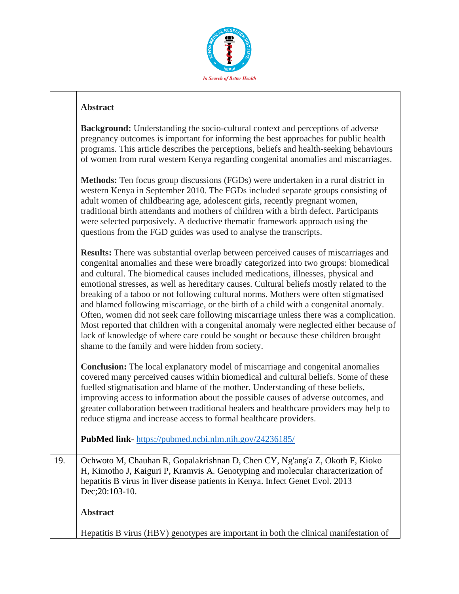

### **Abstract**

**Background:** Understanding the socio-cultural context and perceptions of adverse pregnancy outcomes is important for informing the best approaches for public health programs. This article describes the perceptions, beliefs and health-seeking behaviours of women from rural western Kenya regarding congenital anomalies and miscarriages.

**Methods:** Ten focus group discussions (FGDs) were undertaken in a rural district in western Kenya in September 2010. The FGDs included separate groups consisting of adult women of childbearing age, adolescent girls, recently pregnant women, traditional birth attendants and mothers of children with a birth defect. Participants were selected purposively. A deductive thematic framework approach using the questions from the FGD guides was used to analyse the transcripts.

**Results:** There was substantial overlap between perceived causes of miscarriages and congenital anomalies and these were broadly categorized into two groups: biomedical and cultural. The biomedical causes included medications, illnesses, physical and emotional stresses, as well as hereditary causes. Cultural beliefs mostly related to the breaking of a taboo or not following cultural norms. Mothers were often stigmatised and blamed following miscarriage, or the birth of a child with a congenital anomaly. Often, women did not seek care following miscarriage unless there was a complication. Most reported that children with a congenital anomaly were neglected either because of lack of knowledge of where care could be sought or because these children brought shame to the family and were hidden from society.

**Conclusion:** The local explanatory model of miscarriage and congenital anomalies covered many perceived causes within biomedical and cultural beliefs. Some of these fuelled stigmatisation and blame of the mother. Understanding of these beliefs, improving access to information about the possible causes of adverse outcomes, and greater collaboration between traditional healers and healthcare providers may help to reduce stigma and increase access to formal healthcare providers.

**PubMed link**- <https://pubmed.ncbi.nlm.nih.gov/24236185/>

19. Ochwoto M, Chauhan R, Gopalakrishnan D, Chen CY, Ng'ang'a Z, Okoth F, Kioko H, Kimotho J, Kaiguri P, Kramvis A. Genotyping and molecular characterization of hepatitis B virus in liver disease patients in Kenya. Infect Genet Evol. 2013 Dec;20:103-10.

**Abstract**

Hepatitis B virus (HBV) genotypes are important in both the clinical manifestation of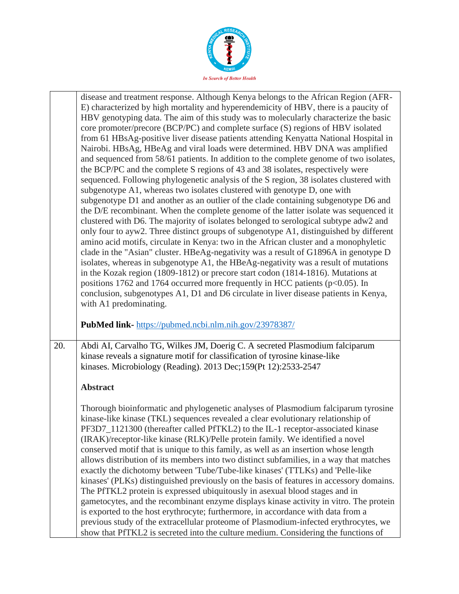

|     | disease and treatment response. Although Kenya belongs to the African Region (AFR-<br>E) characterized by high mortality and hyperendemicity of HBV, there is a paucity of<br>HBV genotyping data. The aim of this study was to molecularly characterize the basic<br>core promoter/precore (BCP/PC) and complete surface (S) regions of HBV isolated<br>from 61 HBsAg-positive liver disease patients attending Kenyatta National Hospital in<br>Nairobi. HBsAg, HBeAg and viral loads were determined. HBV DNA was amplified<br>and sequenced from 58/61 patients. In addition to the complete genome of two isolates,<br>the BCP/PC and the complete S regions of 43 and 38 isolates, respectively were<br>sequenced. Following phylogenetic analysis of the S region, 38 isolates clustered with<br>subgenotype A1, whereas two isolates clustered with genotype D, one with<br>subgenotype D1 and another as an outlier of the clade containing subgenotype D6 and<br>the D/E recombinant. When the complete genome of the latter isolate was sequenced it<br>clustered with D6. The majority of isolates belonged to serological subtype adw2 and<br>only four to ayw2. Three distinct groups of subgenotype A1, distinguished by different<br>amino acid motifs, circulate in Kenya: two in the African cluster and a monophyletic<br>clade in the "Asian" cluster. HBeAg-negativity was a result of G1896A in genotype D<br>isolates, whereas in subgenotype A1, the HBeAg-negativity was a result of mutations<br>in the Kozak region (1809-1812) or precore start codon (1814-1816). Mutations at<br>positions 1762 and 1764 occurred more frequently in HCC patients ( $p<0.05$ ). In<br>conclusion, subgenotypes A1, D1 and D6 circulate in liver disease patients in Kenya,<br>with A1 predominating. |
|-----|--------------------------------------------------------------------------------------------------------------------------------------------------------------------------------------------------------------------------------------------------------------------------------------------------------------------------------------------------------------------------------------------------------------------------------------------------------------------------------------------------------------------------------------------------------------------------------------------------------------------------------------------------------------------------------------------------------------------------------------------------------------------------------------------------------------------------------------------------------------------------------------------------------------------------------------------------------------------------------------------------------------------------------------------------------------------------------------------------------------------------------------------------------------------------------------------------------------------------------------------------------------------------------------------------------------------------------------------------------------------------------------------------------------------------------------------------------------------------------------------------------------------------------------------------------------------------------------------------------------------------------------------------------------------------------------------------------------------------------------------------------------------------------------------------------------------|
|     | PubMed link- https://pubmed.ncbi.nlm.nih.gov/23978387/                                                                                                                                                                                                                                                                                                                                                                                                                                                                                                                                                                                                                                                                                                                                                                                                                                                                                                                                                                                                                                                                                                                                                                                                                                                                                                                                                                                                                                                                                                                                                                                                                                                                                                                                                             |
| 20. | Abdi AI, Carvalho TG, Wilkes JM, Doerig C. A secreted Plasmodium falciparum<br>kinase reveals a signature motif for classification of tyrosine kinase-like<br>kinases. Microbiology (Reading). 2013 Dec;159(Pt 12):2533-2547<br><b>Abstract</b>                                                                                                                                                                                                                                                                                                                                                                                                                                                                                                                                                                                                                                                                                                                                                                                                                                                                                                                                                                                                                                                                                                                                                                                                                                                                                                                                                                                                                                                                                                                                                                    |
|     | Thorough bioinformatic and phylogenetic analyses of Plasmodium falciparum tyrosine<br>kinase-like kinase (TKL) sequences revealed a clear evolutionary relationship of<br>PF3D7_1121300 (thereafter called PfTKL2) to the IL-1 receptor-associated kinase<br>(IRAK)/receptor-like kinase (RLK)/Pelle protein family. We identified a novel<br>conserved motif that is unique to this family, as well as an insertion whose length<br>allows distribution of its members into two distinct subfamilies, in a way that matches<br>exactly the dichotomy between 'Tube/Tube-like kinases' (TTLKs) and 'Pelle-like<br>kinases' (PLKs) distinguished previously on the basis of features in accessory domains.<br>The PfTKL2 protein is expressed ubiquitously in asexual blood stages and in                                                                                                                                                                                                                                                                                                                                                                                                                                                                                                                                                                                                                                                                                                                                                                                                                                                                                                                                                                                                                           |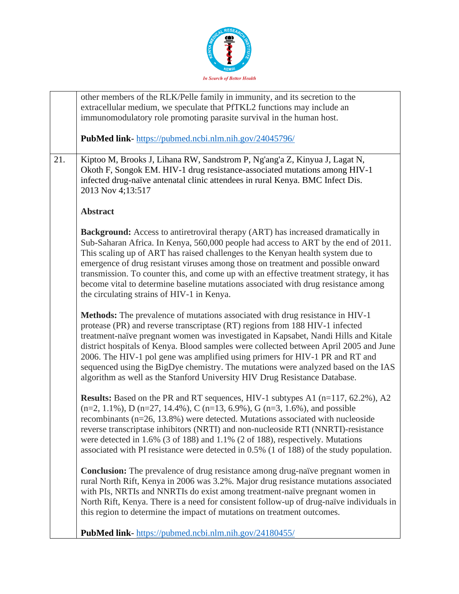

other members of the RLK/Pelle family in immunity, and its secretion to the extracellular medium, we speculate that PfTKL2 functions may include an immunomodulatory role promoting parasite survival in the human host. **PubMed link**- <https://pubmed.ncbi.nlm.nih.gov/24045796/> 21. Kiptoo M, Brooks J, Lihana RW, Sandstrom P, Ng'ang'a Z, Kinyua J, Lagat N, Okoth F, Songok EM. HIV-1 drug resistance-associated mutations among HIV-1 infected drug-naïve antenatal clinic attendees in rural Kenya. BMC Infect Dis. 2013 Nov 4;13:517 **Abstract Background:** Access to antiretroviral therapy (ART) has increased dramatically in Sub-Saharan Africa. In Kenya, 560,000 people had access to ART by the end of 2011. This scaling up of ART has raised challenges to the Kenyan health system due to emergence of drug resistant viruses among those on treatment and possible onward transmission. To counter this, and come up with an effective treatment strategy, it has become vital to determine baseline mutations associated with drug resistance among the circulating strains of HIV-1 in Kenya. **Methods:** The prevalence of mutations associated with drug resistance in HIV-1 protease (PR) and reverse transcriptase (RT) regions from 188 HIV-1 infected treatment-naïve pregnant women was investigated in Kapsabet, Nandi Hills and Kitale district hospitals of Kenya. Blood samples were collected between April 2005 and June 2006. The HIV-1 pol gene was amplified using primers for HIV-1 PR and RT and sequenced using the BigDye chemistry. The mutations were analyzed based on the IAS algorithm as well as the Stanford University HIV Drug Resistance Database. **Results:** Based on the PR and RT sequences, HIV-1 subtypes A1 (n=117, 62.2%), A2  $(n=2, 1.1\%)$ , D  $(n=27, 14.4\%)$ , C  $(n=13, 6.9\%)$ , G  $(n=3, 1.6\%)$ , and possible recombinants (n=26, 13.8%) were detected. Mutations associated with nucleoside reverse transcriptase inhibitors (NRTI) and non-nucleoside RTI (NNRTI)-resistance were detected in 1.6% (3 of 188) and 1.1% (2 of 188), respectively. Mutations associated with PI resistance were detected in 0.5% (1 of 188) of the study population. **Conclusion:** The prevalence of drug resistance among drug-naïve pregnant women in rural North Rift, Kenya in 2006 was 3.2%. Major drug resistance mutations associated with PIs, NRTIs and NNRTIs do exist among treatment-naïve pregnant women in North Rift, Kenya. There is a need for consistent follow-up of drug-naïve individuals in this region to determine the impact of mutations on treatment outcomes. **PubMed link**- <https://pubmed.ncbi.nlm.nih.gov/24180455/>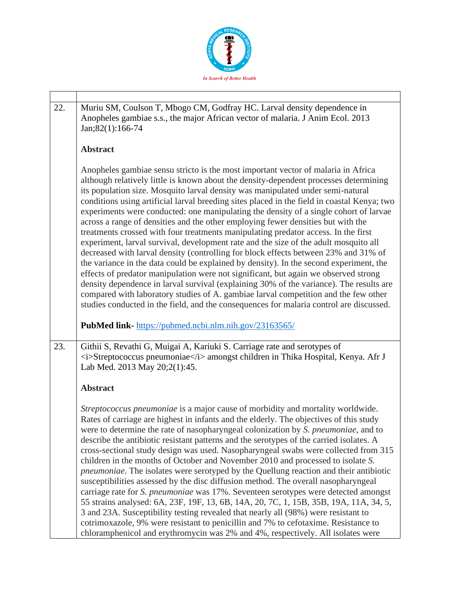

| 22. | Muriu SM, Coulson T, Mbogo CM, Godfray HC. Larval density dependence in<br>Anopheles gambiae s.s., the major African vector of malaria. J Anim Ecol. 2013<br>Jan;82(1):166-74                                                                                                                                                                                                                                                                                                                                                                                                                                                                                                                                                                                                                                                                                                                                                                                                                                                                                                                                                                                                                                                                                                |
|-----|------------------------------------------------------------------------------------------------------------------------------------------------------------------------------------------------------------------------------------------------------------------------------------------------------------------------------------------------------------------------------------------------------------------------------------------------------------------------------------------------------------------------------------------------------------------------------------------------------------------------------------------------------------------------------------------------------------------------------------------------------------------------------------------------------------------------------------------------------------------------------------------------------------------------------------------------------------------------------------------------------------------------------------------------------------------------------------------------------------------------------------------------------------------------------------------------------------------------------------------------------------------------------|
|     | <b>Abstract</b>                                                                                                                                                                                                                                                                                                                                                                                                                                                                                                                                                                                                                                                                                                                                                                                                                                                                                                                                                                                                                                                                                                                                                                                                                                                              |
|     | Anopheles gambiae sensu stricto is the most important vector of malaria in Africa<br>although relatively little is known about the density-dependent processes determining<br>its population size. Mosquito larval density was manipulated under semi-natural<br>conditions using artificial larval breeding sites placed in the field in coastal Kenya; two<br>experiments were conducted: one manipulating the density of a single cohort of larvae<br>across a range of densities and the other employing fewer densities but with the<br>treatments crossed with four treatments manipulating predator access. In the first<br>experiment, larval survival, development rate and the size of the adult mosquito all<br>decreased with larval density (controlling for block effects between 23% and 31% of<br>the variance in the data could be explained by density). In the second experiment, the<br>effects of predator manipulation were not significant, but again we observed strong<br>density dependence in larval survival (explaining 30% of the variance). The results are<br>compared with laboratory studies of A. gambiae larval competition and the few other<br>studies conducted in the field, and the consequences for malaria control are discussed. |
|     | PubMed link-https://pubmed.ncbi.nlm.nih.gov/23163565/                                                                                                                                                                                                                                                                                                                                                                                                                                                                                                                                                                                                                                                                                                                                                                                                                                                                                                                                                                                                                                                                                                                                                                                                                        |
| 23. | Githii S, Revathi G, Muigai A, Kariuki S. Carriage rate and serotypes of<br><i>Streptococcus pneumoniae</i> amongst children in Thika Hospital, Kenya. Afr J<br>Lab Med. 2013 May 20;2(1):45.                                                                                                                                                                                                                                                                                                                                                                                                                                                                                                                                                                                                                                                                                                                                                                                                                                                                                                                                                                                                                                                                                |
|     | <b>Abstract</b>                                                                                                                                                                                                                                                                                                                                                                                                                                                                                                                                                                                                                                                                                                                                                                                                                                                                                                                                                                                                                                                                                                                                                                                                                                                              |
|     | Streptococcus pneumoniae is a major cause of morbidity and mortality worldwide.<br>Rates of carriage are highest in infants and the elderly. The objectives of this study<br>were to determine the rate of nasopharyngeal colonization by S. <i>pneumoniae</i> , and to<br>describe the antibiotic resistant patterns and the serotypes of the carried isolates. A<br>cross-sectional study design was used. Nasopharyngeal swabs were collected from 315<br>children in the months of October and November 2010 and processed to isolate S.<br><i>pneumoniae</i> . The isolates were serotyped by the Quellung reaction and their antibiotic<br>susceptibilities assessed by the disc diffusion method. The overall nasopharyngeal<br>carriage rate for S. pneumoniae was 17%. Seventeen serotypes were detected amongst<br>55 strains analysed: 6A, 23F, 19F, 13, 6B, 14A, 20, 7C, 1, 15B, 35B, 19A, 11A, 34, 5,<br>3 and 23A. Susceptibility testing revealed that nearly all (98%) were resistant to<br>cotrimoxazole, 9% were resistant to penicillin and 7% to cefotaxime. Resistance to<br>chloramphenicol and erythromycin was 2% and 4%, respectively. All isolates were                                                                                            |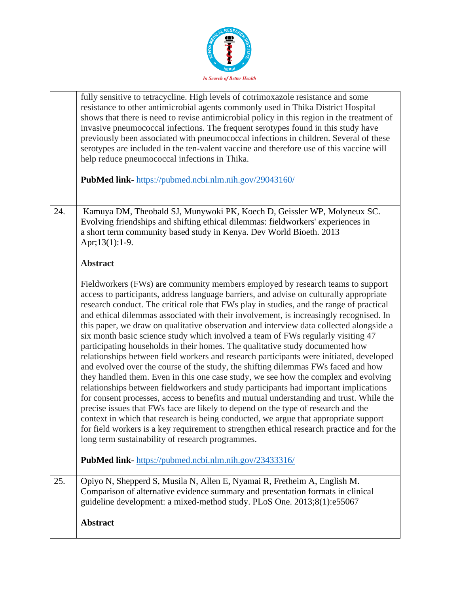

|     | fully sensitive to tetracycline. High levels of cotrimoxazole resistance and some<br>resistance to other antimicrobial agents commonly used in Thika District Hospital<br>shows that there is need to revise antimicrobial policy in this region in the treatment of<br>invasive pneumococcal infections. The frequent serotypes found in this study have<br>previously been associated with pneumococcal infections in children. Several of these<br>serotypes are included in the ten-valent vaccine and therefore use of this vaccine will<br>help reduce pneumococcal infections in Thika.<br>PubMed link-https://pubmed.ncbi.nlm.nih.gov/29043160/                                                                                                                                                                                                                                                                                                                                                                                                                                                                                                                                                                                                                                                                                                                                                                                                                           |
|-----|-----------------------------------------------------------------------------------------------------------------------------------------------------------------------------------------------------------------------------------------------------------------------------------------------------------------------------------------------------------------------------------------------------------------------------------------------------------------------------------------------------------------------------------------------------------------------------------------------------------------------------------------------------------------------------------------------------------------------------------------------------------------------------------------------------------------------------------------------------------------------------------------------------------------------------------------------------------------------------------------------------------------------------------------------------------------------------------------------------------------------------------------------------------------------------------------------------------------------------------------------------------------------------------------------------------------------------------------------------------------------------------------------------------------------------------------------------------------------------------|
| 24. | Kamuya DM, Theobald SJ, Munywoki PK, Koech D, Geissler WP, Molyneux SC.<br>Evolving friendships and shifting ethical dilemmas: fieldworkers' experiences in<br>a short term community based study in Kenya. Dev World Bioeth. 2013<br>Apr;13(1):1-9.<br><b>Abstract</b>                                                                                                                                                                                                                                                                                                                                                                                                                                                                                                                                                                                                                                                                                                                                                                                                                                                                                                                                                                                                                                                                                                                                                                                                           |
|     | Fieldworkers (FWs) are community members employed by research teams to support<br>access to participants, address language barriers, and advise on culturally appropriate<br>research conduct. The critical role that FWs play in studies, and the range of practical<br>and ethical dilemmas associated with their involvement, is increasingly recognised. In<br>this paper, we draw on qualitative observation and interview data collected alongside a<br>six month basic science study which involved a team of FWs regularly visiting 47<br>participating households in their homes. The qualitative study documented how<br>relationships between field workers and research participants were initiated, developed<br>and evolved over the course of the study, the shifting dilemmas FWs faced and how<br>they handled them. Even in this one case study, we see how the complex and evolving<br>relationships between fieldworkers and study participants had important implications<br>for consent processes, access to benefits and mutual understanding and trust. While the<br>precise issues that FWs face are likely to depend on the type of research and the<br>context in which that research is being conducted, we argue that appropriate support<br>for field workers is a key requirement to strengthen ethical research practice and for the<br>long term sustainability of research programmes.<br>PubMed link-https://pubmed.ncbi.nlm.nih.gov/23433316/ |
| 25. | Opiyo N, Shepperd S, Musila N, Allen E, Nyamai R, Fretheim A, English M.                                                                                                                                                                                                                                                                                                                                                                                                                                                                                                                                                                                                                                                                                                                                                                                                                                                                                                                                                                                                                                                                                                                                                                                                                                                                                                                                                                                                          |
|     | Comparison of alternative evidence summary and presentation formats in clinical<br>guideline development: a mixed-method study. PLoS One. 2013;8(1):e55067                                                                                                                                                                                                                                                                                                                                                                                                                                                                                                                                                                                                                                                                                                                                                                                                                                                                                                                                                                                                                                                                                                                                                                                                                                                                                                                        |
|     | <b>Abstract</b>                                                                                                                                                                                                                                                                                                                                                                                                                                                                                                                                                                                                                                                                                                                                                                                                                                                                                                                                                                                                                                                                                                                                                                                                                                                                                                                                                                                                                                                                   |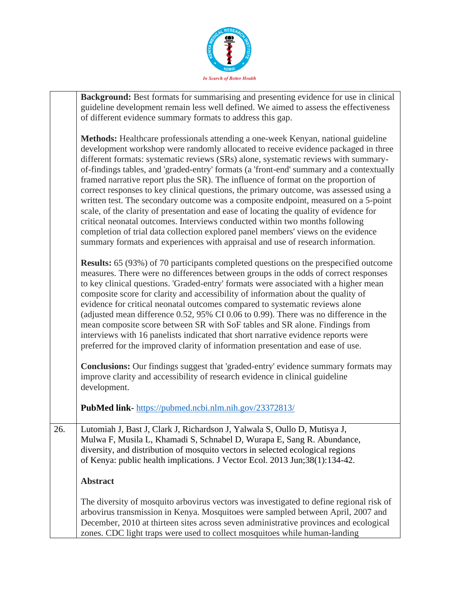

|     | Background: Best formats for summarising and presenting evidence for use in clinical<br>guideline development remain less well defined. We aimed to assess the effectiveness                                                                                                                                                                                                                                                                                                                                                                                                                                                                                                                                                                                                                                                                                                                                                                                                        |
|-----|-------------------------------------------------------------------------------------------------------------------------------------------------------------------------------------------------------------------------------------------------------------------------------------------------------------------------------------------------------------------------------------------------------------------------------------------------------------------------------------------------------------------------------------------------------------------------------------------------------------------------------------------------------------------------------------------------------------------------------------------------------------------------------------------------------------------------------------------------------------------------------------------------------------------------------------------------------------------------------------|
|     | of different evidence summary formats to address this gap.                                                                                                                                                                                                                                                                                                                                                                                                                                                                                                                                                                                                                                                                                                                                                                                                                                                                                                                          |
|     | Methods: Healthcare professionals attending a one-week Kenyan, national guideline<br>development workshop were randomly allocated to receive evidence packaged in three<br>different formats: systematic reviews (SRs) alone, systematic reviews with summary-<br>of-findings tables, and 'graded-entry' formats (a 'front-end' summary and a contextually<br>framed narrative report plus the SR). The influence of format on the proportion of<br>correct responses to key clinical questions, the primary outcome, was assessed using a<br>written test. The secondary outcome was a composite endpoint, measured on a 5-point<br>scale, of the clarity of presentation and ease of locating the quality of evidence for<br>critical neonatal outcomes. Interviews conducted within two months following<br>completion of trial data collection explored panel members' views on the evidence<br>summary formats and experiences with appraisal and use of research information. |
|     | <b>Results:</b> 65 (93%) of 70 participants completed questions on the prespecified outcome<br>measures. There were no differences between groups in the odds of correct responses<br>to key clinical questions. 'Graded-entry' formats were associated with a higher mean<br>composite score for clarity and accessibility of information about the quality of<br>evidence for critical neonatal outcomes compared to systematic reviews alone<br>(adjusted mean difference 0.52, 95% CI 0.06 to 0.99). There was no difference in the<br>mean composite score between SR with SoF tables and SR alone. Findings from<br>interviews with 16 panelists indicated that short narrative evidence reports were<br>preferred for the improved clarity of information presentation and ease of use.                                                                                                                                                                                      |
|     | <b>Conclusions:</b> Our findings suggest that 'graded-entry' evidence summary formats may<br>improve clarity and accessibility of research evidence in clinical guideline<br>development.                                                                                                                                                                                                                                                                                                                                                                                                                                                                                                                                                                                                                                                                                                                                                                                           |
|     | PubMed link-https://pubmed.ncbi.nlm.nih.gov/23372813/                                                                                                                                                                                                                                                                                                                                                                                                                                                                                                                                                                                                                                                                                                                                                                                                                                                                                                                               |
| 26. | Lutomiah J, Bast J, Clark J, Richardson J, Yalwala S, Oullo D, Mutisya J,<br>Mulwa F, Musila L, Khamadi S, Schnabel D, Wurapa E, Sang R. Abundance,<br>diversity, and distribution of mosquito vectors in selected ecological regions<br>of Kenya: public health implications. J Vector Ecol. 2013 Jun;38(1):134-42.                                                                                                                                                                                                                                                                                                                                                                                                                                                                                                                                                                                                                                                                |
|     | <b>Abstract</b>                                                                                                                                                                                                                                                                                                                                                                                                                                                                                                                                                                                                                                                                                                                                                                                                                                                                                                                                                                     |
|     | The diversity of mosquito arbovirus vectors was investigated to define regional risk of<br>arbovirus transmission in Kenya. Mosquitoes were sampled between April, 2007 and<br>December, 2010 at thirteen sites across seven administrative provinces and ecological<br>zones. CDC light traps were used to collect mosquitoes while human-landing                                                                                                                                                                                                                                                                                                                                                                                                                                                                                                                                                                                                                                  |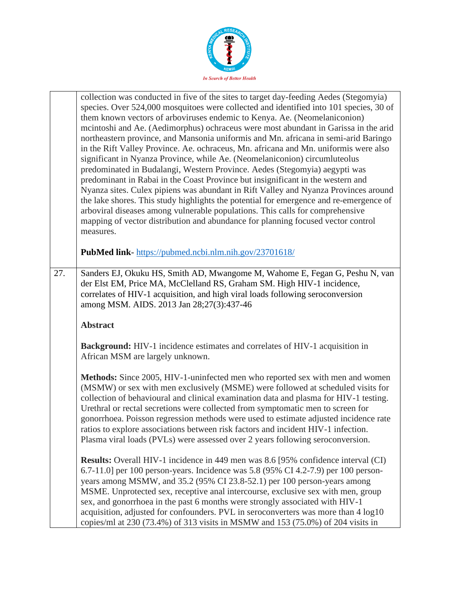

|     | collection was conducted in five of the sites to target day-feeding Aedes (Stegomyia)<br>species. Over 524,000 mosquitoes were collected and identified into 101 species, 30 of<br>them known vectors of arboviruses endemic to Kenya. Ae. (Neomelaniconion)<br>mcintoshi and Ae. (Aedimorphus) ochraceus were most abundant in Garissa in the arid<br>northeastern province, and Mansonia uniformis and Mn. africana in semi-arid Baringo<br>in the Rift Valley Province. Ae. ochraceus, Mn. africana and Mn. uniformis were also<br>significant in Nyanza Province, while Ae. (Neomelaniconion) circumluteolus<br>predominated in Budalangi, Western Province. Aedes (Stegomyia) aegypti was<br>predominant in Rabai in the Coast Province but insignificant in the western and<br>Nyanza sites. Culex pipiens was abundant in Rift Valley and Nyanza Provinces around<br>the lake shores. This study highlights the potential for emergence and re-emergence of<br>arboviral diseases among vulnerable populations. This calls for comprehensive<br>mapping of vector distribution and abundance for planning focused vector control<br>measures.<br>PubMed link-https://pubmed.ncbi.nlm.nih.gov/23701618/ |
|-----|---------------------------------------------------------------------------------------------------------------------------------------------------------------------------------------------------------------------------------------------------------------------------------------------------------------------------------------------------------------------------------------------------------------------------------------------------------------------------------------------------------------------------------------------------------------------------------------------------------------------------------------------------------------------------------------------------------------------------------------------------------------------------------------------------------------------------------------------------------------------------------------------------------------------------------------------------------------------------------------------------------------------------------------------------------------------------------------------------------------------------------------------------------------------------------------------------------------|
|     |                                                                                                                                                                                                                                                                                                                                                                                                                                                                                                                                                                                                                                                                                                                                                                                                                                                                                                                                                                                                                                                                                                                                                                                                               |
| 27. | Sanders EJ, Okuku HS, Smith AD, Mwangome M, Wahome E, Fegan G, Peshu N, van<br>der Elst EM, Price MA, McClelland RS, Graham SM. High HIV-1 incidence,<br>correlates of HIV-1 acquisition, and high viral loads following seroconversion<br>among MSM. AIDS. 2013 Jan 28;27(3):437-46                                                                                                                                                                                                                                                                                                                                                                                                                                                                                                                                                                                                                                                                                                                                                                                                                                                                                                                          |
|     | <b>Abstract</b>                                                                                                                                                                                                                                                                                                                                                                                                                                                                                                                                                                                                                                                                                                                                                                                                                                                                                                                                                                                                                                                                                                                                                                                               |
|     | <b>Background:</b> HIV-1 incidence estimates and correlates of HIV-1 acquisition in<br>African MSM are largely unknown.                                                                                                                                                                                                                                                                                                                                                                                                                                                                                                                                                                                                                                                                                                                                                                                                                                                                                                                                                                                                                                                                                       |
|     | Methods: Since 2005, HIV-1-uninfected men who reported sex with men and women<br>(MSMW) or sex with men exclusively (MSME) were followed at scheduled visits for<br>collection of behavioural and clinical examination data and plasma for HIV-1 testing.<br>Urethral or rectal secretions were collected from symptomatic men to screen for<br>gonorrhoea. Poisson regression methods were used to estimate adjusted incidence rate<br>ratios to explore associations between risk factors and incident HIV-1 infection.<br>Plasma viral loads (PVLs) were assessed over 2 years following seroconversion.                                                                                                                                                                                                                                                                                                                                                                                                                                                                                                                                                                                                   |
|     | <b>Results:</b> Overall HIV-1 incidence in 449 men was 8.6 [95% confidence interval (CI)<br>6.7-11.0] per 100 person-years. Incidence was 5.8 (95% CI 4.2-7.9) per 100 person-<br>years among MSMW, and 35.2 (95% CI 23.8-52.1) per 100 person-years among<br>MSME. Unprotected sex, receptive anal intercourse, exclusive sex with men, group<br>sex, and gonorrhoea in the past 6 months were strongly associated with HIV-1<br>acquisition, adjusted for confounders. PVL in seroconverters was more than 4 log10<br>copies/ml at 230 (73.4%) of 313 visits in MSMW and 153 (75.0%) of 204 visits in                                                                                                                                                                                                                                                                                                                                                                                                                                                                                                                                                                                                       |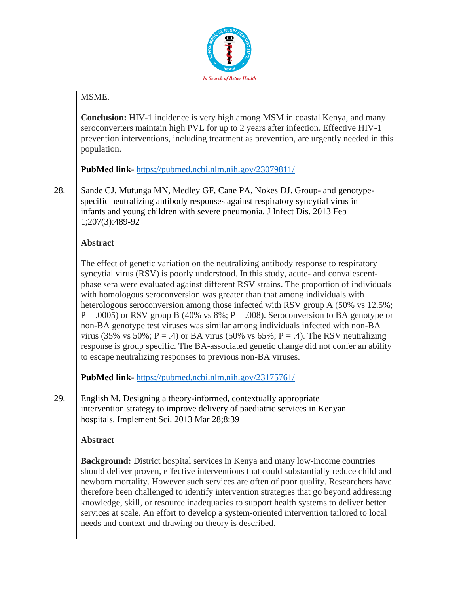

|     | MSME.                                                                                                                                                                                                                                                                                                                                                                                                                                                                                                                                                                                                                                                                                                                                                                                                                                                               |
|-----|---------------------------------------------------------------------------------------------------------------------------------------------------------------------------------------------------------------------------------------------------------------------------------------------------------------------------------------------------------------------------------------------------------------------------------------------------------------------------------------------------------------------------------------------------------------------------------------------------------------------------------------------------------------------------------------------------------------------------------------------------------------------------------------------------------------------------------------------------------------------|
|     | Conclusion: HIV-1 incidence is very high among MSM in coastal Kenya, and many<br>seroconverters maintain high PVL for up to 2 years after infection. Effective HIV-1<br>prevention interventions, including treatment as prevention, are urgently needed in this<br>population.<br>PubMed link- https://pubmed.ncbi.nlm.nih.gov/23079811/                                                                                                                                                                                                                                                                                                                                                                                                                                                                                                                           |
| 28. | Sande CJ, Mutunga MN, Medley GF, Cane PA, Nokes DJ. Group- and genotype-<br>specific neutralizing antibody responses against respiratory syncytial virus in<br>infants and young children with severe pneumonia. J Infect Dis. 2013 Feb<br>1;207(3):489-92<br><b>Abstract</b>                                                                                                                                                                                                                                                                                                                                                                                                                                                                                                                                                                                       |
|     |                                                                                                                                                                                                                                                                                                                                                                                                                                                                                                                                                                                                                                                                                                                                                                                                                                                                     |
|     | The effect of genetic variation on the neutralizing antibody response to respiratory<br>syncytial virus (RSV) is poorly understood. In this study, acute- and convalescent-<br>phase sera were evaluated against different RSV strains. The proportion of individuals<br>with homologous seroconversion was greater than that among individuals with<br>heterologous seroconversion among those infected with RSV group A (50% vs 12.5%;<br>$P = .0005$ or RSV group B (40% vs 8%; $P = .008$ ). Seroconversion to BA genotype or<br>non-BA genotype test viruses was similar among individuals infected with non-BA<br>virus (35% vs 50%; P = .4) or BA virus (50% vs 65%; P = .4). The RSV neutralizing<br>response is group specific. The BA-associated genetic change did not confer an ability<br>to escape neutralizing responses to previous non-BA viruses. |
|     | <b>PubMed link-</b> https://pubmed.ncbi.nlm.nih.gov/23175761/                                                                                                                                                                                                                                                                                                                                                                                                                                                                                                                                                                                                                                                                                                                                                                                                       |
| 29. | English M. Designing a theory-informed, contextually appropriate<br>intervention strategy to improve delivery of paediatric services in Kenyan<br>hospitals. Implement Sci. 2013 Mar 28;8:39                                                                                                                                                                                                                                                                                                                                                                                                                                                                                                                                                                                                                                                                        |
|     | <b>Abstract</b>                                                                                                                                                                                                                                                                                                                                                                                                                                                                                                                                                                                                                                                                                                                                                                                                                                                     |
|     | <b>Background:</b> District hospital services in Kenya and many low-income countries<br>should deliver proven, effective interventions that could substantially reduce child and<br>newborn mortality. However such services are often of poor quality. Researchers have<br>therefore been challenged to identify intervention strategies that go beyond addressing<br>knowledge, skill, or resource inadequacies to support health systems to deliver better<br>services at scale. An effort to develop a system-oriented intervention tailored to local<br>needs and context and drawing on theory is described.                                                                                                                                                                                                                                                  |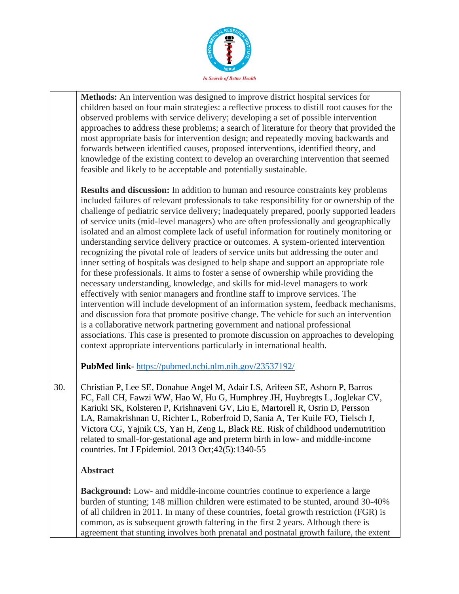

**Methods:** An intervention was designed to improve district hospital services for children based on four main strategies: a reflective process to distill root causes for the observed problems with service delivery; developing a set of possible intervention approaches to address these problems; a search of literature for theory that provided the most appropriate basis for intervention design; and repeatedly moving backwards and forwards between identified causes, proposed interventions, identified theory, and knowledge of the existing context to develop an overarching intervention that seemed feasible and likely to be acceptable and potentially sustainable.

**Results and discussion:** In addition to human and resource constraints key problems included failures of relevant professionals to take responsibility for or ownership of the challenge of pediatric service delivery; inadequately prepared, poorly supported leaders of service units (mid-level managers) who are often professionally and geographically isolated and an almost complete lack of useful information for routinely monitoring or understanding service delivery practice or outcomes. A system-oriented intervention recognizing the pivotal role of leaders of service units but addressing the outer and inner setting of hospitals was designed to help shape and support an appropriate role for these professionals. It aims to foster a sense of ownership while providing the necessary understanding, knowledge, and skills for mid-level managers to work effectively with senior managers and frontline staff to improve services. The intervention will include development of an information system, feedback mechanisms, and discussion fora that promote positive change. The vehicle for such an intervention is a collaborative network partnering government and national professional associations. This case is presented to promote discussion on approaches to developing context appropriate interventions particularly in international health.

**PubMed link**- <https://pubmed.ncbi.nlm.nih.gov/23537192/>

30. Christian P, Lee SE, Donahue Angel M, Adair LS, Arifeen SE, Ashorn P, Barros FC, Fall CH, Fawzi WW, Hao W, Hu G, Humphrey JH, Huybregts L, Joglekar CV, Kariuki SK, Kolsteren P, Krishnaveni GV, Liu E, Martorell R, Osrin D, Persson LA, Ramakrishnan U, Richter L, Roberfroid D, Sania A, Ter Kuile FO, Tielsch J, Victora CG, Yajnik CS, Yan H, Zeng L, Black RE. Risk of childhood undernutrition related to small-for-gestational age and preterm birth in low- and middle-income countries. Int J Epidemiol. 2013 Oct;42(5):1340-55

### **Abstract**

**Background:** Low- and middle-income countries continue to experience a large burden of stunting; 148 million children were estimated to be stunted, around 30-40% of all children in 2011. In many of these countries, foetal growth restriction (FGR) is common, as is subsequent growth faltering in the first 2 years. Although there is agreement that stunting involves both prenatal and postnatal growth failure, the extent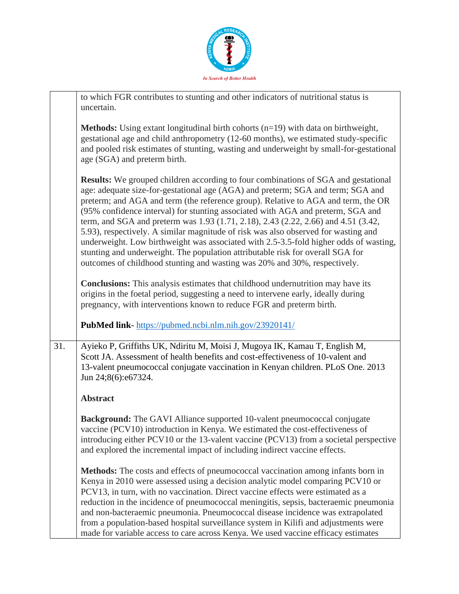

|     | to which FGR contributes to stunting and other indicators of nutritional status is<br>uncertain.                                                                                                                                                                                                                                                                                                                                                                                                                                                                                                                                                                                                                                                                                  |
|-----|-----------------------------------------------------------------------------------------------------------------------------------------------------------------------------------------------------------------------------------------------------------------------------------------------------------------------------------------------------------------------------------------------------------------------------------------------------------------------------------------------------------------------------------------------------------------------------------------------------------------------------------------------------------------------------------------------------------------------------------------------------------------------------------|
|     | <b>Methods:</b> Using extant longitudinal birth cohorts $(n=19)$ with data on birthweight,<br>gestational age and child anthropometry (12-60 months), we estimated study-specific<br>and pooled risk estimates of stunting, wasting and underweight by small-for-gestational<br>age (SGA) and preterm birth.                                                                                                                                                                                                                                                                                                                                                                                                                                                                      |
|     | Results: We grouped children according to four combinations of SGA and gestational<br>age: adequate size-for-gestational age (AGA) and preterm; SGA and term; SGA and<br>preterm; and AGA and term (the reference group). Relative to AGA and term, the OR<br>(95% confidence interval) for stunting associated with AGA and preterm, SGA and<br>term, and SGA and preterm was 1.93 (1.71, 2.18), 2.43 (2.22, 2.66) and 4.51 (3.42,<br>5.93), respectively. A similar magnitude of risk was also observed for wasting and<br>underweight. Low birthweight was associated with 2.5-3.5-fold higher odds of wasting,<br>stunting and underweight. The population attributable risk for overall SGA for<br>outcomes of childhood stunting and wasting was 20% and 30%, respectively. |
|     | <b>Conclusions:</b> This analysis estimates that childhood undernutrition may have its<br>origins in the foetal period, suggesting a need to intervene early, ideally during<br>pregnancy, with interventions known to reduce FGR and preterm birth.                                                                                                                                                                                                                                                                                                                                                                                                                                                                                                                              |
|     | PubMed link-https://pubmed.ncbi.nlm.nih.gov/23920141/                                                                                                                                                                                                                                                                                                                                                                                                                                                                                                                                                                                                                                                                                                                             |
| 31. | Ayieko P, Griffiths UK, Ndiritu M, Moisi J, Mugoya IK, Kamau T, English M,<br>Scott JA. Assessment of health benefits and cost-effectiveness of 10-valent and<br>13-valent pneumococcal conjugate vaccination in Kenyan children. PLoS One. 2013<br>Jun 24;8(6):e67324.                                                                                                                                                                                                                                                                                                                                                                                                                                                                                                           |
|     |                                                                                                                                                                                                                                                                                                                                                                                                                                                                                                                                                                                                                                                                                                                                                                                   |
|     | <b>Abstract</b>                                                                                                                                                                                                                                                                                                                                                                                                                                                                                                                                                                                                                                                                                                                                                                   |
|     | <b>Background:</b> The GAVI Alliance supported 10-valent pneumococcal conjugate<br>vaccine (PCV10) introduction in Kenya. We estimated the cost-effectiveness of<br>introducing either PCV10 or the 13-valent vaccine (PCV13) from a societal perspective<br>and explored the incremental impact of including indirect vaccine effects.                                                                                                                                                                                                                                                                                                                                                                                                                                           |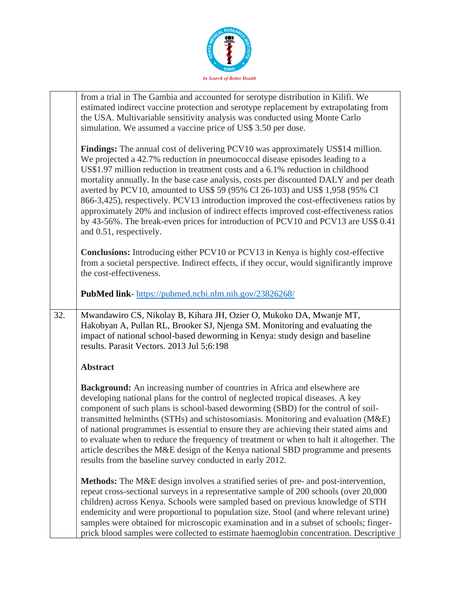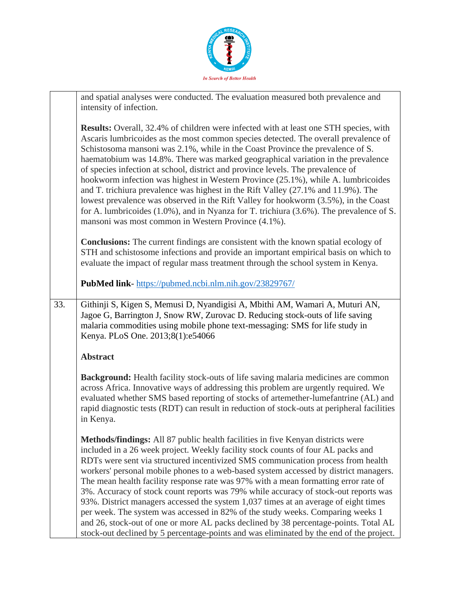

|     | and spatial analyses were conducted. The evaluation measured both prevalence and<br>intensity of infection.                                                                                                                                                                                                                                                                                                                                                                                                                                                                                                                                                                                                                                                                                                                                                                               |
|-----|-------------------------------------------------------------------------------------------------------------------------------------------------------------------------------------------------------------------------------------------------------------------------------------------------------------------------------------------------------------------------------------------------------------------------------------------------------------------------------------------------------------------------------------------------------------------------------------------------------------------------------------------------------------------------------------------------------------------------------------------------------------------------------------------------------------------------------------------------------------------------------------------|
|     | Results: Overall, 32.4% of children were infected with at least one STH species, with<br>Ascaris lumbricoides as the most common species detected. The overall prevalence of<br>Schistosoma mansoni was 2.1%, while in the Coast Province the prevalence of S.<br>haematobium was 14.8%. There was marked geographical variation in the prevalence<br>of species infection at school, district and province levels. The prevalence of<br>hookworm infection was highest in Western Province (25.1%), while A. lumbricoides<br>and T. trichiura prevalence was highest in the Rift Valley (27.1% and 11.9%). The<br>lowest prevalence was observed in the Rift Valley for hookworm (3.5%), in the Coast<br>for A. lumbricoides $(1.0\%)$ , and in Nyanza for T. trichiura $(3.6\%)$ . The prevalence of S.<br>mansoni was most common in Western Province (4.1%).                          |
|     | <b>Conclusions:</b> The current findings are consistent with the known spatial ecology of<br>STH and schistosome infections and provide an important empirical basis on which to<br>evaluate the impact of regular mass treatment through the school system in Kenya.                                                                                                                                                                                                                                                                                                                                                                                                                                                                                                                                                                                                                     |
|     | <b>PubMed link-</b> https://pubmed.ncbi.nlm.nih.gov/23829767/                                                                                                                                                                                                                                                                                                                                                                                                                                                                                                                                                                                                                                                                                                                                                                                                                             |
| 33. | Githinji S, Kigen S, Memusi D, Nyandigisi A, Mbithi AM, Wamari A, Muturi AN,<br>Jagoe G, Barrington J, Snow RW, Zurovac D. Reducing stock-outs of life saving<br>malaria commodities using mobile phone text-messaging: SMS for life study in<br>Kenya. PLoS One. 2013;8(1):e54066                                                                                                                                                                                                                                                                                                                                                                                                                                                                                                                                                                                                        |
|     | <b>Abstract</b>                                                                                                                                                                                                                                                                                                                                                                                                                                                                                                                                                                                                                                                                                                                                                                                                                                                                           |
|     | <b>Background:</b> Health facility stock-outs of life saving malaria medicines are common<br>across Africa. Innovative ways of addressing this problem are urgently required. We<br>evaluated whether SMS based reporting of stocks of artemether-lumefantrine (AL) and<br>rapid diagnostic tests (RDT) can result in reduction of stock-outs at peripheral facilities<br>in Kenya.                                                                                                                                                                                                                                                                                                                                                                                                                                                                                                       |
|     | Methods/findings: All 87 public health facilities in five Kenyan districts were<br>included in a 26 week project. Weekly facility stock counts of four AL packs and<br>RDTs were sent via structured incentivized SMS communication process from health<br>workers' personal mobile phones to a web-based system accessed by district managers.<br>The mean health facility response rate was 97% with a mean formatting error rate of<br>3%. Accuracy of stock count reports was 79% while accuracy of stock-out reports was<br>93%. District managers accessed the system 1,037 times at an average of eight times<br>per week. The system was accessed in 82% of the study weeks. Comparing weeks 1<br>and 26, stock-out of one or more AL packs declined by 38 percentage-points. Total AL<br>stock-out declined by 5 percentage-points and was eliminated by the end of the project. |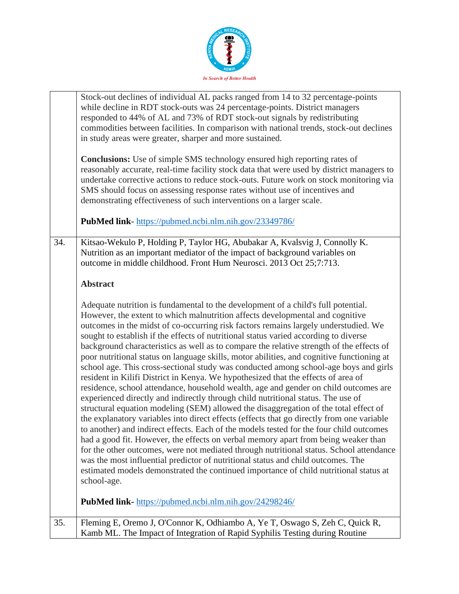

|     | Stock-out declines of individual AL packs ranged from 14 to 32 percentage-points<br>while decline in RDT stock-outs was 24 percentage-points. District managers<br>responded to 44% of AL and 73% of RDT stock-out signals by redistributing<br>commodities between facilities. In comparison with national trends, stock-out declines<br>in study areas were greater, sharper and more sustained.<br><b>Conclusions:</b> Use of simple SMS technology ensured high reporting rates of<br>reasonably accurate, real-time facility stock data that were used by district managers to<br>undertake corrective actions to reduce stock-outs. Future work on stock monitoring via<br>SMS should focus on assessing response rates without use of incentives and<br>demonstrating effectiveness of such interventions on a larger scale.                                                                                                                                                                                                                                                                                                                                                                                                                                                                                                                                                                                                                                                                                                                              |
|-----|------------------------------------------------------------------------------------------------------------------------------------------------------------------------------------------------------------------------------------------------------------------------------------------------------------------------------------------------------------------------------------------------------------------------------------------------------------------------------------------------------------------------------------------------------------------------------------------------------------------------------------------------------------------------------------------------------------------------------------------------------------------------------------------------------------------------------------------------------------------------------------------------------------------------------------------------------------------------------------------------------------------------------------------------------------------------------------------------------------------------------------------------------------------------------------------------------------------------------------------------------------------------------------------------------------------------------------------------------------------------------------------------------------------------------------------------------------------------------------------------------------------------------------------------------------------|
|     | PubMed link-https://pubmed.ncbi.nlm.nih.gov/23349786/                                                                                                                                                                                                                                                                                                                                                                                                                                                                                                                                                                                                                                                                                                                                                                                                                                                                                                                                                                                                                                                                                                                                                                                                                                                                                                                                                                                                                                                                                                            |
| 34. | Kitsao-Wekulo P, Holding P, Taylor HG, Abubakar A, Kvalsvig J, Connolly K.<br>Nutrition as an important mediator of the impact of background variables on<br>outcome in middle childhood. Front Hum Neurosci. 2013 Oct 25;7:713.                                                                                                                                                                                                                                                                                                                                                                                                                                                                                                                                                                                                                                                                                                                                                                                                                                                                                                                                                                                                                                                                                                                                                                                                                                                                                                                                 |
|     | <b>Abstract</b>                                                                                                                                                                                                                                                                                                                                                                                                                                                                                                                                                                                                                                                                                                                                                                                                                                                                                                                                                                                                                                                                                                                                                                                                                                                                                                                                                                                                                                                                                                                                                  |
|     | Adequate nutrition is fundamental to the development of a child's full potential.<br>However, the extent to which malnutrition affects developmental and cognitive<br>outcomes in the midst of co-occurring risk factors remains largely understudied. We<br>sought to establish if the effects of nutritional status varied according to diverse<br>background characteristics as well as to compare the relative strength of the effects of<br>poor nutritional status on language skills, motor abilities, and cognitive functioning at<br>school age. This cross-sectional study was conducted among school-age boys and girls<br>resident in Kilifi District in Kenya. We hypothesized that the effects of area of<br>residence, school attendance, household wealth, age and gender on child outcomes are<br>experienced directly and indirectly through child nutritional status. The use of<br>structural equation modeling (SEM) allowed the disaggregation of the total effect of<br>the explanatory variables into direct effects (effects that go directly from one variable<br>to another) and indirect effects. Each of the models tested for the four child outcomes<br>had a good fit. However, the effects on verbal memory apart from being weaker than<br>for the other outcomes, were not mediated through nutritional status. School attendance<br>was the most influential predictor of nutritional status and child outcomes. The<br>estimated models demonstrated the continued importance of child nutritional status at<br>school-age. |
|     | PubMed link-https://pubmed.ncbi.nlm.nih.gov/24298246/                                                                                                                                                                                                                                                                                                                                                                                                                                                                                                                                                                                                                                                                                                                                                                                                                                                                                                                                                                                                                                                                                                                                                                                                                                                                                                                                                                                                                                                                                                            |
| 35. | Fleming E, Oremo J, O'Connor K, Odhiambo A, Ye T, Oswago S, Zeh C, Quick R,<br>Kamb ML. The Impact of Integration of Rapid Syphilis Testing during Routine                                                                                                                                                                                                                                                                                                                                                                                                                                                                                                                                                                                                                                                                                                                                                                                                                                                                                                                                                                                                                                                                                                                                                                                                                                                                                                                                                                                                       |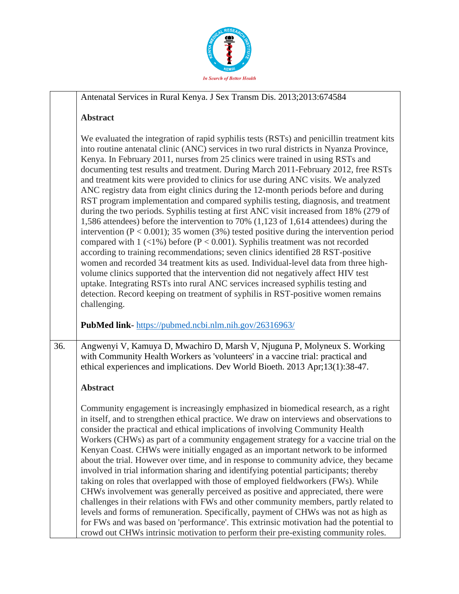

|     | Antenatal Services in Rural Kenya. J Sex Transm Dis. 2013;2013:674584                                                                                                                                                                                                                                                                                                                                                                                                                                                                                                                                                                                                                                                                                                                                                                                                                                                                                                                                                                                                                                                                                                                                                                                                                                                                                                                                                                                     |
|-----|-----------------------------------------------------------------------------------------------------------------------------------------------------------------------------------------------------------------------------------------------------------------------------------------------------------------------------------------------------------------------------------------------------------------------------------------------------------------------------------------------------------------------------------------------------------------------------------------------------------------------------------------------------------------------------------------------------------------------------------------------------------------------------------------------------------------------------------------------------------------------------------------------------------------------------------------------------------------------------------------------------------------------------------------------------------------------------------------------------------------------------------------------------------------------------------------------------------------------------------------------------------------------------------------------------------------------------------------------------------------------------------------------------------------------------------------------------------|
|     | <b>Abstract</b>                                                                                                                                                                                                                                                                                                                                                                                                                                                                                                                                                                                                                                                                                                                                                                                                                                                                                                                                                                                                                                                                                                                                                                                                                                                                                                                                                                                                                                           |
|     | We evaluated the integration of rapid syphilis tests (RSTs) and penicillin treatment kits<br>into routine antenatal clinic (ANC) services in two rural districts in Nyanza Province,<br>Kenya. In February 2011, nurses from 25 clinics were trained in using RSTs and<br>documenting test results and treatment. During March 2011-February 2012, free RSTs<br>and treatment kits were provided to clinics for use during ANC visits. We analyzed<br>ANC registry data from eight clinics during the 12-month periods before and during<br>RST program implementation and compared syphilis testing, diagnosis, and treatment<br>during the two periods. Syphilis testing at first ANC visit increased from 18% (279 of<br>1,586 attendees) before the intervention to 70% (1,123 of 1,614 attendees) during the<br>intervention ( $P < 0.001$ ); 35 women (3%) tested positive during the intervention period<br>compared with $1$ (<1%) before (P < 0.001). Syphilis treatment was not recorded<br>according to training recommendations; seven clinics identified 28 RST-positive<br>women and recorded 34 treatment kits as used. Individual-level data from three high-<br>volume clinics supported that the intervention did not negatively affect HIV test<br>uptake. Integrating RSTs into rural ANC services increased syphilis testing and<br>detection. Record keeping on treatment of syphilis in RST-positive women remains<br>challenging. |
|     | PubMed link- https://pubmed.ncbi.nlm.nih.gov/26316963/                                                                                                                                                                                                                                                                                                                                                                                                                                                                                                                                                                                                                                                                                                                                                                                                                                                                                                                                                                                                                                                                                                                                                                                                                                                                                                                                                                                                    |
| 36. | Angwenyi V, Kamuya D, Mwachiro D, Marsh V, Njuguna P, Molyneux S. Working<br>with Community Health Workers as 'volunteers' in a vaccine trial: practical and<br>ethical experiences and implications. Dev World Bioeth. 2013 Apr;13(1):38-47.                                                                                                                                                                                                                                                                                                                                                                                                                                                                                                                                                                                                                                                                                                                                                                                                                                                                                                                                                                                                                                                                                                                                                                                                             |
|     | <b>Abstract</b>                                                                                                                                                                                                                                                                                                                                                                                                                                                                                                                                                                                                                                                                                                                                                                                                                                                                                                                                                                                                                                                                                                                                                                                                                                                                                                                                                                                                                                           |
|     | Community engagement is increasingly emphasized in biomedical research, as a right<br>in itself, and to strengthen ethical practice. We draw on interviews and observations to<br>consider the practical and ethical implications of involving Community Health<br>Workers (CHWs) as part of a community engagement strategy for a vaccine trial on the<br>Kenyan Coast. CHWs were initially engaged as an important network to be informed<br>about the trial. However over time, and in response to community advice, they became<br>involved in trial information sharing and identifying potential participants; thereby<br>taking on roles that overlapped with those of employed fieldworkers (FWs). While<br>CHWs involvement was generally perceived as positive and appreciated, there were<br>challenges in their relations with FWs and other community members, partly related to<br>levels and forms of remuneration. Specifically, payment of CHWs was not as high as<br>for FWs and was based on 'performance'. This extrinsic motivation had the potential to<br>crowd out CHWs intrinsic motivation to perform their pre-existing community roles.                                                                                                                                                                                                                                                                                       |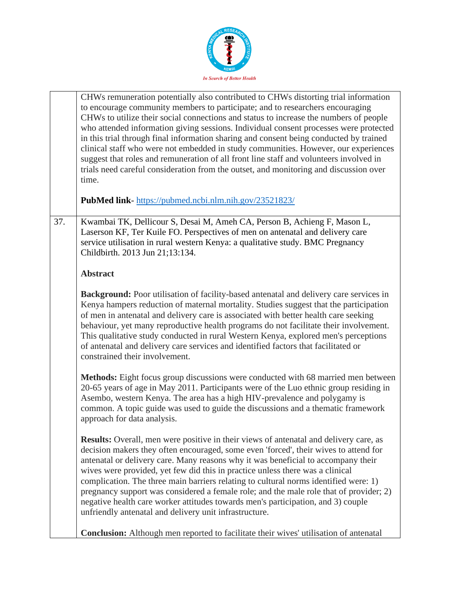

|     | CHWs remuneration potentially also contributed to CHWs distorting trial information<br>to encourage community members to participate; and to researchers encouraging<br>CHWs to utilize their social connections and status to increase the numbers of people<br>who attended information giving sessions. Individual consent processes were protected<br>in this trial through final information sharing and consent being conducted by trained<br>clinical staff who were not embedded in study communities. However, our experiences<br>suggest that roles and remuneration of all front line staff and volunteers involved in<br>trials need careful consideration from the outset, and monitoring and discussion over<br>time. |
|-----|-------------------------------------------------------------------------------------------------------------------------------------------------------------------------------------------------------------------------------------------------------------------------------------------------------------------------------------------------------------------------------------------------------------------------------------------------------------------------------------------------------------------------------------------------------------------------------------------------------------------------------------------------------------------------------------------------------------------------------------|
|     | PubMed link-https://pubmed.ncbi.nlm.nih.gov/23521823/                                                                                                                                                                                                                                                                                                                                                                                                                                                                                                                                                                                                                                                                               |
| 37. | Kwambai TK, Dellicour S, Desai M, Ameh CA, Person B, Achieng F, Mason L,<br>Laserson KF, Ter Kuile FO. Perspectives of men on antenatal and delivery care<br>service utilisation in rural western Kenya: a qualitative study. BMC Pregnancy<br>Childbirth. 2013 Jun 21;13:134.                                                                                                                                                                                                                                                                                                                                                                                                                                                      |
|     | <b>Abstract</b>                                                                                                                                                                                                                                                                                                                                                                                                                                                                                                                                                                                                                                                                                                                     |
|     | <b>Background:</b> Poor utilisation of facility-based antenatal and delivery care services in<br>Kenya hampers reduction of maternal mortality. Studies suggest that the participation<br>of men in antenatal and delivery care is associated with better health care seeking<br>behaviour, yet many reproductive health programs do not facilitate their involvement.<br>This qualitative study conducted in rural Western Kenya, explored men's perceptions<br>of antenatal and delivery care services and identified factors that facilitated or<br>constrained their involvement.                                                                                                                                               |
|     | Methods: Eight focus group discussions were conducted with 68 married men between<br>20-65 years of age in May 2011. Participants were of the Luo ethnic group residing in<br>Asembo, western Kenya. The area has a high HIV-prevalence and polygamy is<br>common. A topic guide was used to guide the discussions and a thematic framework<br>approach for data analysis.                                                                                                                                                                                                                                                                                                                                                          |
|     | <b>Results:</b> Overall, men were positive in their views of antenatal and delivery care, as<br>decision makers they often encouraged, some even 'forced', their wives to attend for<br>antenatal or delivery care. Many reasons why it was beneficial to accompany their<br>wives were provided, yet few did this in practice unless there was a clinical<br>complication. The three main barriers relating to cultural norms identified were: 1)<br>pregnancy support was considered a female role; and the male role that of provider; 2)<br>negative health care worker attitudes towards men's participation, and 3) couple<br>unfriendly antenatal and delivery unit infrastructure.                                          |
|     | <b>Conclusion:</b> Although men reported to facilitate their wives' utilisation of antenatal                                                                                                                                                                                                                                                                                                                                                                                                                                                                                                                                                                                                                                        |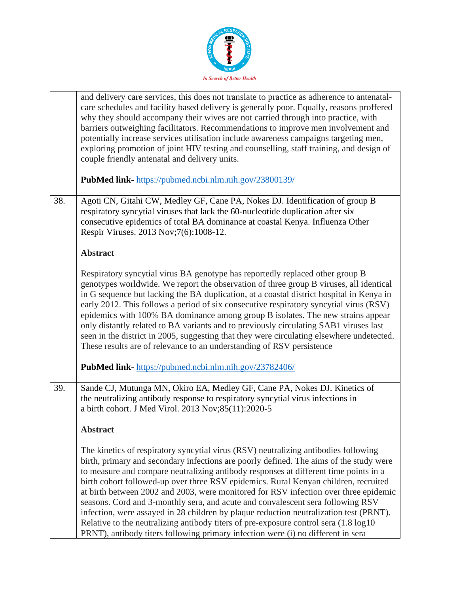

|     | and delivery care services, this does not translate to practice as adherence to antenatal-<br>care schedules and facility based delivery is generally poor. Equally, reasons proffered<br>why they should accompany their wives are not carried through into practice, with<br>barriers outweighing facilitators. Recommendations to improve men involvement and<br>potentially increase services utilisation include awareness campaigns targeting men,<br>exploring promotion of joint HIV testing and counselling, staff training, and design of<br>couple friendly antenatal and delivery units.<br>PubMed link-https://pubmed.ncbi.nlm.nih.gov/23800139/                                                                                                                                                  |
|-----|----------------------------------------------------------------------------------------------------------------------------------------------------------------------------------------------------------------------------------------------------------------------------------------------------------------------------------------------------------------------------------------------------------------------------------------------------------------------------------------------------------------------------------------------------------------------------------------------------------------------------------------------------------------------------------------------------------------------------------------------------------------------------------------------------------------|
| 38. | Agoti CN, Gitahi CW, Medley GF, Cane PA, Nokes DJ. Identification of group B<br>respiratory syncytial viruses that lack the 60-nucleotide duplication after six<br>consecutive epidemics of total BA dominance at coastal Kenya. Influenza Other<br>Respir Viruses. 2013 Nov;7(6):1008-12.                                                                                                                                                                                                                                                                                                                                                                                                                                                                                                                     |
|     | <b>Abstract</b>                                                                                                                                                                                                                                                                                                                                                                                                                                                                                                                                                                                                                                                                                                                                                                                                |
|     | Respiratory syncytial virus BA genotype has reportedly replaced other group B<br>genotypes worldwide. We report the observation of three group B viruses, all identical<br>in G sequence but lacking the BA duplication, at a coastal district hospital in Kenya in<br>early 2012. This follows a period of six consecutive respiratory syncytial virus (RSV)<br>epidemics with 100% BA dominance among group B isolates. The new strains appear<br>only distantly related to BA variants and to previously circulating SAB1 viruses last<br>seen in the district in 2005, suggesting that they were circulating elsewhere undetected.<br>These results are of relevance to an understanding of RSV persistence                                                                                                |
|     | <b>PubMed link-</b> https://pubmed.ncbi.nlm.nih.gov/23782406/                                                                                                                                                                                                                                                                                                                                                                                                                                                                                                                                                                                                                                                                                                                                                  |
| 39. | Sande CJ, Mutunga MN, Okiro EA, Medley GF, Cane PA, Nokes DJ. Kinetics of<br>the neutralizing antibody response to respiratory syncytial virus infections in<br>a birth cohort. J Med Virol. 2013 Nov;85(11):2020-5                                                                                                                                                                                                                                                                                                                                                                                                                                                                                                                                                                                            |
|     | <b>Abstract</b>                                                                                                                                                                                                                                                                                                                                                                                                                                                                                                                                                                                                                                                                                                                                                                                                |
|     | The kinetics of respiratory syncytial virus (RSV) neutralizing antibodies following<br>birth, primary and secondary infections are poorly defined. The aims of the study were<br>to measure and compare neutralizing antibody responses at different time points in a<br>birth cohort followed-up over three RSV epidemics. Rural Kenyan children, recruited<br>at birth between 2002 and 2003, were monitored for RSV infection over three epidemic<br>seasons. Cord and 3-monthly sera, and acute and convalescent sera following RSV<br>infection, were assayed in 28 children by plaque reduction neutralization test (PRNT).<br>Relative to the neutralizing antibody titers of pre-exposure control sera (1.8 log10)<br>PRNT), antibody titers following primary infection were (i) no different in sera |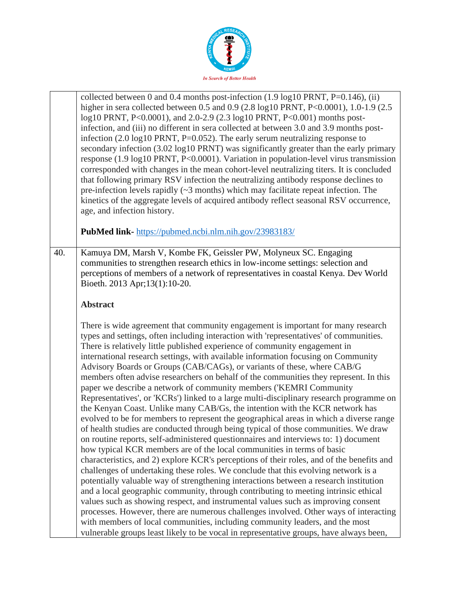

|     | collected between 0 and 0.4 months post-infection $(1.9 \log 10 \text{ PRNT}, P=0.146)$ , (ii)<br>higher in sera collected between 0.5 and 0.9 (2.8 log10 PRNT, P<0.0001), 1.0-1.9 (2.5<br>log10 PRNT, P<0.0001), and 2.0-2.9 (2.3 log10 PRNT, P<0.001) months post-<br>infection, and (iii) no different in sera collected at between 3.0 and 3.9 months post-<br>infection $(2.0 \log 10 \text{ PRNT}, P=0.052)$ . The early serum neutralizing response to<br>secondary infection (3.02 log10 PRNT) was significantly greater than the early primary<br>response (1.9 log10 PRNT, P<0.0001). Variation in population-level virus transmission<br>corresponded with changes in the mean cohort-level neutralizing titers. It is concluded<br>that following primary RSV infection the neutralizing antibody response declines to<br>pre-infection levels rapidly $(\sim 3 \text{ months})$ which may facilitate repeat infection. The<br>kinetics of the aggregate levels of acquired antibody reflect seasonal RSV occurrence,<br>age, and infection history.<br><b>PubMed link-</b> https://pubmed.ncbi.nlm.nih.gov/23983183/                                                                                                                                                                                                                                                                                                                                                                                                                                                                                                                                                                                                                                                                                                               |
|-----|-------------------------------------------------------------------------------------------------------------------------------------------------------------------------------------------------------------------------------------------------------------------------------------------------------------------------------------------------------------------------------------------------------------------------------------------------------------------------------------------------------------------------------------------------------------------------------------------------------------------------------------------------------------------------------------------------------------------------------------------------------------------------------------------------------------------------------------------------------------------------------------------------------------------------------------------------------------------------------------------------------------------------------------------------------------------------------------------------------------------------------------------------------------------------------------------------------------------------------------------------------------------------------------------------------------------------------------------------------------------------------------------------------------------------------------------------------------------------------------------------------------------------------------------------------------------------------------------------------------------------------------------------------------------------------------------------------------------------------------------------------------------------------------------------------------------------------------------------|
| 40. | Kamuya DM, Marsh V, Kombe FK, Geissler PW, Molyneux SC. Engaging<br>communities to strengthen research ethics in low-income settings: selection and<br>perceptions of members of a network of representatives in coastal Kenya. Dev World<br>Bioeth. 2013 Apr;13(1):10-20.<br><b>Abstract</b>                                                                                                                                                                                                                                                                                                                                                                                                                                                                                                                                                                                                                                                                                                                                                                                                                                                                                                                                                                                                                                                                                                                                                                                                                                                                                                                                                                                                                                                                                                                                                   |
|     |                                                                                                                                                                                                                                                                                                                                                                                                                                                                                                                                                                                                                                                                                                                                                                                                                                                                                                                                                                                                                                                                                                                                                                                                                                                                                                                                                                                                                                                                                                                                                                                                                                                                                                                                                                                                                                                 |
|     | There is wide agreement that community engagement is important for many research<br>types and settings, often including interaction with 'representatives' of communities.<br>There is relatively little published experience of community engagement in<br>international research settings, with available information focusing on Community<br>Advisory Boards or Groups (CAB/CAGs), or variants of these, where CAB/G<br>members often advise researchers on behalf of the communities they represent. In this<br>paper we describe a network of community members ('KEMRI Community<br>Representatives', or 'KCRs') linked to a large multi-disciplinary research programme on<br>the Kenyan Coast. Unlike many CAB/Gs, the intention with the KCR network has<br>evolved to be for members to represent the geographical areas in which a diverse range<br>of health studies are conducted through being typical of those communities. We draw<br>on routine reports, self-administered questionnaires and interviews to: 1) document<br>how typical KCR members are of the local communities in terms of basic<br>characteristics, and 2) explore KCR's perceptions of their roles, and of the benefits and<br>challenges of undertaking these roles. We conclude that this evolving network is a<br>potentially valuable way of strengthening interactions between a research institution<br>and a local geographic community, through contributing to meeting intrinsic ethical<br>values such as showing respect, and instrumental values such as improving consent<br>processes. However, there are numerous challenges involved. Other ways of interacting<br>with members of local communities, including community leaders, and the most<br>vulnerable groups least likely to be vocal in representative groups, have always been, |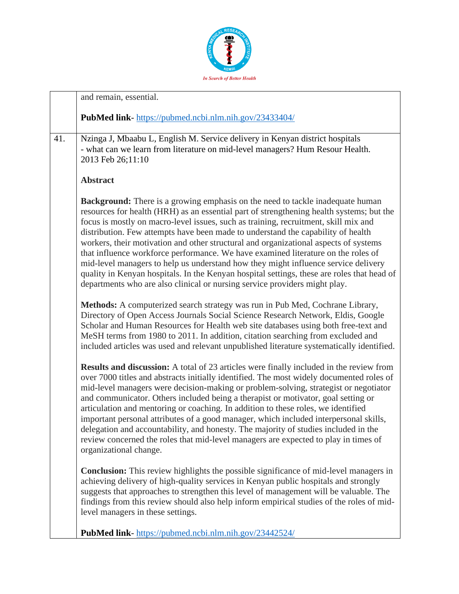

and remain, essential. **PubMed link**- <https://pubmed.ncbi.nlm.nih.gov/23433404/> 41. Nzinga J, Mbaabu L, English M. Service delivery in Kenyan district hospitals - what can we learn from literature on mid-level managers? Hum Resour Health. 2013 Feb 26;11:10 **Abstract Background:** There is a growing emphasis on the need to tackle inadequate human resources for health (HRH) as an essential part of strengthening health systems; but the focus is mostly on macro-level issues, such as training, recruitment, skill mix and distribution. Few attempts have been made to understand the capability of health workers, their motivation and other structural and organizational aspects of systems that influence workforce performance. We have examined literature on the roles of mid-level managers to help us understand how they might influence service delivery quality in Kenyan hospitals. In the Kenyan hospital settings, these are roles that head of departments who are also clinical or nursing service providers might play. **Methods:** A computerized search strategy was run in Pub Med, Cochrane Library, Directory of Open Access Journals Social Science Research Network, Eldis, Google Scholar and Human Resources for Health web site databases using both free-text and MeSH terms from 1980 to 2011. In addition, citation searching from excluded and included articles was used and relevant unpublished literature systematically identified. **Results and discussion:** A total of 23 articles were finally included in the review from over 7000 titles and abstracts initially identified. The most widely documented roles of mid-level managers were decision-making or problem-solving, strategist or negotiator and communicator. Others included being a therapist or motivator, goal setting or articulation and mentoring or coaching. In addition to these roles, we identified important personal attributes of a good manager, which included interpersonal skills, delegation and accountability, and honesty. The majority of studies included in the review concerned the roles that mid-level managers are expected to play in times of organizational change. **Conclusion:** This review highlights the possible significance of mid-level managers in achieving delivery of high-quality services in Kenyan public hospitals and strongly suggests that approaches to strengthen this level of management will be valuable. The findings from this review should also help inform empirical studies of the roles of midlevel managers in these settings. **PubMed link**- <https://pubmed.ncbi.nlm.nih.gov/23442524/>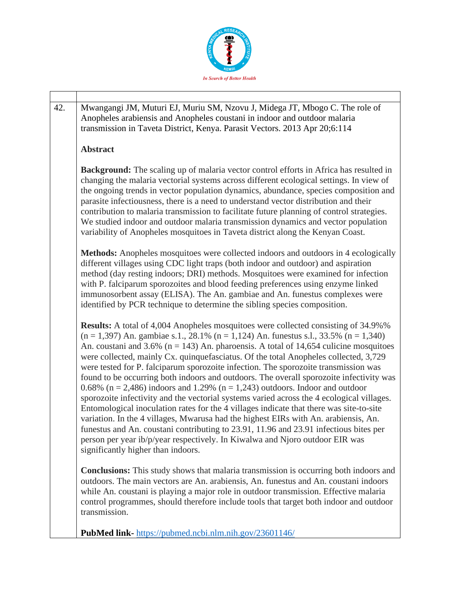

42. Mwangangi JM, Muturi EJ, Muriu SM, Nzovu J, Midega JT, Mbogo C. The role of Anopheles arabiensis and Anopheles coustani in indoor and outdoor malaria transmission in Taveta District, Kenya. Parasit Vectors. 2013 Apr 20;6:114 **Abstract Background:** The scaling up of malaria vector control efforts in Africa has resulted in changing the malaria vectorial systems across different ecological settings. In view of the ongoing trends in vector population dynamics, abundance, species composition and parasite infectiousness, there is a need to understand vector distribution and their contribution to malaria transmission to facilitate future planning of control strategies. We studied indoor and outdoor malaria transmission dynamics and vector population variability of Anopheles mosquitoes in Taveta district along the Kenyan Coast. **Methods:** Anopheles mosquitoes were collected indoors and outdoors in 4 ecologically different villages using CDC light traps (both indoor and outdoor) and aspiration method (day resting indoors; DRI) methods. Mosquitoes were examined for infection with P. falciparum sporozoites and blood feeding preferences using enzyme linked immunosorbent assay (ELISA). The An. gambiae and An. funestus complexes were identified by PCR technique to determine the sibling species composition. **Results:** A total of 4,004 Anopheles mosquitoes were collected consisting of 34.9%%  $(n = 1,397)$  An. gambiae s.1., 28.1%  $(n = 1,124)$  An. funestus s.1., 33.5%  $(n = 1,340)$ An. coustani and 3.6% ( $n = 143$ ) An. pharoensis. A total of 14,654 culicine mosquitoes were collected, mainly Cx. quinquefasciatus. Of the total Anopheles collected, 3,729 were tested for P. falciparum sporozoite infection. The sporozoite transmission was found to be occurring both indoors and outdoors. The overall sporozoite infectivity was 0.68% ( $n = 2,486$ ) indoors and 1.29% ( $n = 1,243$ ) outdoors. Indoor and outdoor sporozoite infectivity and the vectorial systems varied across the 4 ecological villages. Entomological inoculation rates for the 4 villages indicate that there was site-to-site variation. In the 4 villages, Mwarusa had the highest EIRs with An. arabiensis, An. funestus and An. coustani contributing to 23.91, 11.96 and 23.91 infectious bites per person per year ib/p/year respectively. In Kiwalwa and Njoro outdoor EIR was significantly higher than indoors. **Conclusions:** This study shows that malaria transmission is occurring both indoors and outdoors. The main vectors are An. arabiensis, An. funestus and An. coustani indoors while An. coustani is playing a major role in outdoor transmission. Effective malaria control programmes, should therefore include tools that target both indoor and outdoor transmission.

**PubMed link-** <https://pubmed.ncbi.nlm.nih.gov/23601146/>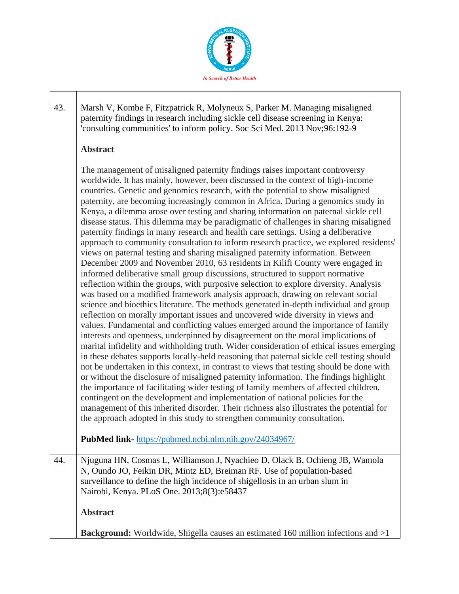

43. Marsh V, Kombe F, Fitzpatrick R, Molyneux S, Parker M. Managing misaligned paternity findings in research including sickle cell disease screening in Kenya: 'consulting communities' to inform policy. Soc Sci Med. 2013 Nov;96:192-9 **Abstract** The management of misaligned paternity findings raises important controversy worldwide. It has mainly, however, been discussed in the context of high-income countries. Genetic and genomics research, with the potential to show misaligned paternity, are becoming increasingly common in Africa. During a genomics study in Kenya, a dilemma arose over testing and sharing information on paternal sickle cell disease status. This dilemma may be paradigmatic of challenges in sharing misaligned paternity findings in many research and health care settings. Using a deliberative approach to community consultation to inform research practice, we explored residents' views on paternal testing and sharing misaligned paternity information. Between December 2009 and November 2010, 63 residents in Kilifi County were engaged in informed deliberative small group discussions, structured to support normative reflection within the groups, with purposive selection to explore diversity. Analysis was based on a modified framework analysis approach, drawing on relevant social science and bioethics literature. The methods generated in-depth individual and group reflection on morally important issues and uncovered wide diversity in views and values. Fundamental and conflicting values emerged around the importance of family interests and openness, underpinned by disagreement on the moral implications of marital infidelity and withholding truth. Wider consideration of ethical issues emerging in these debates supports locally-held reasoning that paternal sickle cell testing should not be undertaken in this context, in contrast to views that testing should be done with or without the disclosure of misaligned paternity information. The findings highlight the importance of facilitating wider testing of family members of affected children, contingent on the development and implementation of national policies for the management of this inherited disorder. Their richness also illustrates the potential for the approach adopted in this study to strengthen community consultation. **PubMed link-** <https://pubmed.ncbi.nlm.nih.gov/24034967/> 44. Njuguna HN, Cosmas L, Williamson J, Nyachieo D, Olack B, Ochieng JB, Wamola N, Oundo JO, Feikin DR, Mintz ED, Breiman RF. Use of population-based surveillance to define the high incidence of shigellosis in an urban slum in Nairobi, Kenya. PLoS One. 2013;8(3):e58437 **Abstract Background:** Worldwide, Shigella causes an estimated 160 million infections and >1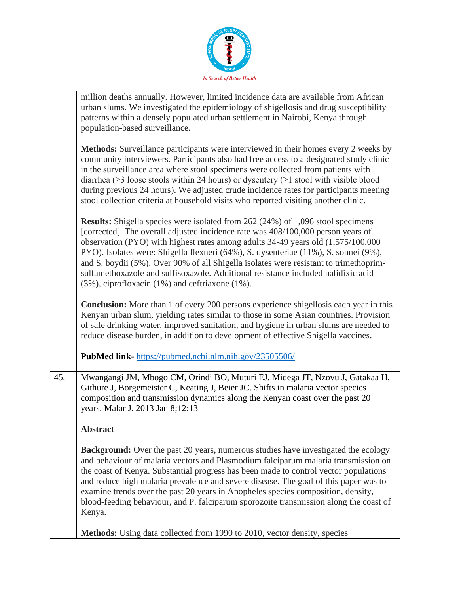

|     | million deaths annually. However, limited incidence data are available from African<br>urban slums. We investigated the epidemiology of shigellosis and drug susceptibility<br>patterns within a densely populated urban settlement in Nairobi, Kenya through<br>population-based surveillance.                                                                                                                                                                                                                                                                                                  |
|-----|--------------------------------------------------------------------------------------------------------------------------------------------------------------------------------------------------------------------------------------------------------------------------------------------------------------------------------------------------------------------------------------------------------------------------------------------------------------------------------------------------------------------------------------------------------------------------------------------------|
|     | Methods: Surveillance participants were interviewed in their homes every 2 weeks by<br>community interviewers. Participants also had free access to a designated study clinic<br>in the surveillance area where stool specimens were collected from patients with<br>diarrhea ( $\geq$ 3 loose stools within 24 hours) or dysentery ( $\geq$ 1 stool with visible blood<br>during previous 24 hours). We adjusted crude incidence rates for participants meeting<br>stool collection criteria at household visits who reported visiting another clinic.                                          |
|     | <b>Results:</b> Shigella species were isolated from 262 (24%) of 1,096 stool specimens<br>[corrected]. The overall adjusted incidence rate was 408/100,000 person years of<br>observation (PYO) with highest rates among adults 34-49 years old (1,575/100,000<br>PYO). Isolates were: Shigella flexneri (64%), S. dysenteriae (11%), S. sonnei (9%),<br>and S. boydii (5%). Over 90% of all Shigella isolates were resistant to trimethoprim-<br>sulfamethoxazole and sulfisoxazole. Additional resistance included nalidixic acid<br>$(3\%)$ , ciprofloxacin $(1\%)$ and ceftriaxone $(1\%)$ . |
|     | <b>Conclusion:</b> More than 1 of every 200 persons experience shigellosis each year in this<br>Kenyan urban slum, yielding rates similar to those in some Asian countries. Provision<br>of safe drinking water, improved sanitation, and hygiene in urban slums are needed to<br>reduce disease burden, in addition to development of effective Shigella vaccines.                                                                                                                                                                                                                              |
|     | PubMed link-https://pubmed.ncbi.nlm.nih.gov/23505506/                                                                                                                                                                                                                                                                                                                                                                                                                                                                                                                                            |
| 45. | Mwangangi JM, Mbogo CM, Orindi BO, Muturi EJ, Midega JT, Nzovu J, Gatakaa H,<br>Githure J, Borgemeister C, Keating J, Beier JC. Shifts in malaria vector species<br>composition and transmission dynamics along the Kenyan coast over the past 20<br>years. Malar J. 2013 Jan 8;12:13                                                                                                                                                                                                                                                                                                            |
|     | <b>Abstract</b>                                                                                                                                                                                                                                                                                                                                                                                                                                                                                                                                                                                  |
|     | <b>Background:</b> Over the past 20 years, numerous studies have investigated the ecology<br>and behaviour of malaria vectors and Plasmodium falciparum malaria transmission on<br>the coast of Kenya. Substantial progress has been made to control vector populations<br>and reduce high malaria prevalence and severe disease. The goal of this paper was to<br>examine trends over the past 20 years in Anopheles species composition, density,<br>blood-feeding behaviour, and P. falciparum sporozoite transmission along the coast of<br>Kenya.                                           |
|     | Methods: Using data collected from 1990 to 2010, vector density, species                                                                                                                                                                                                                                                                                                                                                                                                                                                                                                                         |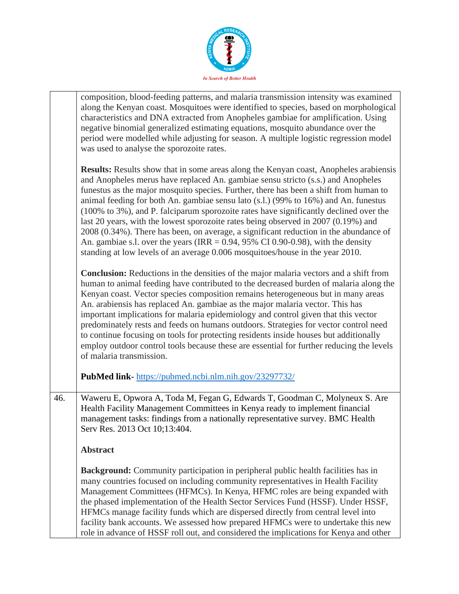

|     | composition, blood-feeding patterns, and malaria transmission intensity was examined<br>along the Kenyan coast. Mosquitoes were identified to species, based on morphological<br>characteristics and DNA extracted from Anopheles gambiae for amplification. Using<br>negative binomial generalized estimating equations, mosquito abundance over the<br>period were modelled while adjusting for season. A multiple logistic regression model<br>was used to analyse the sporozoite rates.                                                                                                                                                                                                                                                                                                                         |
|-----|---------------------------------------------------------------------------------------------------------------------------------------------------------------------------------------------------------------------------------------------------------------------------------------------------------------------------------------------------------------------------------------------------------------------------------------------------------------------------------------------------------------------------------------------------------------------------------------------------------------------------------------------------------------------------------------------------------------------------------------------------------------------------------------------------------------------|
|     | <b>Results:</b> Results show that in some areas along the Kenyan coast, Anopheles arabiensis<br>and Anopheles merus have replaced An. gambiae sensu stricto (s.s.) and Anopheles<br>funestus as the major mosquito species. Further, there has been a shift from human to<br>animal feeding for both An. gambiae sensu lato (s.l.) (99% to 16%) and An. funestus<br>(100% to 3%), and P. falciparum sporozoite rates have significantly declined over the<br>last 20 years, with the lowest sporozoite rates being observed in 2007 (0.19%) and<br>2008 (0.34%). There has been, on average, a significant reduction in the abundance of<br>An. gambiae s.l. over the years (IRR = $0.94$ , $95\%$ CI 0.90-0.98), with the density<br>standing at low levels of an average 0.006 mosquitoes/house in the year 2010. |
|     | <b>Conclusion:</b> Reductions in the densities of the major malaria vectors and a shift from<br>human to animal feeding have contributed to the decreased burden of malaria along the<br>Kenyan coast. Vector species composition remains heterogeneous but in many areas<br>An. arabiensis has replaced An. gambiae as the major malaria vector. This has<br>important implications for malaria epidemiology and control given that this vector<br>predominately rests and feeds on humans outdoors. Strategies for vector control need<br>to continue focusing on tools for protecting residents inside houses but additionally<br>employ outdoor control tools because these are essential for further reducing the levels<br>of malaria transmission.                                                           |
|     | PubMed link-https://pubmed.ncbi.nlm.nih.gov/23297732/                                                                                                                                                                                                                                                                                                                                                                                                                                                                                                                                                                                                                                                                                                                                                               |
| 46. | Waweru E, Opwora A, Toda M, Fegan G, Edwards T, Goodman C, Molyneux S. Are<br>Health Facility Management Committees in Kenya ready to implement financial<br>management tasks: findings from a nationally representative survey. BMC Health<br>Serv Res. 2013 Oct 10;13:404.                                                                                                                                                                                                                                                                                                                                                                                                                                                                                                                                        |
|     | <b>Abstract</b>                                                                                                                                                                                                                                                                                                                                                                                                                                                                                                                                                                                                                                                                                                                                                                                                     |
|     | Background: Community participation in peripheral public health facilities has in<br>many countries focused on including community representatives in Health Facility<br>Management Committees (HFMCs). In Kenya, HFMC roles are being expanded with<br>the phased implementation of the Health Sector Services Fund (HSSF). Under HSSF,<br>HFMCs manage facility funds which are dispersed directly from central level into<br>facility bank accounts. We assessed how prepared HFMCs were to undertake this new<br>role in advance of HSSF roll out, and considered the implications for Kenya and other                                                                                                                                                                                                          |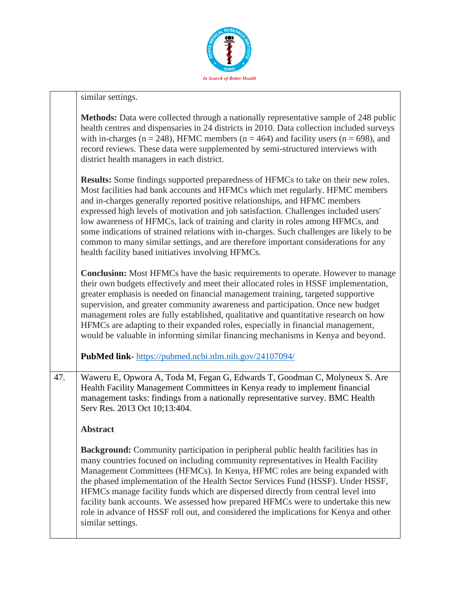

similar settings. **Methods:** Data were collected through a nationally representative sample of 248 public health centres and dispensaries in 24 districts in 2010. Data collection included surveys with in-charges ( $n = 248$ ), HFMC members ( $n = 464$ ) and facility users ( $n = 698$ ), and record reviews. These data were supplemented by semi-structured interviews with district health managers in each district. **Results:** Some findings supported preparedness of HFMCs to take on their new roles. Most facilities had bank accounts and HFMCs which met regularly. HFMC members and in-charges generally reported positive relationships, and HFMC members expressed high levels of motivation and job satisfaction. Challenges included users' low awareness of HFMCs, lack of training and clarity in roles among HFMCs, and some indications of strained relations with in-charges. Such challenges are likely to be common to many similar settings, and are therefore important considerations for any health facility based initiatives involving HFMCs. **Conclusion:** Most HFMCs have the basic requirements to operate. However to manage their own budgets effectively and meet their allocated roles in HSSF implementation, greater emphasis is needed on financial management training, targeted supportive supervision, and greater community awareness and participation. Once new budget management roles are fully established, qualitative and quantitative research on how HFMCs are adapting to their expanded roles, especially in financial management, would be valuable in informing similar financing mechanisms in Kenya and beyond. **PubMed link**- <https://pubmed.ncbi.nlm.nih.gov/24107094/> 47. Waweru E, Opwora A, Toda M, Fegan G, Edwards T, Goodman C, Molyneux S. Are Health Facility Management Committees in Kenya ready to implement financial management tasks: findings from a nationally representative survey. BMC Health Serv Res. 2013 Oct 10;13:404. **Abstract Background:** Community participation in peripheral public health facilities has in

many countries focused on including community representatives in Health Facility Management Committees (HFMCs). In Kenya, HFMC roles are being expanded with the phased implementation of the Health Sector Services Fund (HSSF). Under HSSF, HFMCs manage facility funds which are dispersed directly from central level into facility bank accounts. We assessed how prepared HFMCs were to undertake this new role in advance of HSSF roll out, and considered the implications for Kenya and other similar settings.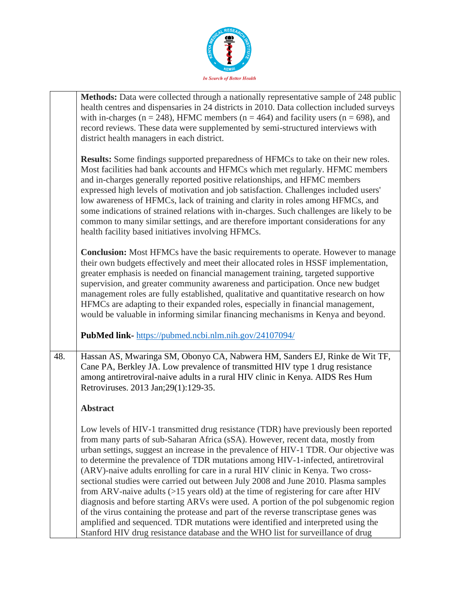

|     | Methods: Data were collected through a nationally representative sample of 248 public<br>health centres and dispensaries in 24 districts in 2010. Data collection included surveys<br>with in-charges ( $n = 248$ ), HFMC members ( $n = 464$ ) and facility users ( $n = 698$ ), and<br>record reviews. These data were supplemented by semi-structured interviews with<br>district health managers in each district.                                                                                                                                                                                                                                                                                                                                                                                                                                                                                                                                                        |
|-----|-------------------------------------------------------------------------------------------------------------------------------------------------------------------------------------------------------------------------------------------------------------------------------------------------------------------------------------------------------------------------------------------------------------------------------------------------------------------------------------------------------------------------------------------------------------------------------------------------------------------------------------------------------------------------------------------------------------------------------------------------------------------------------------------------------------------------------------------------------------------------------------------------------------------------------------------------------------------------------|
|     | <b>Results:</b> Some findings supported preparedness of HFMCs to take on their new roles.<br>Most facilities had bank accounts and HFMCs which met regularly. HFMC members<br>and in-charges generally reported positive relationships, and HFMC members<br>expressed high levels of motivation and job satisfaction. Challenges included users'<br>low awareness of HFMCs, lack of training and clarity in roles among HFMCs, and<br>some indications of strained relations with in-charges. Such challenges are likely to be<br>common to many similar settings, and are therefore important considerations for any<br>health facility based initiatives involving HFMCs.                                                                                                                                                                                                                                                                                                   |
|     | <b>Conclusion:</b> Most HFMCs have the basic requirements to operate. However to manage<br>their own budgets effectively and meet their allocated roles in HSSF implementation,<br>greater emphasis is needed on financial management training, targeted supportive<br>supervision, and greater community awareness and participation. Once new budget<br>management roles are fully established, qualitative and quantitative research on how<br>HFMCs are adapting to their expanded roles, especially in financial management,<br>would be valuable in informing similar financing mechanisms in Kenya and beyond.                                                                                                                                                                                                                                                                                                                                                         |
|     | PubMed link-https://pubmed.ncbi.nlm.nih.gov/24107094/                                                                                                                                                                                                                                                                                                                                                                                                                                                                                                                                                                                                                                                                                                                                                                                                                                                                                                                         |
| 48. | Hassan AS, Mwaringa SM, Obonyo CA, Nabwera HM, Sanders EJ, Rinke de Wit TF,<br>Cane PA, Berkley JA. Low prevalence of transmitted HIV type 1 drug resistance<br>among antiretroviral-naive adults in a rural HIV clinic in Kenya. AIDS Res Hum<br>Retroviruses. 2013 Jan; 29(1): 129-35.                                                                                                                                                                                                                                                                                                                                                                                                                                                                                                                                                                                                                                                                                      |
|     | <b>Abstract</b>                                                                                                                                                                                                                                                                                                                                                                                                                                                                                                                                                                                                                                                                                                                                                                                                                                                                                                                                                               |
|     | Low levels of HIV-1 transmitted drug resistance (TDR) have previously been reported<br>from many parts of sub-Saharan Africa (sSA). However, recent data, mostly from<br>urban settings, suggest an increase in the prevalence of HIV-1 TDR. Our objective was<br>to determine the prevalence of TDR mutations among HIV-1-infected, antiretroviral<br>(ARV)-naive adults enrolling for care in a rural HIV clinic in Kenya. Two cross-<br>sectional studies were carried out between July 2008 and June 2010. Plasma samples<br>from ARV-naive adults $(>15$ years old) at the time of registering for care after HIV<br>diagnosis and before starting ARVs were used. A portion of the pol subgenomic region<br>of the virus containing the protease and part of the reverse transcriptase genes was<br>amplified and sequenced. TDR mutations were identified and interpreted using the<br>Stanford HIV drug resistance database and the WHO list for surveillance of drug |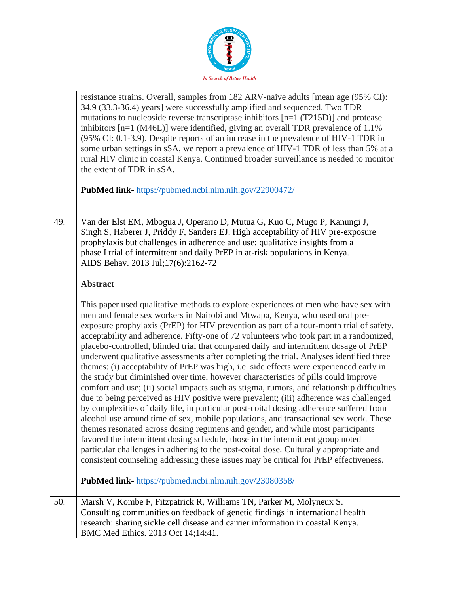

|     | resistance strains. Overall, samples from 182 ARV-naive adults [mean age (95% CI):<br>34.9 (33.3-36.4) years] were successfully amplified and sequenced. Two TDR<br>mutations to nucleoside reverse transcriptase inhibitors $[n=1 (T215D)]$ and protease<br>inhibitors $[n=1 (M46L)]$ were identified, giving an overall TDR prevalence of 1.1%<br>(95% CI: 0.1-3.9). Despite reports of an increase in the prevalence of HIV-1 TDR in<br>some urban settings in sSA, we report a prevalence of HIV-1 TDR of less than 5% at a<br>rural HIV clinic in coastal Kenya. Continued broader surveillance is needed to monitor<br>the extent of TDR in sSA.<br>PubMed link-https://pubmed.ncbi.nlm.nih.gov/22900472/                                                                                                                                                                                                                                                                                                                                                                                                                                                                                                                                                                                                                                                                                                                                                                                                           |
|-----|---------------------------------------------------------------------------------------------------------------------------------------------------------------------------------------------------------------------------------------------------------------------------------------------------------------------------------------------------------------------------------------------------------------------------------------------------------------------------------------------------------------------------------------------------------------------------------------------------------------------------------------------------------------------------------------------------------------------------------------------------------------------------------------------------------------------------------------------------------------------------------------------------------------------------------------------------------------------------------------------------------------------------------------------------------------------------------------------------------------------------------------------------------------------------------------------------------------------------------------------------------------------------------------------------------------------------------------------------------------------------------------------------------------------------------------------------------------------------------------------------------------------------|
| 49. | Van der Elst EM, Mbogua J, Operario D, Mutua G, Kuo C, Mugo P, Kanungi J,<br>Singh S, Haberer J, Priddy F, Sanders EJ. High acceptability of HIV pre-exposure<br>prophylaxis but challenges in adherence and use: qualitative insights from a<br>phase I trial of intermittent and daily PrEP in at-risk populations in Kenya.<br>AIDS Behav. 2013 Jul;17(6):2162-72                                                                                                                                                                                                                                                                                                                                                                                                                                                                                                                                                                                                                                                                                                                                                                                                                                                                                                                                                                                                                                                                                                                                                      |
|     | <b>Abstract</b>                                                                                                                                                                                                                                                                                                                                                                                                                                                                                                                                                                                                                                                                                                                                                                                                                                                                                                                                                                                                                                                                                                                                                                                                                                                                                                                                                                                                                                                                                                           |
|     | This paper used qualitative methods to explore experiences of men who have sex with<br>men and female sex workers in Nairobi and Mtwapa, Kenya, who used oral pre-<br>exposure prophylaxis (PrEP) for HIV prevention as part of a four-month trial of safety,<br>acceptability and adherence. Fifty-one of 72 volunteers who took part in a randomized,<br>placebo-controlled, blinded trial that compared daily and intermittent dosage of PrEP<br>underwent qualitative assessments after completing the trial. Analyses identified three<br>themes: (i) acceptability of PrEP was high, i.e. side effects were experienced early in<br>the study but diminished over time, however characteristics of pills could improve<br>comfort and use; (ii) social impacts such as stigma, rumors, and relationship difficulties<br>due to being perceived as HIV positive were prevalent; (iii) adherence was challenged<br>by complexities of daily life, in particular post-coital dosing adherence suffered from<br>alcohol use around time of sex, mobile populations, and transactional sex work. These<br>themes resonated across dosing regimens and gender, and while most participants<br>favored the intermittent dosing schedule, those in the intermittent group noted<br>particular challenges in adhering to the post-coital dose. Culturally appropriate and<br>consistent counseling addressing these issues may be critical for PrEP effectiveness.<br>PubMed link- https://pubmed.ncbi.nlm.nih.gov/23080358/ |
| 50. | Marsh V, Kombe F, Fitzpatrick R, Williams TN, Parker M, Molyneux S.                                                                                                                                                                                                                                                                                                                                                                                                                                                                                                                                                                                                                                                                                                                                                                                                                                                                                                                                                                                                                                                                                                                                                                                                                                                                                                                                                                                                                                                       |
|     | Consulting communities on feedback of genetic findings in international health<br>research: sharing sickle cell disease and carrier information in coastal Kenya.<br>BMC Med Ethics. 2013 Oct 14;14:41.                                                                                                                                                                                                                                                                                                                                                                                                                                                                                                                                                                                                                                                                                                                                                                                                                                                                                                                                                                                                                                                                                                                                                                                                                                                                                                                   |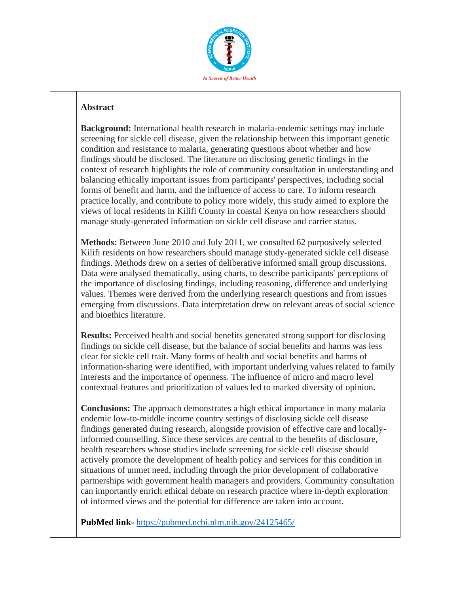

# **Abstract**

**Background:** International health research in malaria-endemic settings may include screening for sickle cell disease, given the relationship between this important genetic condition and resistance to malaria, generating questions about whether and how findings should be disclosed. The literature on disclosing genetic findings in the context of research highlights the role of community consultation in understanding and balancing ethically important issues from participants' perspectives, including social forms of benefit and harm, and the influence of access to care. To inform research practice locally, and contribute to policy more widely, this study aimed to explore the views of local residents in Kilifi County in coastal Kenya on how researchers should manage study-generated information on sickle cell disease and carrier status.

**Methods:** Between June 2010 and July 2011, we consulted 62 purposively selected Kilifi residents on how researchers should manage study-generated sickle cell disease findings. Methods drew on a series of deliberative informed small group discussions. Data were analysed thematically, using charts, to describe participants' perceptions of the importance of disclosing findings, including reasoning, difference and underlying values. Themes were derived from the underlying research questions and from issues emerging from discussions. Data interpretation drew on relevant areas of social science and bioethics literature.

**Results:** Perceived health and social benefits generated strong support for disclosing findings on sickle cell disease, but the balance of social benefits and harms was less clear for sickle cell trait. Many forms of health and social benefits and harms of information-sharing were identified, with important underlying values related to family interests and the importance of openness. The influence of micro and macro level contextual features and prioritization of values led to marked diversity of opinion.

**Conclusions:** The approach demonstrates a high ethical importance in many malaria endemic low-to-middle income country settings of disclosing sickle cell disease findings generated during research, alongside provision of effective care and locallyinformed counselling. Since these services are central to the benefits of disclosure, health researchers whose studies include screening for sickle cell disease should actively promote the development of health policy and services for this condition in situations of unmet need, including through the prior development of collaborative partnerships with government health managers and providers. Community consultation can importantly enrich ethical debate on research practice where in-depth exploration of informed views and the potential for difference are taken into account.

**PubMed link-** <https://pubmed.ncbi.nlm.nih.gov/24125465/>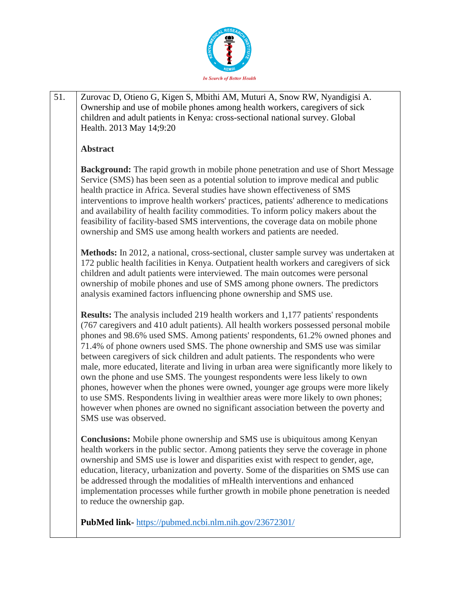

# 51. Zurovac D, Otieno G, Kigen S, Mbithi AM, Muturi A, Snow RW, Nyandigisi A. Ownership and use of mobile phones among health workers, caregivers of sick children and adult patients in Kenya: cross-sectional national survey. Global Health. 2013 May 14;9:20

### **Abstract**

**Background:** The rapid growth in mobile phone penetration and use of Short Message Service (SMS) has been seen as a potential solution to improve medical and public health practice in Africa. Several studies have shown effectiveness of SMS interventions to improve health workers' practices, patients' adherence to medications and availability of health facility commodities. To inform policy makers about the feasibility of facility-based SMS interventions, the coverage data on mobile phone ownership and SMS use among health workers and patients are needed.

**Methods:** In 2012, a national, cross-sectional, cluster sample survey was undertaken at 172 public health facilities in Kenya. Outpatient health workers and caregivers of sick children and adult patients were interviewed. The main outcomes were personal ownership of mobile phones and use of SMS among phone owners. The predictors analysis examined factors influencing phone ownership and SMS use.

**Results:** The analysis included 219 health workers and 1,177 patients' respondents (767 caregivers and 410 adult patients). All health workers possessed personal mobile phones and 98.6% used SMS. Among patients' respondents, 61.2% owned phones and 71.4% of phone owners used SMS. The phone ownership and SMS use was similar between caregivers of sick children and adult patients. The respondents who were male, more educated, literate and living in urban area were significantly more likely to own the phone and use SMS. The youngest respondents were less likely to own phones, however when the phones were owned, younger age groups were more likely to use SMS. Respondents living in wealthier areas were more likely to own phones; however when phones are owned no significant association between the poverty and SMS use was observed.

**Conclusions:** Mobile phone ownership and SMS use is ubiquitous among Kenyan health workers in the public sector. Among patients they serve the coverage in phone ownership and SMS use is lower and disparities exist with respect to gender, age, education, literacy, urbanization and poverty. Some of the disparities on SMS use can be addressed through the modalities of mHealth interventions and enhanced implementation processes while further growth in mobile phone penetration is needed to reduce the ownership gap.

**PubMed link-** <https://pubmed.ncbi.nlm.nih.gov/23672301/>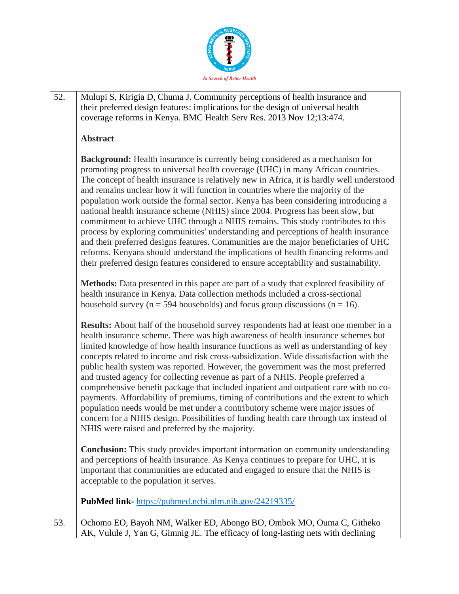

52. Mulupi S, Kirigia D, Chuma J. Community perceptions of health insurance and their preferred design features: implications for the design of universal health coverage reforms in Kenya. BMC Health Serv Res. 2013 Nov 12;13:474.

### **Abstract**

**Background:** Health insurance is currently being considered as a mechanism for promoting progress to universal health coverage (UHC) in many African countries. The concept of health insurance is relatively new in Africa, it is hardly well understood and remains unclear how it will function in countries where the majority of the population work outside the formal sector. Kenya has been considering introducing a national health insurance scheme (NHIS) since 2004. Progress has been slow, but commitment to achieve UHC through a NHIS remains. This study contributes to this process by exploring communities' understanding and perceptions of health insurance and their preferred designs features. Communities are the major beneficiaries of UHC reforms. Kenyans should understand the implications of health financing reforms and their preferred design features considered to ensure acceptability and sustainability.

**Methods:** Data presented in this paper are part of a study that explored feasibility of health insurance in Kenya. Data collection methods included a cross-sectional household survey ( $n = 594$  households) and focus group discussions ( $n = 16$ ).

**Results:** About half of the household survey respondents had at least one member in a health insurance scheme. There was high awareness of health insurance schemes but limited knowledge of how health insurance functions as well as understanding of key concepts related to income and risk cross-subsidization. Wide dissatisfaction with the public health system was reported. However, the government was the most preferred and trusted agency for collecting revenue as part of a NHIS. People preferred a comprehensive benefit package that included inpatient and outpatient care with no copayments. Affordability of premiums, timing of contributions and the extent to which population needs would be met under a contributory scheme were major issues of concern for a NHIS design. Possibilities of funding health care through tax instead of NHIS were raised and preferred by the majority.

**Conclusion:** This study provides important information on community understanding and perceptions of health insurance. As Kenya continues to prepare for UHC, it is important that communities are educated and engaged to ensure that the NHIS is acceptable to the population it serves.

**PubMed link-** <https://pubmed.ncbi.nlm.nih.gov/24219335/>

| 53. | Ochomo EO, Bayoh NM, Walker ED, Abongo BO, Ombok MO, Ouma C, Githeko             |
|-----|----------------------------------------------------------------------------------|
|     | AK, Vulule J, Yan G, Gimnig JE. The efficacy of long-lasting nets with declining |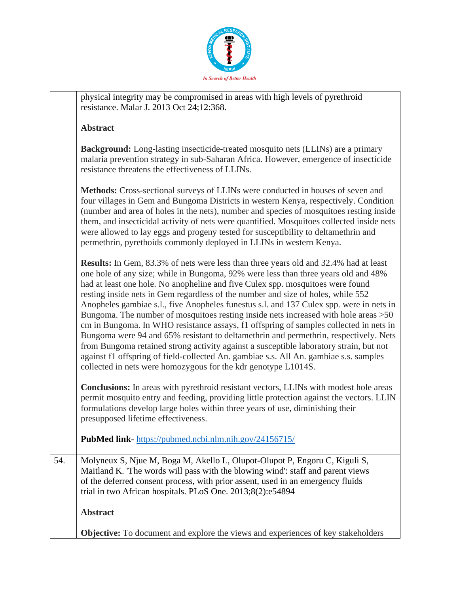

physical integrity may be compromised in areas with high levels of pyrethroid resistance. Malar J. 2013 Oct 24;12:368.

### **Abstract**

**Background:** Long-lasting insecticide-treated mosquito nets (LLINs) are a primary malaria prevention strategy in sub-Saharan Africa. However, emergence of insecticide resistance threatens the effectiveness of LLINs.

**Methods:** Cross-sectional surveys of LLINs were conducted in houses of seven and four villages in Gem and Bungoma Districts in western Kenya, respectively. Condition (number and area of holes in the nets), number and species of mosquitoes resting inside them, and insecticidal activity of nets were quantified. Mosquitoes collected inside nets were allowed to lay eggs and progeny tested for susceptibility to deltamethrin and permethrin, pyrethoids commonly deployed in LLINs in western Kenya.

**Results:** In Gem, 83.3% of nets were less than three years old and 32.4% had at least one hole of any size; while in Bungoma, 92% were less than three years old and 48% had at least one hole. No anopheline and five Culex spp. mosquitoes were found resting inside nets in Gem regardless of the number and size of holes, while 552 Anopheles gambiae s.l., five Anopheles funestus s.l. and 137 Culex spp. were in nets in Bungoma. The number of mosquitoes resting inside nets increased with hole areas >50 cm in Bungoma. In WHO resistance assays, f1 offspring of samples collected in nets in Bungoma were 94 and 65% resistant to deltamethrin and permethrin, respectively. Nets from Bungoma retained strong activity against a susceptible laboratory strain, but not against f1 offspring of field-collected An. gambiae s.s. All An. gambiae s.s. samples collected in nets were homozygous for the kdr genotype L1014S.

**Conclusions:** In areas with pyrethroid resistant vectors, LLINs with modest hole areas permit mosquito entry and feeding, providing little protection against the vectors. LLIN formulations develop large holes within three years of use, diminishing their presupposed lifetime effectiveness.

**PubMed link**- <https://pubmed.ncbi.nlm.nih.gov/24156715/>

54. Molyneux S, Njue M, Boga M, Akello L, Olupot-Olupot P, Engoru C, Kiguli S, Maitland K. 'The words will pass with the blowing wind': staff and parent views of the deferred consent process, with prior assent, used in an emergency fluids trial in two African hospitals. PLoS One. 2013;8(2):e54894

**Abstract**

**Objective:** To document and explore the views and experiences of key stakeholders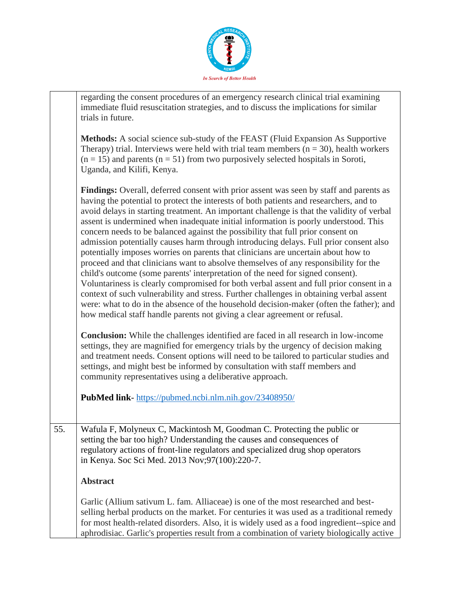

|     | regarding the consent procedures of an emergency research clinical trial examining<br>immediate fluid resuscitation strategies, and to discuss the implications for similar<br>trials in future.                                                                                                                                                                                                                                                                                                                                                                                                                                                                                                                                                                                                                                                                                                                                                                                                                                                                                                                                                                                                                                                                                                                                                                                                                                                                                                                                                                                                         |
|-----|----------------------------------------------------------------------------------------------------------------------------------------------------------------------------------------------------------------------------------------------------------------------------------------------------------------------------------------------------------------------------------------------------------------------------------------------------------------------------------------------------------------------------------------------------------------------------------------------------------------------------------------------------------------------------------------------------------------------------------------------------------------------------------------------------------------------------------------------------------------------------------------------------------------------------------------------------------------------------------------------------------------------------------------------------------------------------------------------------------------------------------------------------------------------------------------------------------------------------------------------------------------------------------------------------------------------------------------------------------------------------------------------------------------------------------------------------------------------------------------------------------------------------------------------------------------------------------------------------------|
|     | Methods: A social science sub-study of the FEAST (Fluid Expansion As Supportive<br>Therapy) trial. Interviews were held with trial team members ( $n = 30$ ), health workers<br>$(n = 15)$ and parents $(n = 51)$ from two purposively selected hospitals in Soroti,<br>Uganda, and Kilifi, Kenya.                                                                                                                                                                                                                                                                                                                                                                                                                                                                                                                                                                                                                                                                                                                                                                                                                                                                                                                                                                                                                                                                                                                                                                                                                                                                                                       |
|     | Findings: Overall, deferred consent with prior assent was seen by staff and parents as<br>having the potential to protect the interests of both patients and researchers, and to<br>avoid delays in starting treatment. An important challenge is that the validity of verbal<br>assent is undermined when inadequate initial information is poorly understood. This<br>concern needs to be balanced against the possibility that full prior consent on<br>admission potentially causes harm through introducing delays. Full prior consent also<br>potentially imposes worries on parents that clinicians are uncertain about how to<br>proceed and that clinicians want to absolve themselves of any responsibility for the<br>child's outcome (some parents' interpretation of the need for signed consent).<br>Voluntariness is clearly compromised for both verbal assent and full prior consent in a<br>context of such vulnerability and stress. Further challenges in obtaining verbal assent<br>were: what to do in the absence of the household decision-maker (often the father); and<br>how medical staff handle parents not giving a clear agreement or refusal.<br><b>Conclusion:</b> While the challenges identified are faced in all research in low-income<br>settings, they are magnified for emergency trials by the urgency of decision making<br>and treatment needs. Consent options will need to be tailored to particular studies and<br>settings, and might best be informed by consultation with staff members and<br>community representatives using a deliberative approach. |
|     | PubMed link-https://pubmed.ncbi.nlm.nih.gov/23408950/                                                                                                                                                                                                                                                                                                                                                                                                                                                                                                                                                                                                                                                                                                                                                                                                                                                                                                                                                                                                                                                                                                                                                                                                                                                                                                                                                                                                                                                                                                                                                    |
| 55. | Wafula F, Molyneux C, Mackintosh M, Goodman C. Protecting the public or<br>setting the bar too high? Understanding the causes and consequences of<br>regulatory actions of front-line regulators and specialized drug shop operators<br>in Kenya. Soc Sci Med. 2013 Nov; 97(100): 220-7.                                                                                                                                                                                                                                                                                                                                                                                                                                                                                                                                                                                                                                                                                                                                                                                                                                                                                                                                                                                                                                                                                                                                                                                                                                                                                                                 |
|     | <b>Abstract</b>                                                                                                                                                                                                                                                                                                                                                                                                                                                                                                                                                                                                                                                                                                                                                                                                                                                                                                                                                                                                                                                                                                                                                                                                                                                                                                                                                                                                                                                                                                                                                                                          |
|     | Garlic (Allium sativum L. fam. Alliaceae) is one of the most researched and best-<br>selling herbal products on the market. For centuries it was used as a traditional remedy<br>for most health-related disorders. Also, it is widely used as a food ingredient--spice and<br>aphrodisiac. Garlic's properties result from a combination of variety biologically active                                                                                                                                                                                                                                                                                                                                                                                                                                                                                                                                                                                                                                                                                                                                                                                                                                                                                                                                                                                                                                                                                                                                                                                                                                 |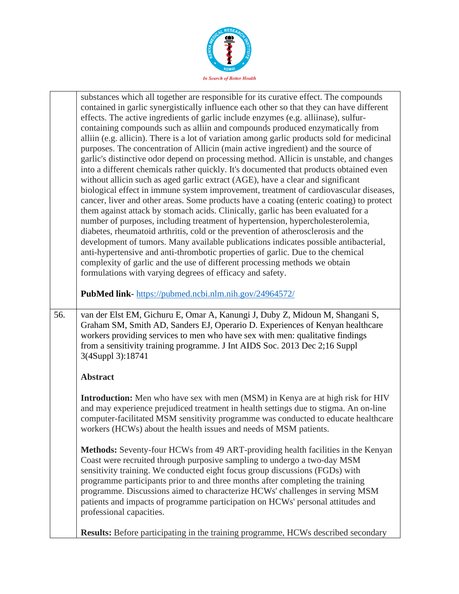

|     | substances which all together are responsible for its curative effect. The compounds<br>contained in garlic synergistically influence each other so that they can have different<br>effects. The active ingredients of garlic include enzymes (e.g. alliinase), sulfur-<br>containing compounds such as alliin and compounds produced enzymatically from<br>alliin (e.g. allicin). There is a lot of variation among garlic products sold for medicinal<br>purposes. The concentration of Allicin (main active ingredient) and the source of<br>garlic's distinctive odor depend on processing method. Allicin is unstable, and changes<br>into a different chemicals rather quickly. It's documented that products obtained even<br>without allicin such as aged garlic extract (AGE), have a clear and significant<br>biological effect in immune system improvement, treatment of cardiovascular diseases,<br>cancer, liver and other areas. Some products have a coating (enteric coating) to protect<br>them against attack by stomach acids. Clinically, garlic has been evaluated for a<br>number of purposes, including treatment of hypertension, hypercholesterolemia,<br>diabetes, rheumatoid arthritis, cold or the prevention of atherosclerosis and the<br>development of tumors. Many available publications indicates possible antibacterial,<br>anti-hypertensive and anti-thrombotic properties of garlic. Due to the chemical<br>complexity of garlic and the use of different processing methods we obtain<br>formulations with varying degrees of efficacy and safety.<br>PubMed link-https://pubmed.ncbi.nlm.nih.gov/24964572/ |
|-----|------------------------------------------------------------------------------------------------------------------------------------------------------------------------------------------------------------------------------------------------------------------------------------------------------------------------------------------------------------------------------------------------------------------------------------------------------------------------------------------------------------------------------------------------------------------------------------------------------------------------------------------------------------------------------------------------------------------------------------------------------------------------------------------------------------------------------------------------------------------------------------------------------------------------------------------------------------------------------------------------------------------------------------------------------------------------------------------------------------------------------------------------------------------------------------------------------------------------------------------------------------------------------------------------------------------------------------------------------------------------------------------------------------------------------------------------------------------------------------------------------------------------------------------------------------------------------------------------------------------------------------------------------|
|     |                                                                                                                                                                                                                                                                                                                                                                                                                                                                                                                                                                                                                                                                                                                                                                                                                                                                                                                                                                                                                                                                                                                                                                                                                                                                                                                                                                                                                                                                                                                                                                                                                                                      |
| 56. | van der Elst EM, Gichuru E, Omar A, Kanungi J, Duby Z, Midoun M, Shangani S,<br>Graham SM, Smith AD, Sanders EJ, Operario D. Experiences of Kenyan healthcare<br>workers providing services to men who have sex with men: qualitative findings<br>from a sensitivity training programme. J Int AIDS Soc. 2013 Dec 2;16 Suppl<br>3(4Suppl 3):18741                                                                                                                                                                                                                                                                                                                                                                                                                                                                                                                                                                                                                                                                                                                                                                                                                                                                                                                                                                                                                                                                                                                                                                                                                                                                                                    |
|     | <b>Abstract</b>                                                                                                                                                                                                                                                                                                                                                                                                                                                                                                                                                                                                                                                                                                                                                                                                                                                                                                                                                                                                                                                                                                                                                                                                                                                                                                                                                                                                                                                                                                                                                                                                                                      |
|     | <b>Introduction:</b> Men who have sex with men (MSM) in Kenya are at high risk for HIV<br>and may experience prejudiced treatment in health settings due to stigma. An on-line<br>computer-facilitated MSM sensitivity programme was conducted to educate healthcare<br>workers (HCWs) about the health issues and needs of MSM patients.                                                                                                                                                                                                                                                                                                                                                                                                                                                                                                                                                                                                                                                                                                                                                                                                                                                                                                                                                                                                                                                                                                                                                                                                                                                                                                            |
|     | Methods: Seventy-four HCWs from 49 ART-providing health facilities in the Kenyan<br>Coast were recruited through purposive sampling to undergo a two-day MSM<br>sensitivity training. We conducted eight focus group discussions (FGDs) with<br>programme participants prior to and three months after completing the training<br>programme. Discussions aimed to characterize HCWs' challenges in serving MSM<br>patients and impacts of programme participation on HCWs' personal attitudes and<br>professional capacities.                                                                                                                                                                                                                                                                                                                                                                                                                                                                                                                                                                                                                                                                                                                                                                                                                                                                                                                                                                                                                                                                                                                        |
|     | <b>Results:</b> Before participating in the training programme, HCWs described secondary                                                                                                                                                                                                                                                                                                                                                                                                                                                                                                                                                                                                                                                                                                                                                                                                                                                                                                                                                                                                                                                                                                                                                                                                                                                                                                                                                                                                                                                                                                                                                             |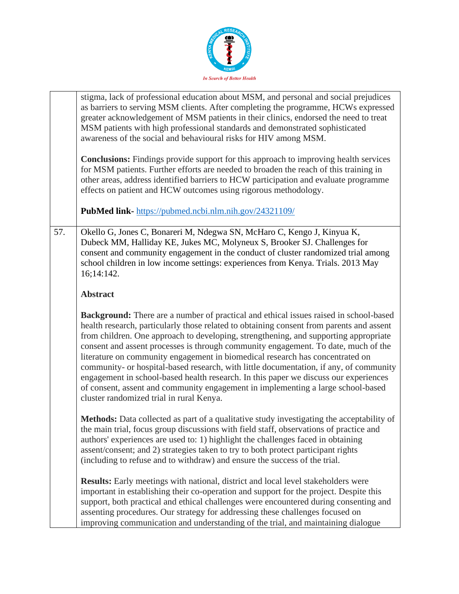

|     | stigma, lack of professional education about MSM, and personal and social prejudices<br>as barriers to serving MSM clients. After completing the programme, HCWs expressed<br>greater acknowledgement of MSM patients in their clinics, endorsed the need to treat<br>MSM patients with high professional standards and demonstrated sophisticated<br>awareness of the social and behavioural risks for HIV among MSM.                                                                                                                                                                                                                                                                                                                                                    |
|-----|---------------------------------------------------------------------------------------------------------------------------------------------------------------------------------------------------------------------------------------------------------------------------------------------------------------------------------------------------------------------------------------------------------------------------------------------------------------------------------------------------------------------------------------------------------------------------------------------------------------------------------------------------------------------------------------------------------------------------------------------------------------------------|
|     | <b>Conclusions:</b> Findings provide support for this approach to improving health services<br>for MSM patients. Further efforts are needed to broaden the reach of this training in<br>other areas, address identified barriers to HCW participation and evaluate programme<br>effects on patient and HCW outcomes using rigorous methodology.                                                                                                                                                                                                                                                                                                                                                                                                                           |
|     | PubMed link-https://pubmed.ncbi.nlm.nih.gov/24321109/                                                                                                                                                                                                                                                                                                                                                                                                                                                                                                                                                                                                                                                                                                                     |
| 57. | Okello G, Jones C, Bonareri M, Ndegwa SN, McHaro C, Kengo J, Kinyua K,<br>Dubeck MM, Halliday KE, Jukes MC, Molyneux S, Brooker SJ. Challenges for<br>consent and community engagement in the conduct of cluster randomized trial among<br>school children in low income settings: experiences from Kenya. Trials. 2013 May<br>16;14:142.                                                                                                                                                                                                                                                                                                                                                                                                                                 |
|     | <b>Abstract</b>                                                                                                                                                                                                                                                                                                                                                                                                                                                                                                                                                                                                                                                                                                                                                           |
|     | <b>Background:</b> There are a number of practical and ethical issues raised in school-based<br>health research, particularly those related to obtaining consent from parents and assent<br>from children. One approach to developing, strengthening, and supporting appropriate<br>consent and assent processes is through community engagement. To date, much of the<br>literature on community engagement in biomedical research has concentrated on<br>community- or hospital-based research, with little documentation, if any, of community<br>engagement in school-based health research. In this paper we discuss our experiences<br>of consent, assent and community engagement in implementing a large school-based<br>cluster randomized trial in rural Kenya. |
|     | Methods: Data collected as part of a qualitative study investigating the acceptability of<br>the main trial, focus group discussions with field staff, observations of practice and<br>authors' experiences are used to: 1) highlight the challenges faced in obtaining<br>assent/consent; and 2) strategies taken to try to both protect participant rights<br>(including to refuse and to withdraw) and ensure the success of the trial.                                                                                                                                                                                                                                                                                                                                |
|     | Results: Early meetings with national, district and local level stakeholders were<br>important in establishing their co-operation and support for the project. Despite this<br>support, both practical and ethical challenges were encountered during consenting and<br>assenting procedures. Our strategy for addressing these challenges focused on<br>improving communication and understanding of the trial, and maintaining dialogue                                                                                                                                                                                                                                                                                                                                 |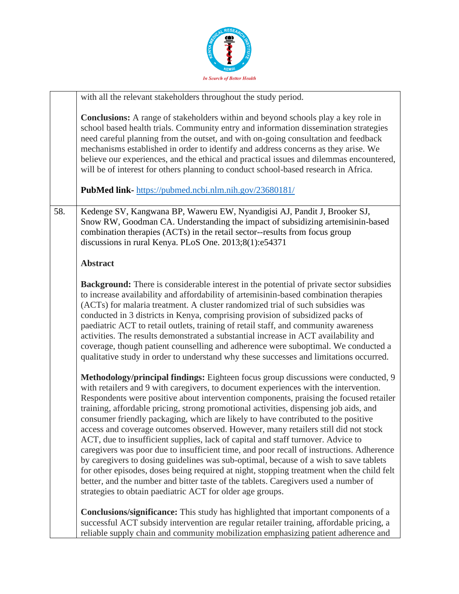

|     | with all the relevant stakeholders throughout the study period.                                                                                                                                                                                                                                                                                                                                                                                                                                                                                                                                                                                                                                                                                                                                                                                                                                                                                                                                                                                                    |
|-----|--------------------------------------------------------------------------------------------------------------------------------------------------------------------------------------------------------------------------------------------------------------------------------------------------------------------------------------------------------------------------------------------------------------------------------------------------------------------------------------------------------------------------------------------------------------------------------------------------------------------------------------------------------------------------------------------------------------------------------------------------------------------------------------------------------------------------------------------------------------------------------------------------------------------------------------------------------------------------------------------------------------------------------------------------------------------|
|     | <b>Conclusions:</b> A range of stakeholders within and beyond schools play a key role in<br>school based health trials. Community entry and information dissemination strategies<br>need careful planning from the outset, and with on-going consultation and feedback<br>mechanisms established in order to identify and address concerns as they arise. We<br>believe our experiences, and the ethical and practical issues and dilemmas encountered,<br>will be of interest for others planning to conduct school-based research in Africa.                                                                                                                                                                                                                                                                                                                                                                                                                                                                                                                     |
|     | PubMed link-https://pubmed.ncbi.nlm.nih.gov/23680181/                                                                                                                                                                                                                                                                                                                                                                                                                                                                                                                                                                                                                                                                                                                                                                                                                                                                                                                                                                                                              |
| 58. | Kedenge SV, Kangwana BP, Waweru EW, Nyandigisi AJ, Pandit J, Brooker SJ,<br>Snow RW, Goodman CA. Understanding the impact of subsidizing artemisinin-based<br>combination therapies (ACTs) in the retail sector--results from focus group<br>discussions in rural Kenya. PLoS One. 2013;8(1):e54371                                                                                                                                                                                                                                                                                                                                                                                                                                                                                                                                                                                                                                                                                                                                                                |
|     | <b>Abstract</b>                                                                                                                                                                                                                                                                                                                                                                                                                                                                                                                                                                                                                                                                                                                                                                                                                                                                                                                                                                                                                                                    |
|     | Background: There is considerable interest in the potential of private sector subsidies<br>to increase availability and affordability of artemisinin-based combination therapies<br>(ACTs) for malaria treatment. A cluster randomized trial of such subsidies was<br>conducted in 3 districts in Kenya, comprising provision of subsidized packs of<br>paediatric ACT to retail outlets, training of retail staff, and community awareness<br>activities. The results demonstrated a substantial increase in ACT availability and<br>coverage, though patient counselling and adherence were suboptimal. We conducted a<br>qualitative study in order to understand why these successes and limitations occurred.                                                                                                                                                                                                                                                                                                                                                 |
|     | Methodology/principal findings: Eighteen focus group discussions were conducted, 9<br>with retailers and 9 with caregivers, to document experiences with the intervention.<br>Respondents were positive about intervention components, praising the focused retailer<br>training, affordable pricing, strong promotional activities, dispensing job aids, and<br>consumer friendly packaging, which are likely to have contributed to the positive<br>access and coverage outcomes observed. However, many retailers still did not stock<br>ACT, due to insufficient supplies, lack of capital and staff turnover. Advice to<br>caregivers was poor due to insufficient time, and poor recall of instructions. Adherence<br>by caregivers to dosing guidelines was sub-optimal, because of a wish to save tablets<br>for other episodes, doses being required at night, stopping treatment when the child felt<br>better, and the number and bitter taste of the tablets. Caregivers used a number of<br>strategies to obtain paediatric ACT for older age groups. |
|     | <b>Conclusions/significance:</b> This study has highlighted that important components of a<br>successful ACT subsidy intervention are regular retailer training, affordable pricing, a<br>reliable supply chain and community mobilization emphasizing patient adherence and                                                                                                                                                                                                                                                                                                                                                                                                                                                                                                                                                                                                                                                                                                                                                                                       |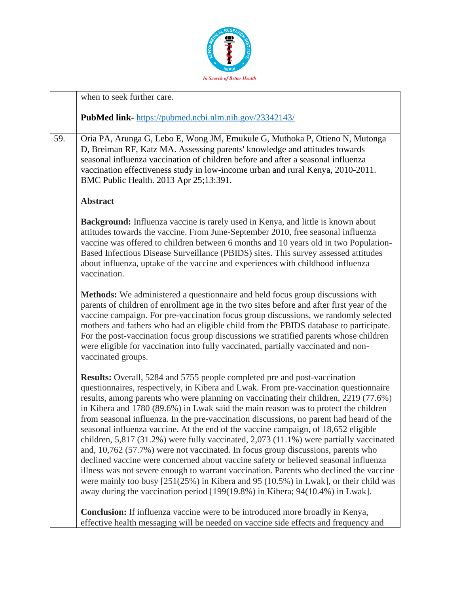

|     | when to seek further care.                                                                                                                                                                                                                                                                                                                                                                                                                                                                                                                                                                                                                                                                                                                                                                                                                                                                                                                                                                                                                                                           |
|-----|--------------------------------------------------------------------------------------------------------------------------------------------------------------------------------------------------------------------------------------------------------------------------------------------------------------------------------------------------------------------------------------------------------------------------------------------------------------------------------------------------------------------------------------------------------------------------------------------------------------------------------------------------------------------------------------------------------------------------------------------------------------------------------------------------------------------------------------------------------------------------------------------------------------------------------------------------------------------------------------------------------------------------------------------------------------------------------------|
|     | PubMed link-https://pubmed.ncbi.nlm.nih.gov/23342143/                                                                                                                                                                                                                                                                                                                                                                                                                                                                                                                                                                                                                                                                                                                                                                                                                                                                                                                                                                                                                                |
| 59. | Oria PA, Arunga G, Lebo E, Wong JM, Emukule G, Muthoka P, Otieno N, Mutonga<br>D, Breiman RF, Katz MA. Assessing parents' knowledge and attitudes towards<br>seasonal influenza vaccination of children before and after a seasonal influenza<br>vaccination effectiveness study in low-income urban and rural Kenya, 2010-2011.<br>BMC Public Health. 2013 Apr 25;13:391.                                                                                                                                                                                                                                                                                                                                                                                                                                                                                                                                                                                                                                                                                                           |
|     | <b>Abstract</b>                                                                                                                                                                                                                                                                                                                                                                                                                                                                                                                                                                                                                                                                                                                                                                                                                                                                                                                                                                                                                                                                      |
|     | <b>Background:</b> Influenza vaccine is rarely used in Kenya, and little is known about<br>attitudes towards the vaccine. From June-September 2010, free seasonal influenza<br>vaccine was offered to children between 6 months and 10 years old in two Population-<br>Based Infectious Disease Surveillance (PBIDS) sites. This survey assessed attitudes<br>about influenza, uptake of the vaccine and experiences with childhood influenza<br>vaccination.                                                                                                                                                                                                                                                                                                                                                                                                                                                                                                                                                                                                                        |
|     | <b>Methods:</b> We administered a questionnaire and held focus group discussions with<br>parents of children of enrollment age in the two sites before and after first year of the<br>vaccine campaign. For pre-vaccination focus group discussions, we randomly selected<br>mothers and fathers who had an eligible child from the PBIDS database to participate.<br>For the post-vaccination focus group discussions we stratified parents whose children<br>were eligible for vaccination into fully vaccinated, partially vaccinated and non-<br>vaccinated groups.                                                                                                                                                                                                                                                                                                                                                                                                                                                                                                              |
|     | <b>Results:</b> Overall, 5284 and 5755 people completed pre and post-vaccination<br>questionnaires, respectively, in Kibera and Lwak. From pre-vaccination questionnaire<br>results, among parents who were planning on vaccinating their children, 2219 (77.6%)<br>in Kibera and 1780 (89.6%) in Lwak said the main reason was to protect the children<br>from seasonal influenza. In the pre-vaccination discussions, no parent had heard of the<br>seasonal influenza vaccine. At the end of the vaccine campaign, of 18,652 eligible<br>children, 5,817 (31.2%) were fully vaccinated, $2,073$ (11.1%) were partially vaccinated<br>and, 10,762 (57.7%) were not vaccinated. In focus group discussions, parents who<br>declined vaccine were concerned about vaccine safety or believed seasonal influenza<br>illness was not severe enough to warrant vaccination. Parents who declined the vaccine<br>were mainly too busy $[251(25%)$ in Kibera and 95 (10.5%) in Lwak], or their child was<br>away during the vaccination period [199(19.8%) in Kibera; 94(10.4%) in Lwak]. |
|     | <b>Conclusion:</b> If influenza vaccine were to be introduced more broadly in Kenya,<br>effective health messaging will be needed on vaccine side effects and frequency and                                                                                                                                                                                                                                                                                                                                                                                                                                                                                                                                                                                                                                                                                                                                                                                                                                                                                                          |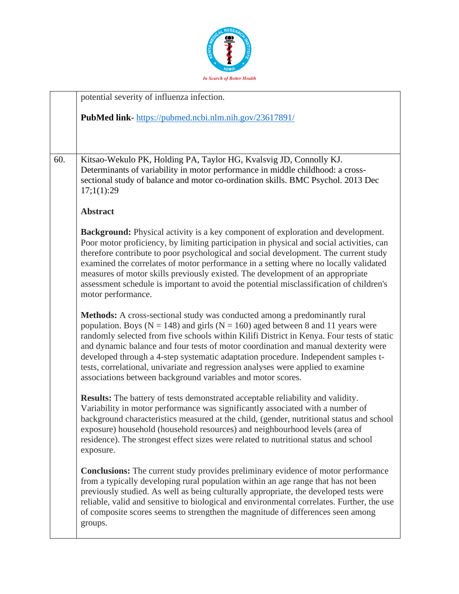

potential severity of influenza infection. **PubMed link**- <https://pubmed.ncbi.nlm.nih.gov/23617891/> 60. Kitsao-Wekulo PK, Holding PA, Taylor HG, Kvalsvig JD, Connolly KJ. Determinants of variability in motor performance in middle childhood: a crosssectional study of balance and motor co-ordination skills. BMC Psychol. 2013 Dec 17;1(1):29 **Abstract Background:** Physical activity is a key component of exploration and development. Poor motor proficiency, by limiting participation in physical and social activities, can therefore contribute to poor psychological and social development. The current study examined the correlates of motor performance in a setting where no locally validated measures of motor skills previously existed. The development of an appropriate assessment schedule is important to avoid the potential misclassification of children's motor performance. **Methods:** A cross-sectional study was conducted among a predominantly rural population. Boys ( $N = 148$ ) and girls ( $N = 160$ ) aged between 8 and 11 years were randomly selected from five schools within Kilifi District in Kenya. Four tests of static and dynamic balance and four tests of motor coordination and manual dexterity were developed through a 4-step systematic adaptation procedure. Independent samples ttests, correlational, univariate and regression analyses were applied to examine associations between background variables and motor scores. **Results:** The battery of tests demonstrated acceptable reliability and validity. Variability in motor performance was significantly associated with a number of background characteristics measured at the child, (gender, nutritional status and school exposure) household (household resources) and neighbourhood levels (area of residence). The strongest effect sizes were related to nutritional status and school exposure. **Conclusions:** The current study provides preliminary evidence of motor performance from a typically developing rural population within an age range that has not been previously studied. As well as being culturally appropriate, the developed tests were reliable, valid and sensitive to biological and environmental correlates. Further, the use of composite scores seems to strengthen the magnitude of differences seen among groups.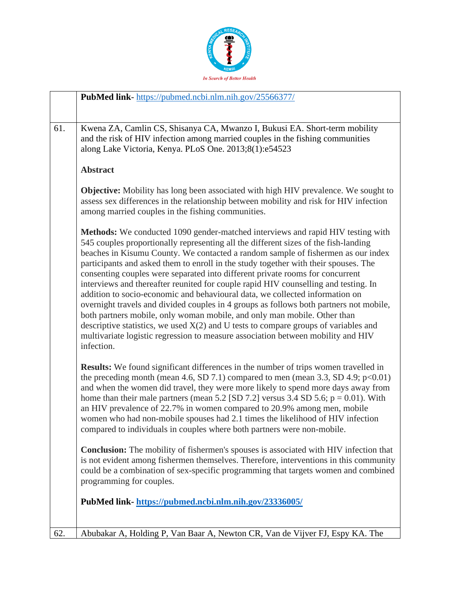

|     | PubMed link-https://pubmed.ncbi.nlm.nih.gov/25566377/                                                                                                                                                                                                                                                                                                                                                                                                                                                                                                                                                                                                                                                                                                                                                                                                                                                                                                                      |
|-----|----------------------------------------------------------------------------------------------------------------------------------------------------------------------------------------------------------------------------------------------------------------------------------------------------------------------------------------------------------------------------------------------------------------------------------------------------------------------------------------------------------------------------------------------------------------------------------------------------------------------------------------------------------------------------------------------------------------------------------------------------------------------------------------------------------------------------------------------------------------------------------------------------------------------------------------------------------------------------|
|     |                                                                                                                                                                                                                                                                                                                                                                                                                                                                                                                                                                                                                                                                                                                                                                                                                                                                                                                                                                            |
| 61. | Kwena ZA, Camlin CS, Shisanya CA, Mwanzo I, Bukusi EA. Short-term mobility<br>and the risk of HIV infection among married couples in the fishing communities<br>along Lake Victoria, Kenya. PLoS One. 2013;8(1):e54523                                                                                                                                                                                                                                                                                                                                                                                                                                                                                                                                                                                                                                                                                                                                                     |
|     | <b>Abstract</b>                                                                                                                                                                                                                                                                                                                                                                                                                                                                                                                                                                                                                                                                                                                                                                                                                                                                                                                                                            |
|     | <b>Objective:</b> Mobility has long been associated with high HIV prevalence. We sought to<br>assess sex differences in the relationship between mobility and risk for HIV infection<br>among married couples in the fishing communities.                                                                                                                                                                                                                                                                                                                                                                                                                                                                                                                                                                                                                                                                                                                                  |
|     | Methods: We conducted 1090 gender-matched interviews and rapid HIV testing with<br>545 couples proportionally representing all the different sizes of the fish-landing<br>beaches in Kisumu County. We contacted a random sample of fishermen as our index<br>participants and asked them to enroll in the study together with their spouses. The<br>consenting couples were separated into different private rooms for concurrent<br>interviews and thereafter reunited for couple rapid HIV counselling and testing. In<br>addition to socio-economic and behavioural data, we collected information on<br>overnight travels and divided couples in 4 groups as follows both partners not mobile,<br>both partners mobile, only woman mobile, and only man mobile. Other than<br>descriptive statistics, we used $X(2)$ and U tests to compare groups of variables and<br>multivariate logistic regression to measure association between mobility and HIV<br>infection. |
|     | <b>Results:</b> We found significant differences in the number of trips women travelled in<br>the preceding month (mean 4.6, SD 7.1) compared to men (mean 3.3, SD 4.9; $p<0.01$ )<br>and when the women did travel, they were more likely to spend more days away from<br>home than their male partners (mean 5.2 [SD 7.2] versus 3.4 SD 5.6; $p = 0.01$ ). With<br>an HIV prevalence of 22.7% in women compared to 20.9% among men, mobile<br>women who had non-mobile spouses had 2.1 times the likelihood of HIV infection<br>compared to individuals in couples where both partners were non-mobile.                                                                                                                                                                                                                                                                                                                                                                  |
|     | <b>Conclusion:</b> The mobility of fishermen's spouses is associated with HIV infection that<br>is not evident among fishermen themselves. Therefore, interventions in this community<br>could be a combination of sex-specific programming that targets women and combined<br>programming for couples.                                                                                                                                                                                                                                                                                                                                                                                                                                                                                                                                                                                                                                                                    |
|     | PubMed link-https://pubmed.ncbi.nlm.nih.gov/23336005/                                                                                                                                                                                                                                                                                                                                                                                                                                                                                                                                                                                                                                                                                                                                                                                                                                                                                                                      |
|     |                                                                                                                                                                                                                                                                                                                                                                                                                                                                                                                                                                                                                                                                                                                                                                                                                                                                                                                                                                            |
| 62. | Abubakar A, Holding P, Van Baar A, Newton CR, Van de Vijver FJ, Espy KA. The                                                                                                                                                                                                                                                                                                                                                                                                                                                                                                                                                                                                                                                                                                                                                                                                                                                                                               |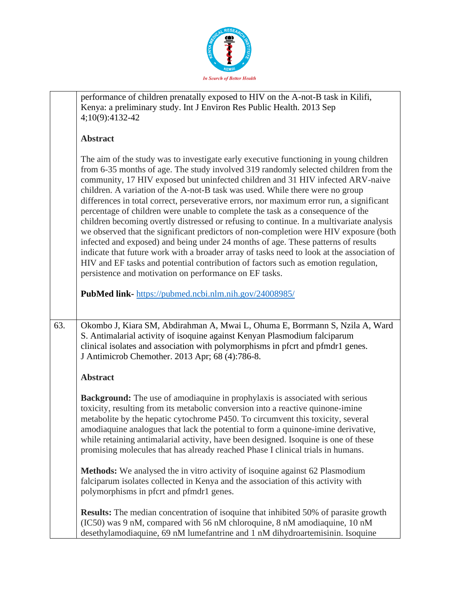

|     | performance of children prenatally exposed to HIV on the A-not-B task in Kilifi,<br>Kenya: a preliminary study. Int J Environ Res Public Health. 2013 Sep<br>4;10(9):4132-42                                                                                                                                                                                                                                                                                                                                                                                                                                                                                                                                                                                                                                                                                                                                                                                                                                                                            |
|-----|---------------------------------------------------------------------------------------------------------------------------------------------------------------------------------------------------------------------------------------------------------------------------------------------------------------------------------------------------------------------------------------------------------------------------------------------------------------------------------------------------------------------------------------------------------------------------------------------------------------------------------------------------------------------------------------------------------------------------------------------------------------------------------------------------------------------------------------------------------------------------------------------------------------------------------------------------------------------------------------------------------------------------------------------------------|
|     | <b>Abstract</b>                                                                                                                                                                                                                                                                                                                                                                                                                                                                                                                                                                                                                                                                                                                                                                                                                                                                                                                                                                                                                                         |
|     | The aim of the study was to investigate early executive functioning in young children<br>from 6-35 months of age. The study involved 319 randomly selected children from the<br>community, 17 HIV exposed but uninfected children and 31 HIV infected ARV-naive<br>children. A variation of the A-not-B task was used. While there were no group<br>differences in total correct, perseverative errors, nor maximum error run, a significant<br>percentage of children were unable to complete the task as a consequence of the<br>children becoming overtly distressed or refusing to continue. In a multivariate analysis<br>we observed that the significant predictors of non-completion were HIV exposure (both<br>infected and exposed) and being under 24 months of age. These patterns of results<br>indicate that future work with a broader array of tasks need to look at the association of<br>HIV and EF tasks and potential contribution of factors such as emotion regulation,<br>persistence and motivation on performance on EF tasks. |
|     | PubMed link-https://pubmed.ncbi.nlm.nih.gov/24008985/                                                                                                                                                                                                                                                                                                                                                                                                                                                                                                                                                                                                                                                                                                                                                                                                                                                                                                                                                                                                   |
| 63. | Okombo J, Kiara SM, Abdirahman A, Mwai L, Ohuma E, Borrmann S, Nzila A, Ward<br>S. Antimalarial activity of isoquine against Kenyan Plasmodium falciparum<br>clinical isolates and association with polymorphisms in pfcrt and pfmdr1 genes.<br>J Antimicrob Chemother. 2013 Apr; 68 (4):786-8.                                                                                                                                                                                                                                                                                                                                                                                                                                                                                                                                                                                                                                                                                                                                                         |
|     | <b>Abstract</b>                                                                                                                                                                                                                                                                                                                                                                                                                                                                                                                                                                                                                                                                                                                                                                                                                                                                                                                                                                                                                                         |
|     | <b>Background:</b> The use of amodiaquine in prophylaxis is associated with serious<br>toxicity, resulting from its metabolic conversion into a reactive quinone-imine<br>metabolite by the hepatic cytochrome P450. To circumvent this toxicity, several<br>amodiaquine analogues that lack the potential to form a quinone-imine derivative,<br>while retaining antimalarial activity, have been designed. Isoquine is one of these<br>promising molecules that has already reached Phase I clinical trials in humans.                                                                                                                                                                                                                                                                                                                                                                                                                                                                                                                                |
|     | Methods: We analysed the in vitro activity of isoquine against 62 Plasmodium<br>falciparum isolates collected in Kenya and the association of this activity with<br>polymorphisms in pfcrt and pfmdr1 genes.                                                                                                                                                                                                                                                                                                                                                                                                                                                                                                                                                                                                                                                                                                                                                                                                                                            |
|     | <b>Results:</b> The median concentration of isoquine that inhibited 50% of parasite growth<br>(IC50) was 9 nM, compared with 56 nM chloroquine, 8 nM amodiaquine, 10 nM<br>desethylamodiaquine, 69 nM lumefantrine and 1 nM dihydroartemisinin. Isoquine                                                                                                                                                                                                                                                                                                                                                                                                                                                                                                                                                                                                                                                                                                                                                                                                |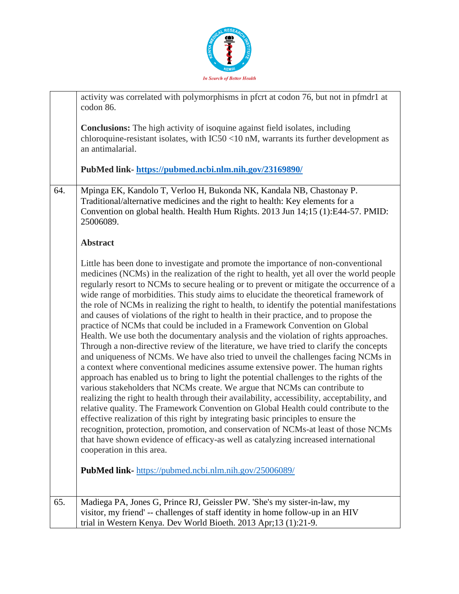

|     | activity was correlated with polymorphisms in pfcrt at codon 76, but not in pfmdr1 at<br>codon 86.<br><b>Conclusions:</b> The high activity of isoquine against field isolates, including<br>chloroquine-resistant isolates, with $IC50 < 10$ nM, warrants its further development as<br>an antimalarial.<br>PubMed link-https://pubmed.ncbi.nlm.nih.gov/23169890/                                                                                                                                                                                                                                                                                                                                                                                                                                                                                                                                                                                                                                                                                                                                                                                                                                                                                                                                                                                                                                                                                                                                                                                                                                                                                                                                                                                                                                                                                                                                                                                                                                           |
|-----|--------------------------------------------------------------------------------------------------------------------------------------------------------------------------------------------------------------------------------------------------------------------------------------------------------------------------------------------------------------------------------------------------------------------------------------------------------------------------------------------------------------------------------------------------------------------------------------------------------------------------------------------------------------------------------------------------------------------------------------------------------------------------------------------------------------------------------------------------------------------------------------------------------------------------------------------------------------------------------------------------------------------------------------------------------------------------------------------------------------------------------------------------------------------------------------------------------------------------------------------------------------------------------------------------------------------------------------------------------------------------------------------------------------------------------------------------------------------------------------------------------------------------------------------------------------------------------------------------------------------------------------------------------------------------------------------------------------------------------------------------------------------------------------------------------------------------------------------------------------------------------------------------------------------------------------------------------------------------------------------------------------|
| 64. | Mpinga EK, Kandolo T, Verloo H, Bukonda NK, Kandala NB, Chastonay P.<br>Traditional/alternative medicines and the right to health: Key elements for a<br>Convention on global health. Health Hum Rights. 2013 Jun 14;15 (1):E44-57. PMID:<br>25006089.<br><b>Abstract</b><br>Little has been done to investigate and promote the importance of non-conventional<br>medicines (NCMs) in the realization of the right to health, yet all over the world people<br>regularly resort to NCMs to secure healing or to prevent or mitigate the occurrence of a<br>wide range of morbidities. This study aims to elucidate the theoretical framework of<br>the role of NCMs in realizing the right to health, to identify the potential manifestations<br>and causes of violations of the right to health in their practice, and to propose the<br>practice of NCMs that could be included in a Framework Convention on Global<br>Health. We use both the documentary analysis and the violation of rights approaches.<br>Through a non-directive review of the literature, we have tried to clarify the concepts<br>and uniqueness of NCMs. We have also tried to unveil the challenges facing NCMs in<br>a context where conventional medicines assume extensive power. The human rights<br>approach has enabled us to bring to light the potential challenges to the rights of the<br>various stakeholders that NCMs create. We argue that NCMs can contribute to<br>realizing the right to health through their availability, accessibility, acceptability, and<br>relative quality. The Framework Convention on Global Health could contribute to the<br>effective realization of this right by integrating basic principles to ensure the<br>recognition, protection, promotion, and conservation of NCMs-at least of those NCMs<br>that have shown evidence of efficacy-as well as catalyzing increased international<br>cooperation in this area.<br>PubMed link- https://pubmed.ncbi.nlm.nih.gov/25006089/ |
| 65. | Madiega PA, Jones G, Prince RJ, Geissler PW. 'She's my sister-in-law, my<br>visitor, my friend' -- challenges of staff identity in home follow-up in an HIV<br>trial in Western Kenya. Dev World Bioeth. 2013 Apr;13 (1):21-9.                                                                                                                                                                                                                                                                                                                                                                                                                                                                                                                                                                                                                                                                                                                                                                                                                                                                                                                                                                                                                                                                                                                                                                                                                                                                                                                                                                                                                                                                                                                                                                                                                                                                                                                                                                               |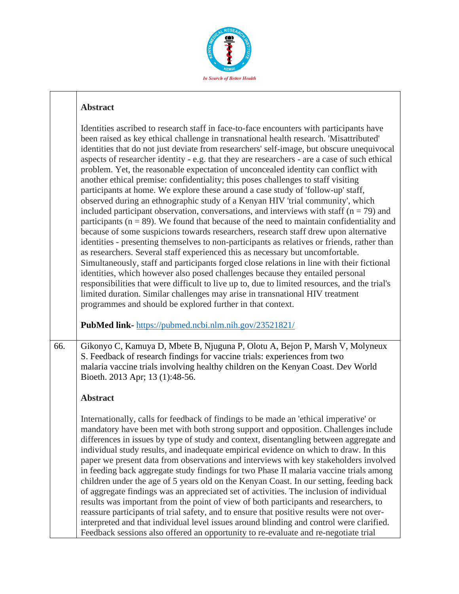

# **Abstract**

|     | Identities ascribed to research staff in face-to-face encounters with participants have<br>been raised as key ethical challenge in transnational health research. 'Misattributed'<br>identities that do not just deviate from researchers' self-image, but obscure unequivocal<br>aspects of researcher identity - e.g. that they are researchers - are a case of such ethical<br>problem. Yet, the reasonable expectation of unconcealed identity can conflict with<br>another ethical premise: confidentiality; this poses challenges to staff visiting<br>participants at home. We explore these around a case study of 'follow-up' staff,<br>observed during an ethnographic study of a Kenyan HIV 'trial community', which<br>included participant observation, conversations, and interviews with staff ( $n = 79$ ) and<br>participants ( $n = 89$ ). We found that because of the need to maintain confidentiality and<br>because of some suspicions towards researchers, research staff drew upon alternative<br>identities - presenting themselves to non-participants as relatives or friends, rather than<br>as researchers. Several staff experienced this as necessary but uncomfortable.<br>Simultaneously, staff and participants forged close relations in line with their fictional<br>identities, which however also posed challenges because they entailed personal<br>responsibilities that were difficult to live up to, due to limited resources, and the trial's<br>limited duration. Similar challenges may arise in transnational HIV treatment<br>programmes and should be explored further in that context.<br>PubMed link- https://pubmed.ncbi.nlm.nih.gov/23521821/ |
|-----|---------------------------------------------------------------------------------------------------------------------------------------------------------------------------------------------------------------------------------------------------------------------------------------------------------------------------------------------------------------------------------------------------------------------------------------------------------------------------------------------------------------------------------------------------------------------------------------------------------------------------------------------------------------------------------------------------------------------------------------------------------------------------------------------------------------------------------------------------------------------------------------------------------------------------------------------------------------------------------------------------------------------------------------------------------------------------------------------------------------------------------------------------------------------------------------------------------------------------------------------------------------------------------------------------------------------------------------------------------------------------------------------------------------------------------------------------------------------------------------------------------------------------------------------------------------------------------------------------------------------------------------------------------------------------------------------------|
| 66. | Gikonyo C, Kamuya D, Mbete B, Njuguna P, Olotu A, Bejon P, Marsh V, Molyneux                                                                                                                                                                                                                                                                                                                                                                                                                                                                                                                                                                                                                                                                                                                                                                                                                                                                                                                                                                                                                                                                                                                                                                                                                                                                                                                                                                                                                                                                                                                                                                                                                      |
|     | S. Feedback of research findings for vaccine trials: experiences from two<br>malaria vaccine trials involving healthy children on the Kenyan Coast. Dev World<br>Bioeth. 2013 Apr; 13 (1):48-56.                                                                                                                                                                                                                                                                                                                                                                                                                                                                                                                                                                                                                                                                                                                                                                                                                                                                                                                                                                                                                                                                                                                                                                                                                                                                                                                                                                                                                                                                                                  |
|     | <b>Abstract</b>                                                                                                                                                                                                                                                                                                                                                                                                                                                                                                                                                                                                                                                                                                                                                                                                                                                                                                                                                                                                                                                                                                                                                                                                                                                                                                                                                                                                                                                                                                                                                                                                                                                                                   |
|     | Internationally, calls for feedback of findings to be made an 'ethical imperative' or<br>mandatory have been met with both strong support and opposition. Challenges include<br>differences in issues by type of study and context, disentangling between aggregate and<br>individual study results, and inadequate empirical evidence on which to draw. In this<br>paper we present data from observations and interviews with key stakeholders involved<br>in feeding back aggregate study findings for two Phase II malaria vaccine trials among<br>children under the age of 5 years old on the Kenyan Coast. In our setting, feeding back<br>of aggregate findings was an appreciated set of activities. The inclusion of individual<br>results was important from the point of view of both participants and researchers, to<br>reassure participants of trial safety, and to ensure that positive results were not over-<br>interpreted and that individual level issues around blinding and control were clarified.<br>Feedback sessions also offered an opportunity to re-evaluate and re-negotiate trial                                                                                                                                                                                                                                                                                                                                                                                                                                                                                                                                                                                |